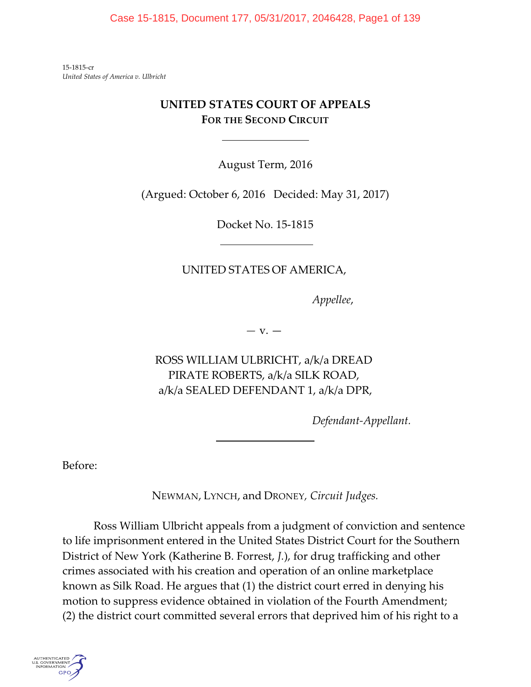Case 15-1815, Document 177, 05/31/2017, 2046428, Page1 of 139

15-1815-cr *United States of America v. Ulbricht*

# **UNITED STATES COURT OF APPEALS FOR THE SECOND CIRCUIT**

l

August Term, 2016

(Argued: October 6, 2016 Decided: May 31, 2017)

Docket No. 15-1815

# UNITED STATES OF AMERICA,

*Appellee*,

*—* v. —

<span id="page-0-0"></span>ROSS WILLIAM ULBRICHT, a/k/a DREAD PIRATE ROBERTS, a/k/a SILK ROAD, a/k/a SEALED DEFENDANT 1, a/k/a DPR,

 $\overline{a}$ 

*Defendant-Appellant.*

Before:

NEWMAN, LYNCH, and DRONEY*, Circuit Judges.*

Ross William Ulbricht appeals from a judgment of conviction and sentence to life imprisonment entered in the United States District Court for the Southern District of New York (Katherine B. Forrest, *J.*), for drug trafficking and other crimes associated with his creation and operation of an online marketplace known as Silk Road. He argues that (1) the district court erred in denying his motion to suppress evidence obtained in violation of the Fourth Amendment; (2) the district court committed several errors that deprived him of his right to a

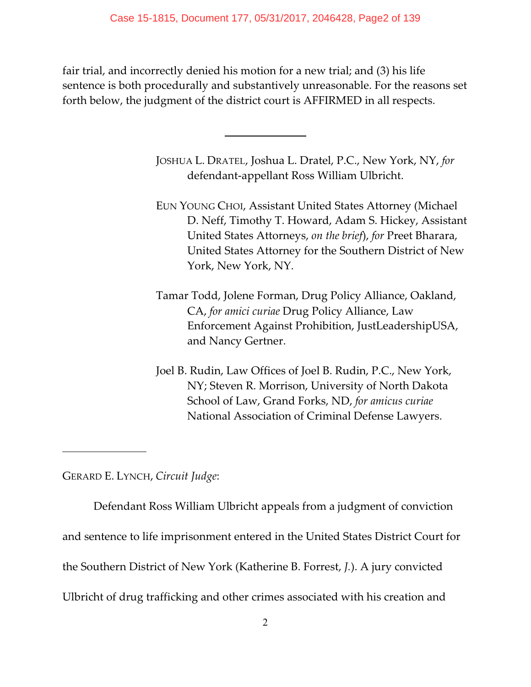fair trial, and incorrectly denied his motion for a new trial; and (3) his life sentence is both procedurally and substantively unreasonable. For the reasons set forth below, the judgment of the district court is AFFIRMED in all respects.

 $\overline{\phantom{a}}$ 

JOSHUA L. DRATEL, Joshua L. Dratel, P.C., New York, NY, *for* defendant-appellant Ross William Ulbricht.

- EUN YOUNG CHOI, Assistant United States Attorney (Michael D. Neff, Timothy T. Howard, Adam S. Hickey, Assistant United States Attorneys, *on the brief*), *for* Preet Bharara, United States Attorney for the Southern District of New York, New York, NY.
- Tamar Todd, Jolene Forman, Drug Policy Alliance, Oakland, CA, *for amici curiae* Drug Policy Alliance, Law Enforcement Against Prohibition, JustLeadershipUSA, and Nancy Gertner.
- Joel B. Rudin, Law Offices of Joel B. Rudin, P.C., New York, NY; Steven R. Morrison, University of North Dakota School of Law, Grand Forks, ND, *for amicus curiae* National Association of Criminal Defense Lawyers.

GERARD E. LYNCH, *Circuit Judge*:

 $\overline{a}$ 

Defendant Ross William Ulbricht appeals from a judgment of conviction and sentence to life imprisonment entered in the United States District Court for the Southern District of New York (Katherine B. Forrest, *J.*). A jury convicted Ulbricht of drug trafficking and other crimes associated with his creation and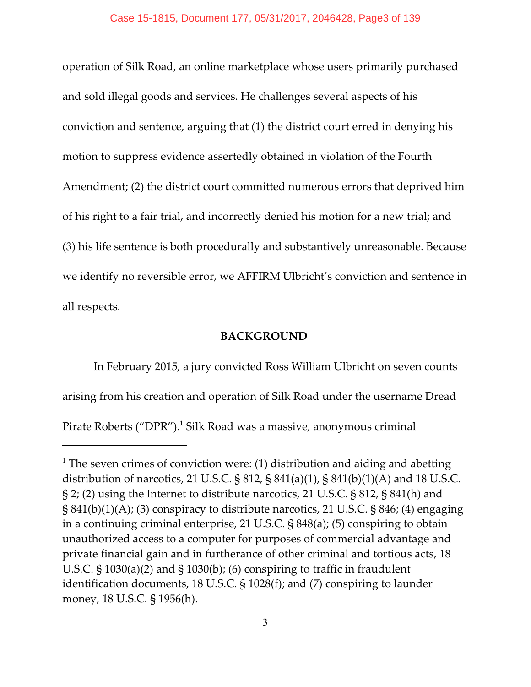operation of Silk Road, an online marketplace whose users primarily purchased and sold illegal goods and services. He challenges several aspects of his conviction and sentence, arguing that (1) the district court erred in denying his motion to suppress evidence assertedly obtained in violation of the Fourth Amendment; (2) the district court committed numerous errors that deprived him of his right to a fair trial, and incorrectly denied his motion for a new trial; and (3) his life sentence is both procedurally and substantively unreasonable. Because we identify no reversible error, we AFFIRM Ulbricht's conviction and sentence in all respects.

### **BACKGROUND**

In February 2015, a jury convicted Ross William Ulbricht on seven counts arising from his creation and operation of Silk Road under the username Dread Pirate Roberts ("DPR").<sup>1</sup> Silk Road was a massive, anonymous criminal

<sup>&</sup>lt;sup>1</sup> The seven crimes of conviction were: (1) distribution and aiding and abetting distribution of narcotics, 21 U.S.C. § 812, § 841(a)(1), § 841(b)(1)(A) and 18 U.S.C. § 2; (2) using the Internet to distribute narcotics, 21 U.S.C. § 812, § 841(h) and § 841(b)(1)(A); (3) conspiracy to distribute narcotics, 21 U.S.C. § 846; (4) engaging in a continuing criminal enterprise, 21 U.S.C. § 848(a); (5) conspiring to obtain unauthorized access to a computer for purposes of commercial advantage and private financial gain and in furtherance of other criminal and tortious acts, 18 U.S.C. § 1030(a)(2) and § 1030(b); (6) conspiring to traffic in fraudulent identification documents, 18 U.S.C. § 1028(f); and (7) conspiring to launder money, 18 U.S.C. § 1956(h).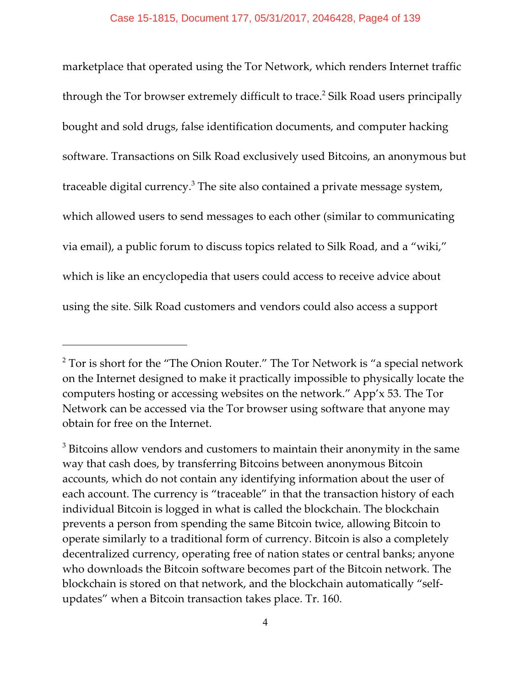marketplace that operated using the Tor Network, which renders Internet traffic through the Tor browser extremely difficult to trace.<sup>2</sup> Silk Road users principally bought and sold drugs, false identification documents, and computer hacking software. Transactions on Silk Road exclusively used Bitcoins, an anonymous but traceable digital currency. $3$  The site also contained a private message system, which allowed users to send messages to each other (similar to communicating via email), a public forum to discuss topics related to Silk Road, and a "wiki," which is like an encyclopedia that users could access to receive advice about using the site. Silk Road customers and vendors could also access a support

 $2$  Tor is short for the "The Onion Router." The Tor Network is "a special network on the Internet designed to make it practically impossible to physically locate the computers hosting or accessing websites on the network." App'x 53. The Tor Network can be accessed via the Tor browser using software that anyone may obtain for free on the Internet.

 $3$  Bitcoins allow vendors and customers to maintain their anonymity in the same way that cash does, by transferring Bitcoins between anonymous Bitcoin accounts, which do not contain any identifying information about the user of each account. The currency is "traceable" in that the transaction history of each individual Bitcoin is logged in what is called the blockchain. The blockchain prevents a person from spending the same Bitcoin twice, allowing Bitcoin to operate similarly to a traditional form of currency. Bitcoin is also a completely decentralized currency, operating free of nation states or central banks; anyone who downloads the Bitcoin software becomes part of the Bitcoin network. The blockchain is stored on that network, and the blockchain automatically "selfupdates" when a Bitcoin transaction takes place. Tr. 160.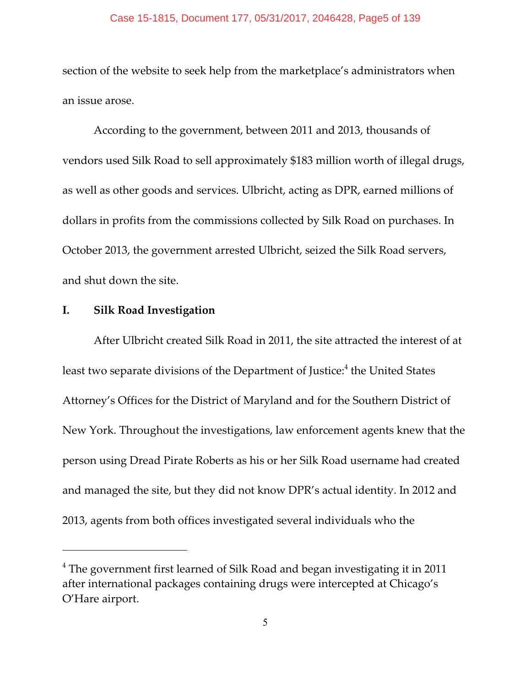#### Case 15-1815, Document 177, 05/31/2017, 2046428, Page5 of 139

section of the website to seek help from the marketplace's administrators when an issue arose.

According to the government, between 2011 and 2013, thousands of vendors used Silk Road to sell approximately \$183 million worth of illegal drugs, as well as other goods and services. Ulbricht, acting as DPR, earned millions of dollars in profits from the commissions collected by Silk Road on purchases. In October 2013, the government arrested Ulbricht, seized the Silk Road servers, and shut down the site.

# **I. Silk Road Investigation**

After Ulbricht created Silk Road in 2011, the site attracted the interest of at least two separate divisions of the Department of Justice:<sup>4</sup> the United States Attorney's Offices for the District of Maryland and for the Southern District of New York. Throughout the investigations, law enforcement agents knew that the person using Dread Pirate Roberts as his or her Silk Road username had created and managed the site, but they did not know DPR's actual identity. In 2012 and 2013, agents from both offices investigated several individuals who the

 $4$  The government first learned of Silk Road and began investigating it in 2011 after international packages containing drugs were intercepted at Chicago's O'Hare airport.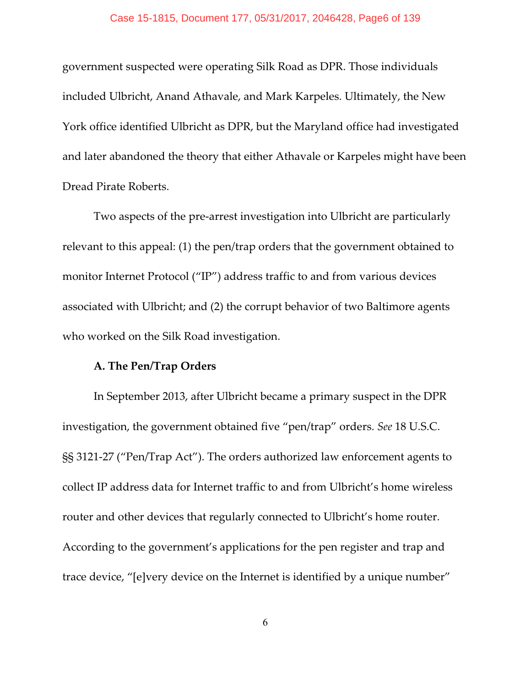#### Case 15-1815, Document 177, 05/31/2017, 2046428, Page6 of 139

government suspected were operating Silk Road as DPR. Those individuals included Ulbricht, Anand Athavale, and Mark Karpeles. Ultimately, the New York office identified Ulbricht as DPR, but the Maryland office had investigated and later abandoned the theory that either Athavale or Karpeles might have been Dread Pirate Roberts.

Two aspects of the pre-arrest investigation into Ulbricht are particularly relevant to this appeal: (1) the pen/trap orders that the government obtained to monitor Internet Protocol ("IP") address traffic to and from various devices associated with Ulbricht; and (2) the corrupt behavior of two Baltimore agents who worked on the Silk Road investigation.

### **A. The Pen/Trap Orders**

In September 2013, after Ulbricht became a primary suspect in the DPR investigation, the government obtained five "pen/trap" orders. *See* 18 U.S.C. §§ 3121-27 ("Pen/Trap Act"). The orders authorized law enforcement agents to collect IP address data for Internet traffic to and from Ulbricht's home wireless router and other devices that regularly connected to Ulbricht's home router. According to the government's applications for the pen register and trap and trace device, "[e]very device on the Internet is identified by a unique number"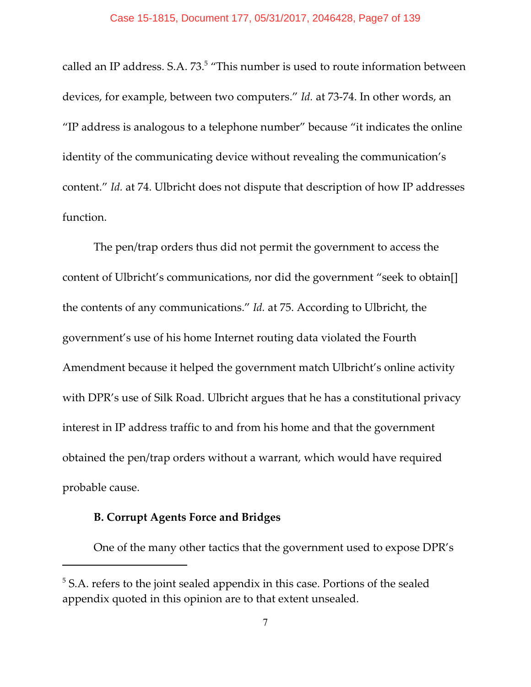called an IP address. S.A. 73.<sup>5</sup> "This number is used to route information between devices, for example, between two computers." *Id.* at 73-74. In other words, an "IP address is analogous to a telephone number" because "it indicates the online identity of the communicating device without revealing the communication's content." *Id.* at 74. Ulbricht does not dispute that description of how IP addresses function.

The pen/trap orders thus did not permit the government to access the content of Ulbricht's communications, nor did the government "seek to obtain[] the contents of any communications." *Id.* at 75. According to Ulbricht, the government's use of his home Internet routing data violated the Fourth Amendment because it helped the government match Ulbricht's online activity with DPR's use of Silk Road. Ulbricht argues that he has a constitutional privacy interest in IP address traffic to and from his home and that the government obtained the pen/trap orders without a warrant, which would have required probable cause.

### **B. Corrupt Agents Force and Bridges**

One of the many other tactics that the government used to expose DPR's

 $5$  S.A. refers to the joint sealed appendix in this case. Portions of the sealed appendix quoted in this opinion are to that extent unsealed.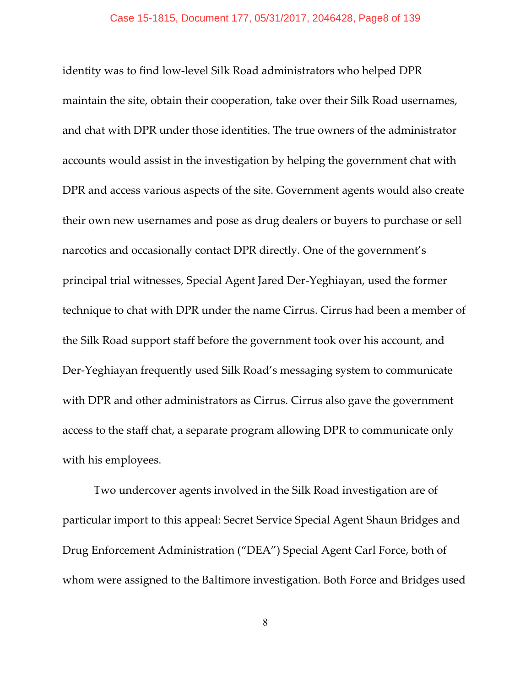identity was to find low-level Silk Road administrators who helped DPR maintain the site, obtain their cooperation, take over their Silk Road usernames, and chat with DPR under those identities. The true owners of the administrator accounts would assist in the investigation by helping the government chat with DPR and access various aspects of the site. Government agents would also create their own new usernames and pose as drug dealers or buyers to purchase or sell narcotics and occasionally contact DPR directly. One of the government's principal trial witnesses, Special Agent Jared Der-Yeghiayan, used the former technique to chat with DPR under the name Cirrus. Cirrus had been a member of the Silk Road support staff before the government took over his account, and Der-Yeghiayan frequently used Silk Road's messaging system to communicate with DPR and other administrators as Cirrus. Cirrus also gave the government access to the staff chat, a separate program allowing DPR to communicate only with his employees.

Two undercover agents involved in the Silk Road investigation are of particular import to this appeal: Secret Service Special Agent Shaun Bridges and Drug Enforcement Administration ("DEA") Special Agent Carl Force, both of whom were assigned to the Baltimore investigation. Both Force and Bridges used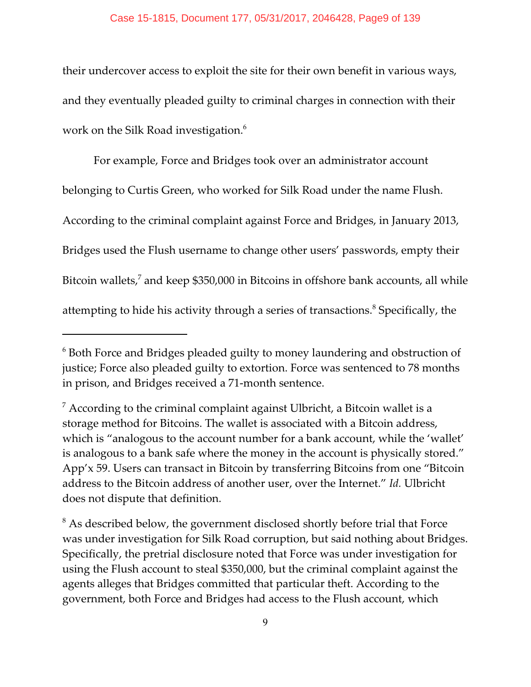their undercover access to exploit the site for their own benefit in various ways, and they eventually pleaded guilty to criminal charges in connection with their work on the Silk Road investigation. $^6$ 

For example, Force and Bridges took over an administrator account belonging to Curtis Green, who worked for Silk Road under the name Flush. According to the criminal complaint against Force and Bridges, in January 2013, Bridges used the Flush username to change other users' passwords, empty their Bitcoin wallets, $^7$  and keep \$350,000 in Bitcoins in offshore bank accounts, all while attempting to hide his activity through a series of transactions.<sup>8</sup> Specifically, the

 $6$  Both Force and Bridges pleaded guilty to money laundering and obstruction of justice; Force also pleaded guilty to extortion. Force was sentenced to 78 months in prison, and Bridges received a 71-month sentence.

 $\frac{7}{7}$  According to the criminal complaint against Ulbricht, a Bitcoin wallet is a storage method for Bitcoins. The wallet is associated with a Bitcoin address, which is "analogous to the account number for a bank account, while the 'wallet' is analogous to a bank safe where the money in the account is physically stored." App'x 59. Users can transact in Bitcoin by transferring Bitcoins from one "Bitcoin address to the Bitcoin address of another user, over the Internet." *Id.* Ulbricht does not dispute that definition.

<sup>&</sup>lt;sup>8</sup> As described below, the government disclosed shortly before trial that Force was under investigation for Silk Road corruption, but said nothing about Bridges. Specifically, the pretrial disclosure noted that Force was under investigation for using the Flush account to steal \$350,000, but the criminal complaint against the agents alleges that Bridges committed that particular theft. According to the government, both Force and Bridges had access to the Flush account, which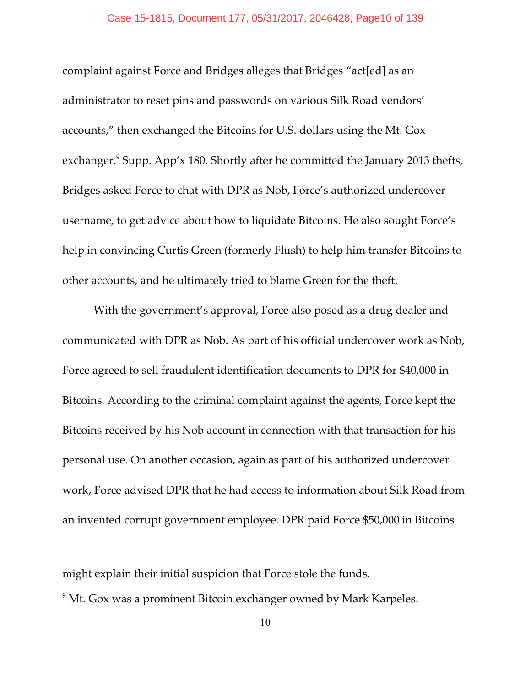complaint against Force and Bridges alleges that Bridges "act[ed] as an administrator to reset pins and passwords on various Silk Road vendors' accounts," then exchanged the Bitcoins for U.S. dollars using the Mt. Gox exchanger. $\degree$  Supp. App'x 180. Shortly after he committed the January 2013 thefts, Bridges asked Force to chat with DPR as Nob, Force's authorized undercover username, to get advice about how to liquidate Bitcoins. He also sought Force's help in convincing Curtis Green (formerly Flush) to help him transfer Bitcoins to other accounts, and he ultimately tried to blame Green for the theft.

With the government's approval, Force also posed as a drug dealer and communicated with DPR as Nob. As part of his official undercover work as Nob, Force agreed to sell fraudulent identification documents to DPR for \$40,000 in Bitcoins. According to the criminal complaint against the agents, Force kept the Bitcoins received by his Nob account in connection with that transaction for his personal use. On another occasion, again as part of his authorized undercover work, Force advised DPR that he had access to information about Silk Road from an invented corrupt government employee. DPR paid Force \$50,000 in Bitcoins

might explain their initial suspicion that Force stole the funds.

<sup>&</sup>lt;sup>9</sup> Mt. Gox was a prominent Bitcoin exchanger owned by Mark Karpeles.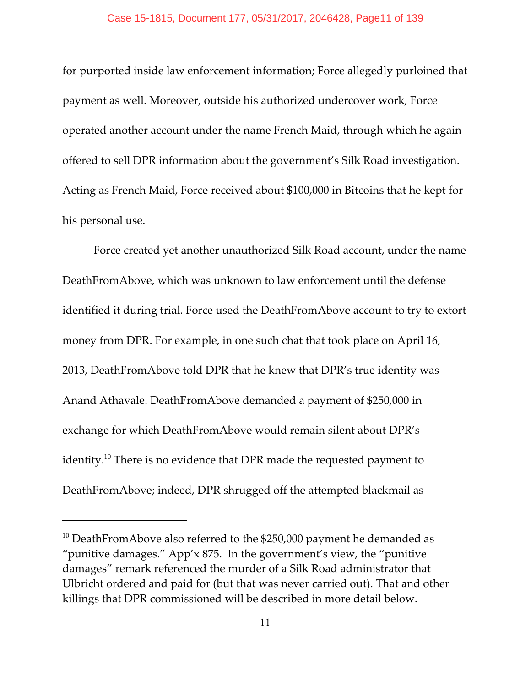for purported inside law enforcement information; Force allegedly purloined that payment as well. Moreover, outside his authorized undercover work, Force operated another account under the name French Maid, through which he again offered to sell DPR information about the government's Silk Road investigation. Acting as French Maid, Force received about \$100,000 in Bitcoins that he kept for his personal use.

Force created yet another unauthorized Silk Road account, under the name DeathFromAbove, which was unknown to law enforcement until the defense identified it during trial. Force used the DeathFromAbove account to try to extort money from DPR. For example, in one such chat that took place on April 16, 2013, DeathFromAbove told DPR that he knew that DPR's true identity was Anand Athavale. DeathFromAbove demanded a payment of \$250,000 in exchange for which DeathFromAbove would remain silent about DPR's identity.<sup>10</sup> There is no evidence that DPR made the requested payment to DeathFromAbove; indeed, DPR shrugged off the attempted blackmail as

 $10$  DeathFromAbove also referred to the \$250,000 payment he demanded as "punitive damages." App'x 875. In the government's view, the "punitive damages" remark referenced the murder of a Silk Road administrator that Ulbricht ordered and paid for (but that was never carried out). That and other killings that DPR commissioned will be described in more detail below.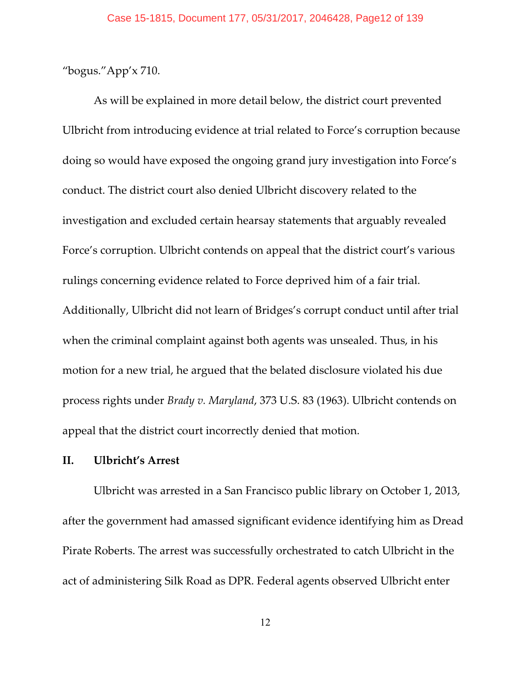"bogus."App'x 710.

As will be explained in more detail below, the district court prevented Ulbricht from introducing evidence at trial related to Force's corruption because doing so would have exposed the ongoing grand jury investigation into Force's conduct. The district court also denied Ulbricht discovery related to the investigation and excluded certain hearsay statements that arguably revealed Force's corruption. Ulbricht contends on appeal that the district court's various rulings concerning evidence related to Force deprived him of a fair trial. Additionally, Ulbricht did not learn of Bridges's corrupt conduct until after trial when the criminal complaint against both agents was unsealed. Thus, in his motion for a new trial, he argued that the belated disclosure violated his due process rights under *Brady v. Maryland*, 373 U.S. 83 (1963). Ulbricht contends on appeal that the district court incorrectly denied that motion.

# **II. Ulbricht's Arrest**

Ulbricht was arrested in a San Francisco public library on October 1, 2013, after the government had amassed significant evidence identifying him as Dread Pirate Roberts. The arrest was successfully orchestrated to catch Ulbricht in the act of administering Silk Road as DPR. Federal agents observed Ulbricht enter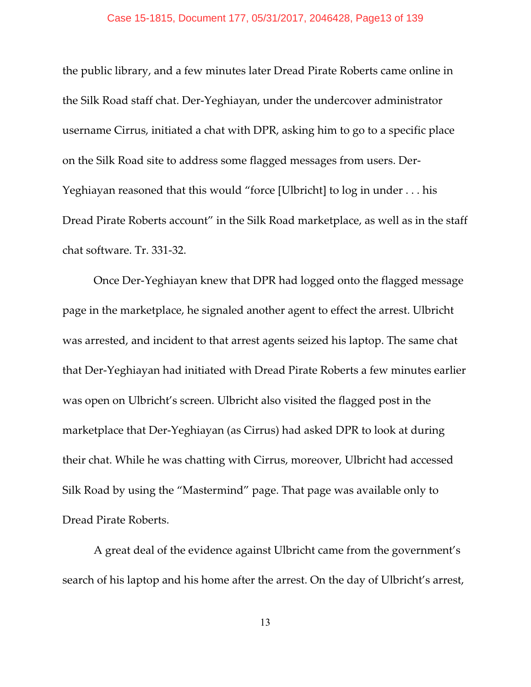the public library, and a few minutes later Dread Pirate Roberts came online in the Silk Road staff chat. Der-Yeghiayan, under the undercover administrator username Cirrus, initiated a chat with DPR, asking him to go to a specific place on the Silk Road site to address some flagged messages from users. Der-Yeghiayan reasoned that this would "force [Ulbricht] to log in under . . . his Dread Pirate Roberts account" in the Silk Road marketplace, as well as in the staff chat software. Tr. 331-32.

Once Der-Yeghiayan knew that DPR had logged onto the flagged message page in the marketplace, he signaled another agent to effect the arrest. Ulbricht was arrested, and incident to that arrest agents seized his laptop. The same chat that Der-Yeghiayan had initiated with Dread Pirate Roberts a few minutes earlier was open on Ulbricht's screen. Ulbricht also visited the flagged post in the marketplace that Der-Yeghiayan (as Cirrus) had asked DPR to look at during their chat. While he was chatting with Cirrus, moreover, Ulbricht had accessed Silk Road by using the "Mastermind" page. That page was available only to Dread Pirate Roberts.

A great deal of the evidence against Ulbricht came from the government's search of his laptop and his home after the arrest. On the day of Ulbricht's arrest,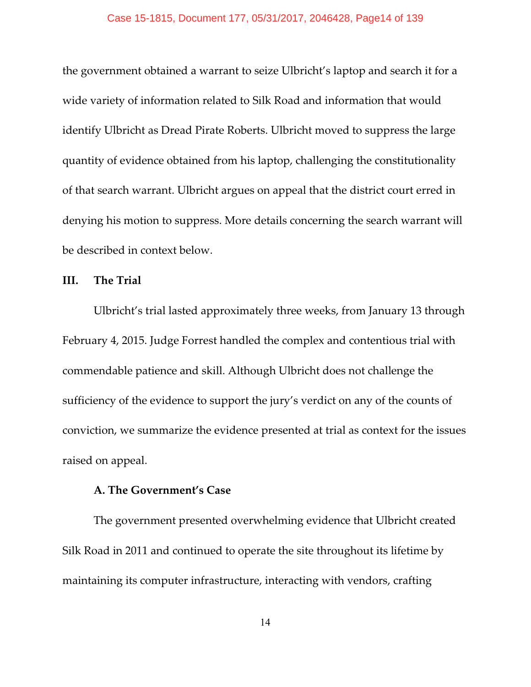the government obtained a warrant to seize Ulbricht's laptop and search it for a wide variety of information related to Silk Road and information that would identify Ulbricht as Dread Pirate Roberts. Ulbricht moved to suppress the large quantity of evidence obtained from his laptop, challenging the constitutionality of that search warrant. Ulbricht argues on appeal that the district court erred in denying his motion to suppress. More details concerning the search warrant will be described in context below.

# **III. The Trial**

Ulbricht's trial lasted approximately three weeks, from January 13 through February 4, 2015. Judge Forrest handled the complex and contentious trial with commendable patience and skill. Although Ulbricht does not challenge the sufficiency of the evidence to support the jury's verdict on any of the counts of conviction, we summarize the evidence presented at trial as context for the issues raised on appeal.

### **A. The Government's Case**

The government presented overwhelming evidence that Ulbricht created Silk Road in 2011 and continued to operate the site throughout its lifetime by maintaining its computer infrastructure, interacting with vendors, crafting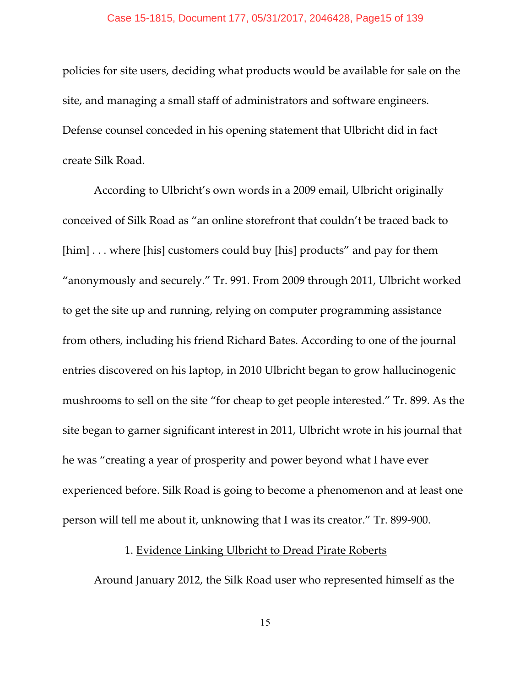policies for site users, deciding what products would be available for sale on the site, and managing a small staff of administrators and software engineers. Defense counsel conceded in his opening statement that Ulbricht did in fact create Silk Road.

According to Ulbricht's own words in a 2009 email, Ulbricht originally conceived of Silk Road as "an online storefront that couldn't be traced back to [him] ... where [his] customers could buy [his] products" and pay for them "anonymously and securely." Tr. 991. From 2009 through 2011, Ulbricht worked to get the site up and running, relying on computer programming assistance from others, including his friend Richard Bates. According to one of the journal entries discovered on his laptop, in 2010 Ulbricht began to grow hallucinogenic mushrooms to sell on the site "for cheap to get people interested." Tr. 899. As the site began to garner significant interest in 2011, Ulbricht wrote in his journal that he was "creating a year of prosperity and power beyond what I have ever experienced before. Silk Road is going to become a phenomenon and at least one person will tell me about it, unknowing that I was its creator." Tr. 899-900.

# 1. Evidence Linking Ulbricht to Dread Pirate Roberts

Around January 2012, the Silk Road user who represented himself as the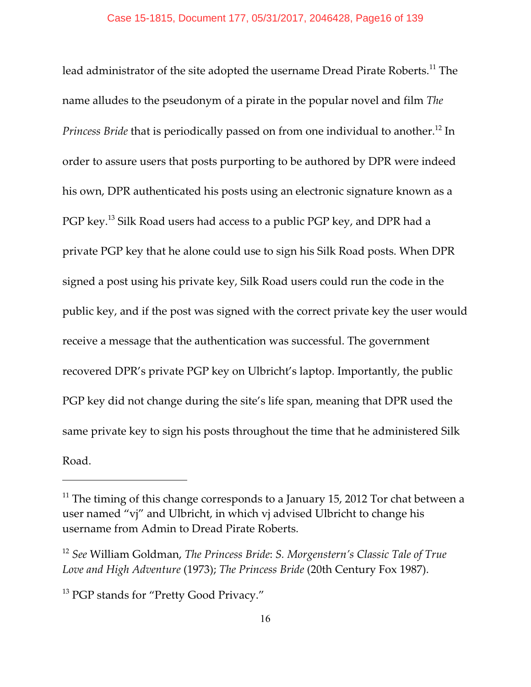lead administrator of the site adopted the username Dread Pirate Roberts.<sup>11</sup> The name alludes to the pseudonym of a pirate in the popular novel and film *The Princess Bride* that is periodically passed on from one individual to another.<sup>12</sup> In order to assure users that posts purporting to be authored by DPR were indeed his own, DPR authenticated his posts using an electronic signature known as a PGP key.<sup>13</sup> Silk Road users had access to a public PGP key, and DPR had a private PGP key that he alone could use to sign his Silk Road posts. When DPR signed a post using his private key, Silk Road users could run the code in the public key, and if the post was signed with the correct private key the user would receive a message that the authentication was successful. The government recovered DPR's private PGP key on Ulbricht's laptop. Importantly, the public PGP key did not change during the site's life span, meaning that DPR used the same private key to sign his posts throughout the time that he administered Silk Road.

 $11$  The timing of this change corresponds to a January 15, 2012 Tor chat between a user named "vj" and Ulbricht, in which vj advised Ulbricht to change his username from Admin to Dread Pirate Roberts.

<sup>&</sup>lt;sup>12</sup> See William Goldman, *The Princess Bride: S. Morgenstern's Classic Tale of True Love and High Adventure* (1973); *The Princess Bride* (20th Century Fox 1987).

<sup>&</sup>lt;sup>13</sup> PGP stands for "Pretty Good Privacy."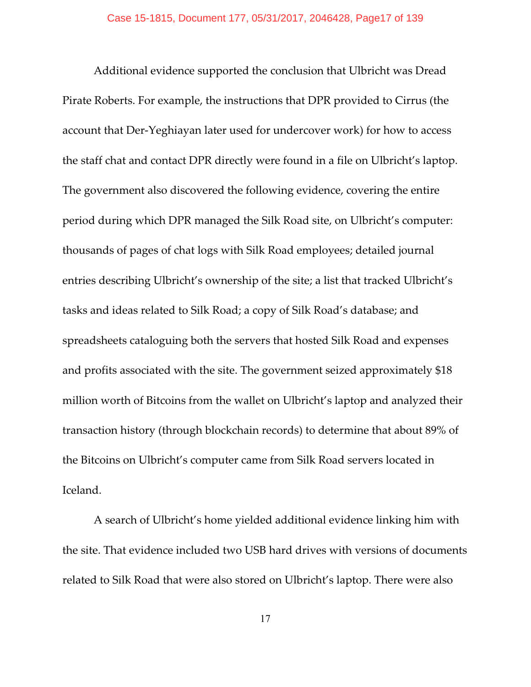Additional evidence supported the conclusion that Ulbricht was Dread Pirate Roberts. For example, the instructions that DPR provided to Cirrus (the account that Der-Yeghiayan later used for undercover work) for how to access the staff chat and contact DPR directly were found in a file on Ulbricht's laptop. The government also discovered the following evidence, covering the entire period during which DPR managed the Silk Road site, on Ulbricht's computer: thousands of pages of chat logs with Silk Road employees; detailed journal entries describing Ulbricht's ownership of the site; a list that tracked Ulbricht's tasks and ideas related to Silk Road; a copy of Silk Road's database; and spreadsheets cataloguing both the servers that hosted Silk Road and expenses and profits associated with the site. The government seized approximately \$18 million worth of Bitcoins from the wallet on Ulbricht's laptop and analyzed their transaction history (through blockchain records) to determine that about 89% of the Bitcoins on Ulbricht's computer came from Silk Road servers located in Iceland.

A search of Ulbricht's home yielded additional evidence linking him with the site. That evidence included two USB hard drives with versions of documents related to Silk Road that were also stored on Ulbricht's laptop. There were also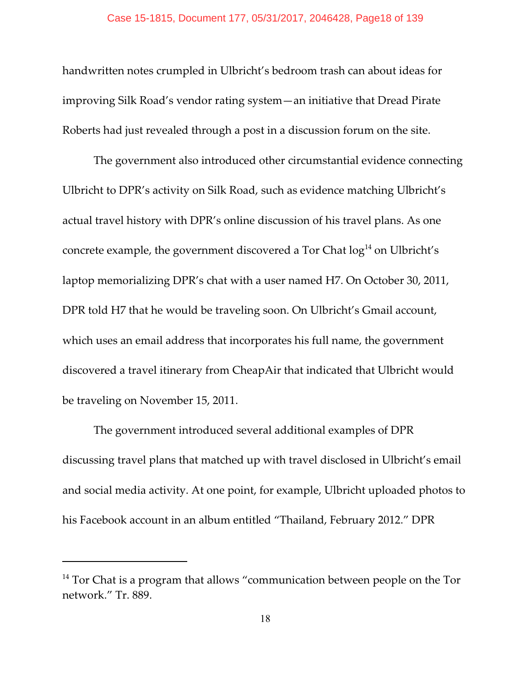handwritten notes crumpled in Ulbricht's bedroom trash can about ideas for improving Silk Road's vendor rating system—an initiative that Dread Pirate Roberts had just revealed through a post in a discussion forum on the site.

The government also introduced other circumstantial evidence connecting Ulbricht to DPR's activity on Silk Road, such as evidence matching Ulbricht's actual travel history with DPR's online discussion of his travel plan[s.](#page-0-0) As one concrete example, the government discovered a Tor Chat  $log<sup>14</sup>$  on Ulbricht's laptop memorializing DPR's chat with a user named H7. On October 30, 2011, DPR told H7 that he would be traveling soon. On Ulbricht's Gmail account, [which uses an email address that incorporates his full name, the government](#page-0-0) [discovered a travel itinerary from CheapAir that indicated that Ulbricht would](#page-0-0) [be traveling on November 15, 2011.](#page-0-0) 

[The government introduced several additional examples of DPR](#page-0-0) [discussing travel plans that matched up with travel disclosed in Ulbricht's email](#page-0-0) [and social media activity. At one point, for example, Ulbricht uploaded photos to](#page-0-0) [his Facebook account](#page-0-0) in an album entitled "Thailand, February 2012." DPR

 $14$  Tor Chat is a program that allows "communication between people on the Tor network." Tr. 889.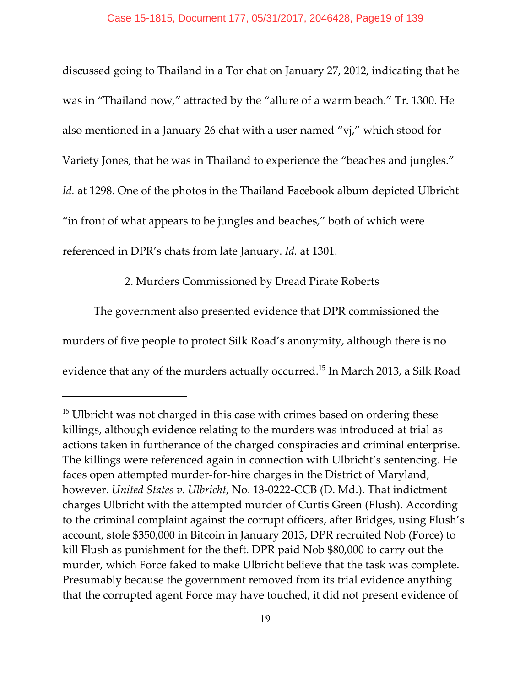discussed going to Thailand in a Tor chat on January 27, 2012, indicating that he was in "Thailand now," attracted by the "allure of a warm beach." Tr. 1300. He also mentioned in a January 26 chat with a user named "vj," which stood for Variety Jones, that he was in Thailand to experience the "beaches and jungles." *Id.* at 1298. One of the photos in the Thailand Facebook album depicted Ulbricht "in front of what appears to be jungles and beaches," both of which were referenced in DPR's chats from late January. *Id.* at 1301.

# 2. Murders Commissioned by Dread Pirate Roberts

The government also presented evidence that DPR commissioned the murders of five people to protect Silk Road's anonymity, although there is no evidence that any of the murders actually occurred.<sup>15</sup> In March 2013, a Silk Road

 $15$  Ulbricht was not charged in this case with crimes based on ordering these killings, although evidence relating to the murders was introduced at trial as actions taken in furtherance of the charged conspiracies and criminal enterprise. The killings were referenced again in connection with Ulbricht's sentencing. He faces open attempted murder-for-hire charges in the District of Maryland, however. *United States v. Ulbricht*, No. 13-0222-CCB (D. Md.). That indictment charges Ulbricht with the attempted murder of Curtis Green (Flush). According to the criminal complaint against the corrupt officers, after Bridges, using Flush's account, stole \$350,000 in Bitcoin in January 2013, DPR recruited Nob (Force) to kill Flush as punishment for the theft. DPR paid Nob \$80,000 to carry out the murder, which Force faked to make Ulbricht believe that the task was complete. Presumably because the government removed from its trial evidence anything that the corrupted agent Force may have touched, it did not present evidence of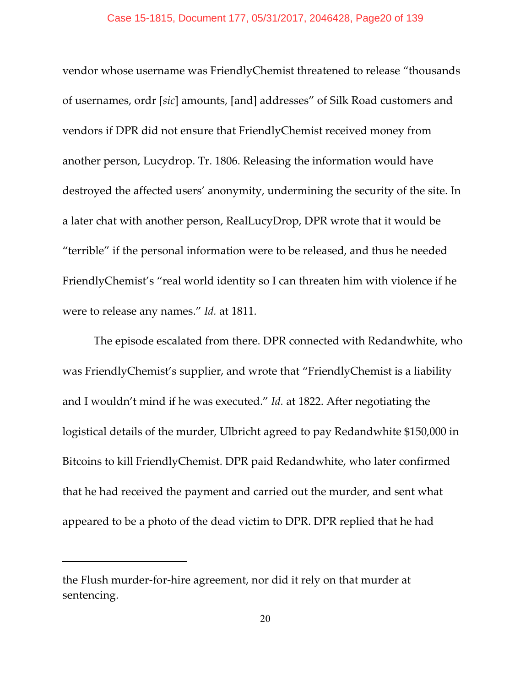vendor whose username was FriendlyChemist threatened to release "thousands of usernames, ordr [*sic*] amounts, [and] addresses" of Silk Road customers and vendors if DPR did not ensure that FriendlyChemist received money from another person, Lucydrop. Tr. 1806. Releasing the information would have destroyed the affected users' anonymity, undermining the security of the site. In a later chat with another person, RealLucyDrop, DPR wrote that it would be "terrible" if the personal information were to be released, and thus he needed FriendlyChemist's "real world identity so I can threaten him with violence if he were to release any names." *Id.* at 1811.

The episode escalated from there. DPR connected with Redandwhite, who was FriendlyChemist's supplier, and wrote that "FriendlyChemist is a liability and I wouldn't mind if he was executed." *Id.* at 1822. After negotiating the logistical details of the murder, Ulbricht agreed to pay Redandwhite \$150,000 in Bitcoins to kill FriendlyChemist. DPR paid Redandwhite, who later confirmed that he had received the payment and carried out the murder, and sent what appeared to be a photo of the dead victim to DPR. DPR replied that he had

the Flush murder-for-hire agreement, nor did it rely on that murder at sentencing.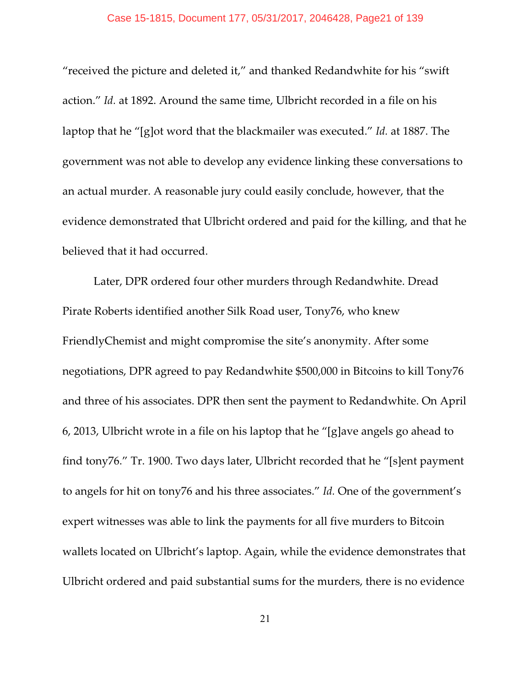"received the picture and deleted it," and thanked Redandwhite for his "swift action." *Id.* at 1892. Around the same time, Ulbricht recorded in a file on his laptop that he "[g]ot word that the blackmailer was executed." *Id.* at 1887. The government was not able to develop any evidence linking these conversations to an actual murder. A reasonable jury could easily conclude, however, that the evidence demonstrated that Ulbricht ordered and paid for the killing, and that he believed that it had occurred.

Later, DPR ordered four other murders through Redandwhite. Dread Pirate Roberts identified another Silk Road user, Tony76, who knew FriendlyChemist and might compromise the site's anonymity. After some negotiations, DPR agreed to pay Redandwhite \$500,000 in Bitcoins to kill Tony76 and three of his associates. DPR then sent the payment to Redandwhite. On April 6, 2013, Ulbricht wrote in a file on his laptop that he "[g]ave angels go ahead to find tony76." Tr. 1900. Two days later, Ulbricht recorded that he "[s]ent payment to angels for hit on tony76 and his three associates." *Id.* One of the government's expert witnesses was able to link the payments for all five murders to Bitcoin wallets located on Ulbricht's laptop. Again, while the evidence demonstrates that Ulbricht ordered and paid substantial sums for the murders, there is no evidence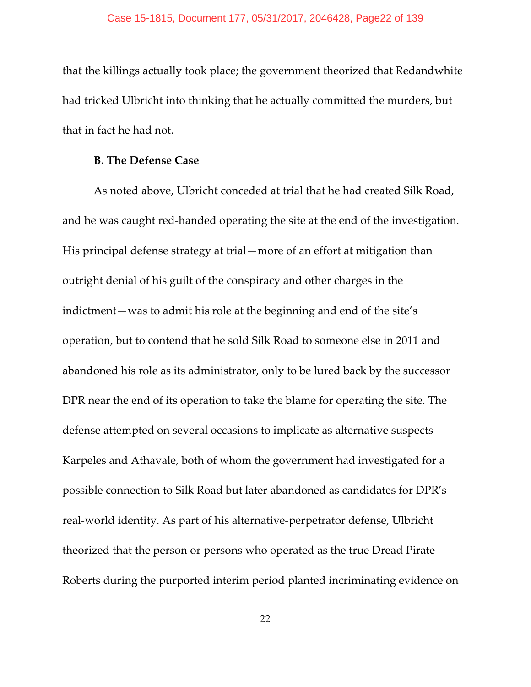that the killings actually took place; the government theorized that Redandwhite had tricked Ulbricht into thinking that he actually committed the murders, but that in fact he had not.

### **B. The Defense Case**

As noted above, Ulbricht conceded at trial that he had created Silk Road, and he was caught red-handed operating the site at the end of the investigation. His principal defense strategy at trial—more of an effort at mitigation than outright denial of his guilt of the conspiracy and other charges in the indictment—was to admit his role at the beginning and end of the site's operation, but to contend that he sold Silk Road to someone else in 2011 and abandoned his role as its administrator, only to be lured back by the successor DPR near the end of its operation to take the blame for operating the site. The defense attempted on several occasions to implicate as alternative suspects Karpeles and Athavale, both of whom the government had investigated for a possible connection to Silk Road but later abandoned as candidates for DPR's real-world identity. As part of his alternative-perpetrator defense, Ulbricht theorized that the person or persons who operated as the true Dread Pirate Roberts during the purported interim period planted incriminating evidence on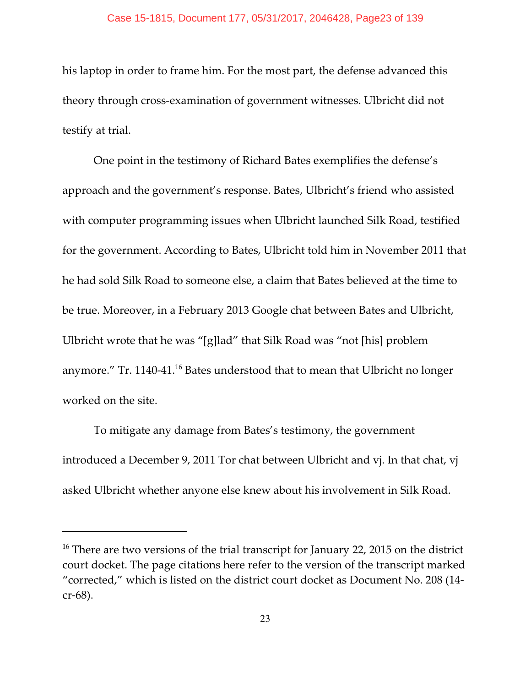his laptop in order to frame him. For the most part, the defense advanced this theory through cross-examination of government witnesses. Ulbricht did not testify at trial.

One point in the testimony of Richard Bates exemplifies the defense's approach and the government's response. Bates, Ulbricht's friend who assisted with computer programming issues when Ulbricht launched Silk Road, testified for the government. According to Bates, Ulbricht told him in November 2011 that he had sold Silk Road to someone else, a claim that Bates believed at the time to be true. Moreover, in a February 2013 Google chat between Bates and Ulbricht, Ulbricht wrote that he was "[g]lad" that Silk Road was "not [his] problem anymore." Tr. 1140-41. $^{16}$  Bates understood that to mean that Ulbricht no longer worked on the site.

To mitigate any damage from Bates's testimony, the government introduced a December 9, 2011 Tor chat between Ulbricht and vj. In that chat, vj asked Ulbricht whether anyone else knew about his involvement in Silk Road.

 $16$  There are two versions of the trial transcript for January 22, 2015 on the district court docket. The page citations here refer to the version of the transcript marked "corrected," which is listed on the district court docket as Document No. 208 (14 cr-68).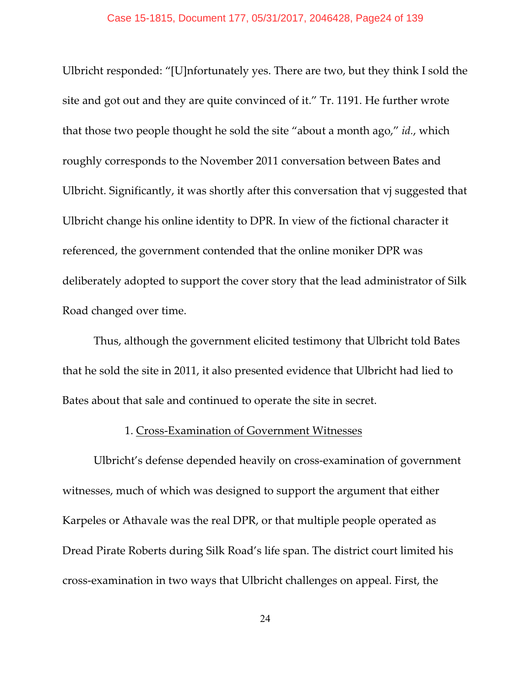Ulbricht responded: "[U]nfortunately yes. There are two, but they think I sold the site and got out and they are quite convinced of it." Tr. 1191. He further wrote that those two people thought he sold the site "about a month ago," *id.*, which roughly corresponds to the November 2011 conversation between Bates and Ulbricht. Significantly, it was shortly after this conversation that vj suggested that Ulbricht change his online identity to DPR. In view of the fictional character it referenced, the government contended that the online moniker DPR was deliberately adopted to support the cover story that the lead administrator of Silk Road changed over time.

Thus, although the government elicited testimony that Ulbricht told Bates that he sold the site in 2011, it also presented evidence that Ulbricht had lied to Bates about that sale and continued to operate the site in secret.

# 1. Cross-Examination of Government Witnesses

Ulbricht's defense depended heavily on cross-examination of government witnesses, much of which was designed to support the argument that either Karpeles or Athavale was the real DPR, or that multiple people operated as Dread Pirate Roberts during Silk Road's life span. The district court limited his cross-examination in two ways that Ulbricht challenges on appeal. First, the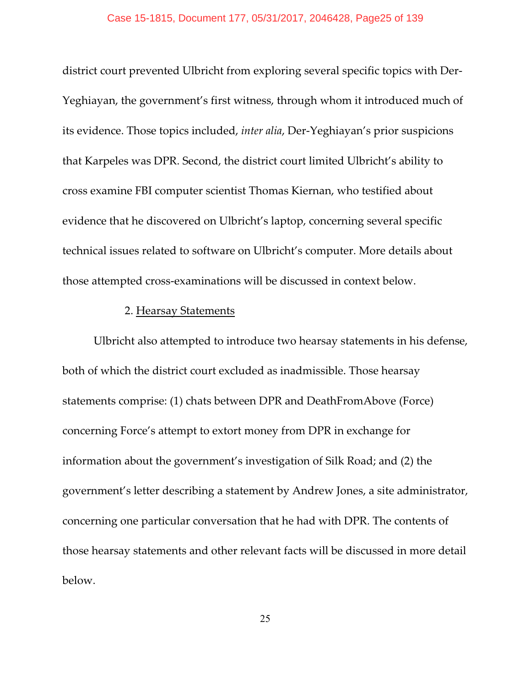district court prevented Ulbricht from exploring several specific topics with Der-Yeghiayan, the government's first witness, through whom it introduced much of its evidence. Those topics included, *inter alia*, Der-Yeghiayan's prior suspicions that Karpeles was DPR. Second, the district court limited Ulbricht's ability to cross examine FBI computer scientist Thomas Kiernan, who testified about evidence that he discovered on Ulbricht's laptop, concerning several specific technical issues related to software on Ulbricht's computer. More details about those attempted cross-examinations will be discussed in context below.

# 2. Hearsay Statements

Ulbricht also attempted to introduce two hearsay statements in his defense, both of which the district court excluded as inadmissible. Those hearsay statements comprise: (1) chats between DPR and DeathFromAbove (Force) concerning Force's attempt to extort money from DPR in exchange for information about the government's investigation of Silk Road; and (2) the government's letter describing a statement by Andrew Jones, a site administrator, concerning one particular conversation that he had with DPR. The contents of those hearsay statements and other relevant facts will be discussed in more detail below.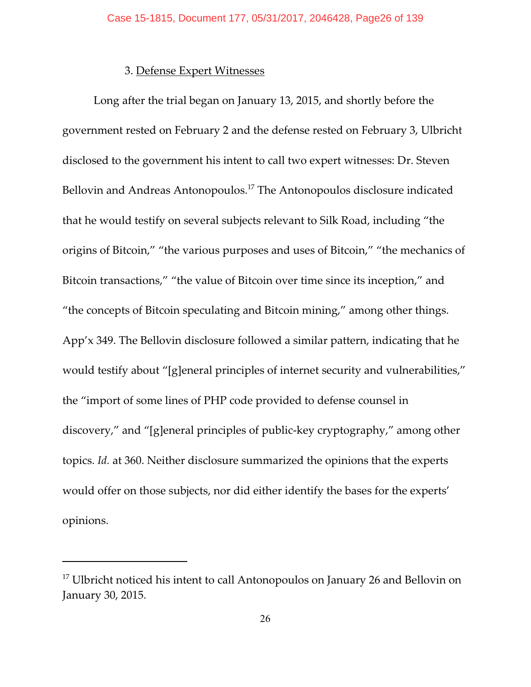# 3. Defense Expert Witnesses

Long after the trial began on January 13, 2015, and shortly before the government rested on February 2 and the defense rested on February 3, Ulbricht disclosed to the government his intent to call two expert witnesses: Dr. Steven Bellovin and Andreas Antonopoulos.<sup>17</sup> The Antonopoulos disclosure indicated that he would testify on several subjects relevant to Silk Road, including "the origins of Bitcoin," "the various purposes and uses of Bitcoin," "the mechanics of Bitcoin transactions," "the value of Bitcoin over time since its inception," and "the concepts of Bitcoin speculating and Bitcoin mining," among other things. App'x 349. The Bellovin disclosure followed a similar pattern, indicating that he would testify about "[g]eneral principles of internet security and vulnerabilities," the "import of some lines of PHP code provided to defense counsel in discovery," and "[g]eneral principles of public-key cryptography," among other topics. *Id.* at 360. Neither disclosure summarized the opinions that the experts would offer on those subjects, nor did either identify the bases for the experts' opinions.

 $17$  Ulbricht noticed his intent to call Antonopoulos on January 26 and Bellovin on January 30, 2015.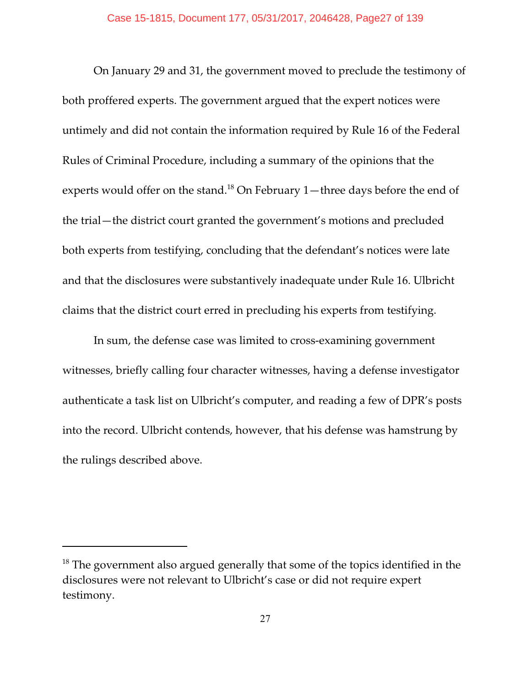On January 29 and 31, the government moved to preclude the testimony of both proffered experts. The government argued that the expert notices were untimely and did not contain the information required by Rule 16 of the Federal Rules of Criminal Procedure, including a summary of the opinions that the experts would offer on the stand.<sup>18</sup> On February 1—three days before the end of the trial—the district court granted the government's motions and precluded both experts from testifying, concluding that the defendant's notices were late and that the disclosures were substantively inadequate under Rule 16. Ulbricht claims that the district court erred in precluding his experts from testifying.

In sum, the defense case was limited to cross-examining government witnesses, briefly calling four character witnesses, having a defense investigator authenticate a task list on Ulbricht's computer, and reading a few of DPR's posts into the record. Ulbricht contends, however, that his defense was hamstrung by the rulings described above.

 $18$  The government also argued generally that some of the topics identified in the disclosures were not relevant to Ulbricht's case or did not require expert testimony.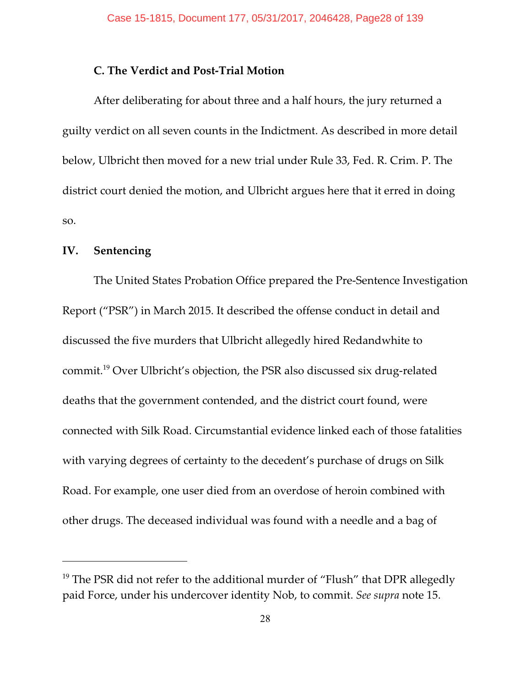# **C. The Verdict and Post-Trial Motion**

After deliberating for about three and a half hours, the jury returned a guilty verdict on all seven counts in the Indictment. As described in more detail below, Ulbricht then moved for a new trial under Rule 33, Fed. R. Crim. P. The district court denied the motion, and Ulbricht argues here that it erred in doing so.

# **IV. Sentencing**

The United States Probation Office prepared the Pre-Sentence Investigation Report ("PSR") in March 2015. It described the offense conduct in detail and discussed the five murders that Ulbricht allegedly hired Redandwhite to commit.<sup>19</sup> Over Ulbricht's objection, the PSR also discussed six drug-related deaths that the government contended, and the district court found, were connected with Silk Road. Circumstantial evidence linked each of those fatalities with varying degrees of certainty to the decedent's purchase of drugs on Silk Road. For example, one user died from an overdose of heroin combined with other drugs. The deceased individual was found with a needle and a bag of

 $19$  The PSR did not refer to the additional murder of "Flush" that DPR allegedly paid Force, under his undercover identity Nob, to commit. *See supra* note 15.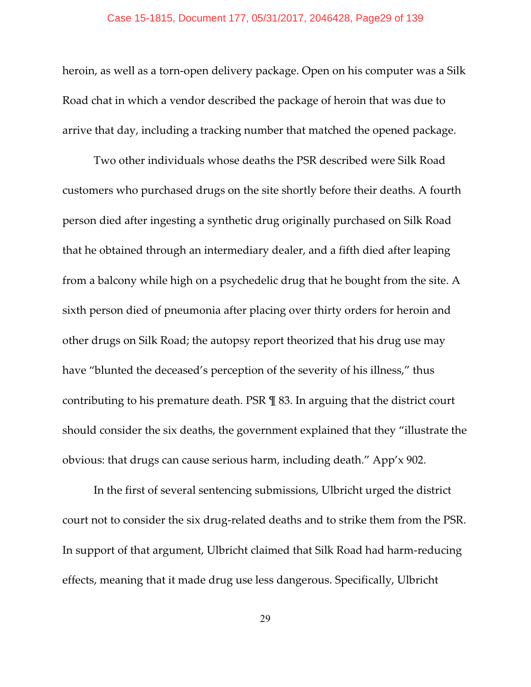heroin, as well as a torn-open delivery package. Open on his computer was a Silk Road chat in which a vendor described the package of heroin that was due to arrive that day, including a tracking number that matched the opened package.

Two other individuals whose deaths the PSR described were Silk Road customers who purchased drugs on the site shortly before their deaths. A fourth person died after ingesting a synthetic drug originally purchased on Silk Road that he obtained through an intermediary dealer, and a fifth died after leaping from a balcony while high on a psychedelic drug that he bought from the site. A sixth person died of pneumonia after placing over thirty orders for heroin and other drugs on Silk Road; the autopsy report theorized that his drug use may have "blunted the deceased's perception of the severity of his illness," thus contributing to his premature death. PSR ¶ 83. In arguing that the district court should consider the six deaths, the government explained that they "illustrate the obvious: that drugs can cause serious harm, including death." App'x 902.

In the first of several sentencing submissions, Ulbricht urged the district court not to consider the six drug-related deaths and to strike them from the PSR. In support of that argument, Ulbricht claimed that Silk Road had harm-reducing effects, meaning that it made drug use less dangerous. Specifically, Ulbricht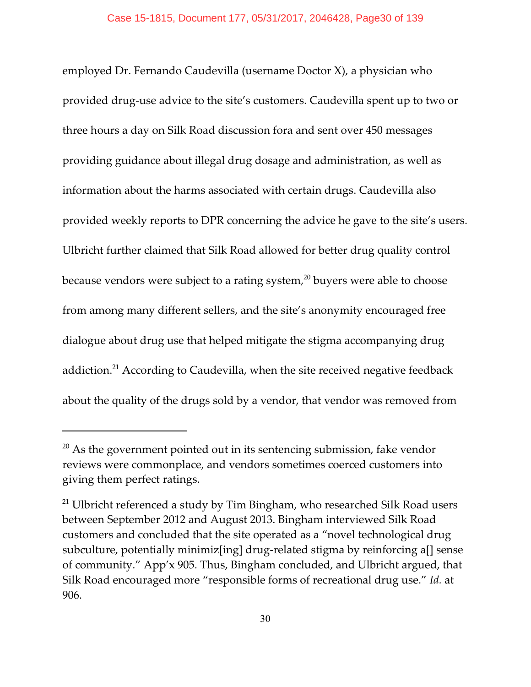employed Dr. Fernando Caudevilla (username Doctor X), a physician who provided drug-use advice to the site's customers. Caudevilla spent up to two or three hours a day on Silk Road discussion fora and sent over 450 messages providing guidance about illegal drug dosage and administration, as well as information about the harms associated with certain drugs. Caudevilla also provided weekly reports to DPR concerning the advice he gave to the site's users. Ulbricht further claimed that Silk Road allowed for better drug quality control because vendors were subject to a rating system, $^{20}$  buyers were able to choose from among many different sellers, and the site's anonymity encouraged free dialogue about drug use that helped mitigate the stigma accompanying drug addiction.<sup>21</sup> According to Caudevilla, when the site received negative feedback about the quality of the drugs sold by a vendor, that vendor was removed from

 $20$  As the government pointed out in its sentencing submission, fake vendor reviews were commonplace, and vendors sometimes coerced customers into giving them perfect ratings.

 $21$  Ulbricht referenced a study by Tim Bingham, who researched Silk Road users between September 2012 and August 2013. Bingham interviewed Silk Road customers and concluded that the site operated as a "novel technological drug subculture, potentially minimiz[ing] drug-related stigma by reinforcing a[] sense of community." App'x 905. Thus, Bingham concluded, and Ulbricht argued, that Silk Road encouraged more "responsible forms of recreational drug use." *Id.* at 906.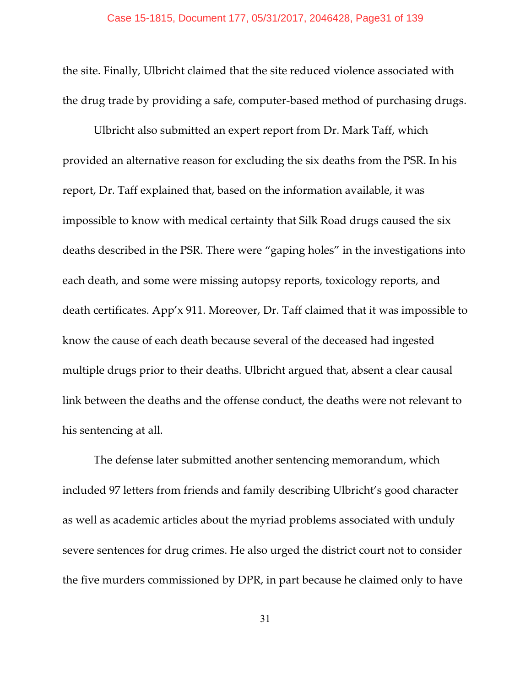the site. Finally, Ulbricht claimed that the site reduced violence associated with the drug trade by providing a safe, computer-based method of purchasing drugs.

Ulbricht also submitted an expert report from Dr. Mark Taff, which provided an alternative reason for excluding the six deaths from the PSR. In his report, Dr. Taff explained that, based on the information available, it was impossible to know with medical certainty that Silk Road drugs caused the six deaths described in the PSR. There were "gaping holes" in the investigations into each death, and some were missing autopsy reports, toxicology reports, and death certificates. App'x 911. Moreover, Dr. Taff claimed that it was impossible to know the cause of each death because several of the deceased had ingested multiple drugs prior to their deaths. Ulbricht argued that, absent a clear causal link between the deaths and the offense conduct, the deaths were not relevant to his sentencing at all.

The defense later submitted another sentencing memorandum, which included 97 letters from friends and family describing Ulbricht's good character as well as academic articles about the myriad problems associated with unduly severe sentences for drug crimes. He also urged the district court not to consider the five murders commissioned by DPR, in part because he claimed only to have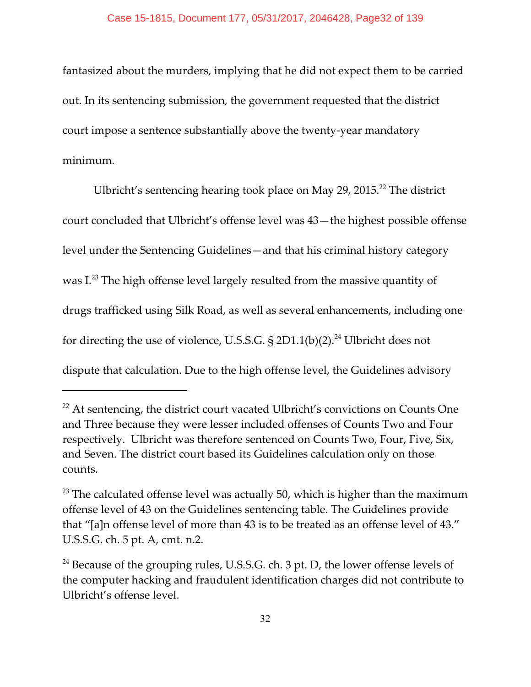fantasized about the murders, implying that he did not expect them to be carried out. In its sentencing submission, the government requested that the district court impose a sentence substantially above the twenty-year mandatory minimum.

Ulbricht's sentencing hearing took place on May 29, 2015.<sup>22</sup> The district court concluded that Ulbricht's offense level was 43—the highest possible offense level under the Sentencing Guidelines—and that his criminal history category was I.<sup>23</sup> The high offense level largely resulted from the massive quantity of drugs trafficked using Silk Road, as well as several enhancements, including one for directing the use of violence, U.S.S.G. § 2D1.1(b)(2).<sup>24</sup> Ulbricht does not dispute that calculation. Due to the high offense level, the Guidelines advisory

 $22$  At sentencing, the district court vacated Ulbricht's convictions on Counts One and Three because they were lesser included offenses of Counts Two and Four respectively. Ulbricht was therefore sentenced on Counts Two, Four, Five, Six, and Seven. The district court based its Guidelines calculation only on those counts.

 $23$  The calculated offense level was actually 50, which is higher than the maximum offense level of 43 on the Guidelines sentencing table. The Guidelines provide that "[a]n offense level of more than 43 is to be treated as an offense level of 43." U.S.S.G. ch. 5 pt. A, cmt. n.2.

 $24$  Because of the grouping rules, U.S.S.G. ch. 3 pt. D, the lower offense levels of the computer hacking and fraudulent identification charges did not contribute to Ulbricht's offense level.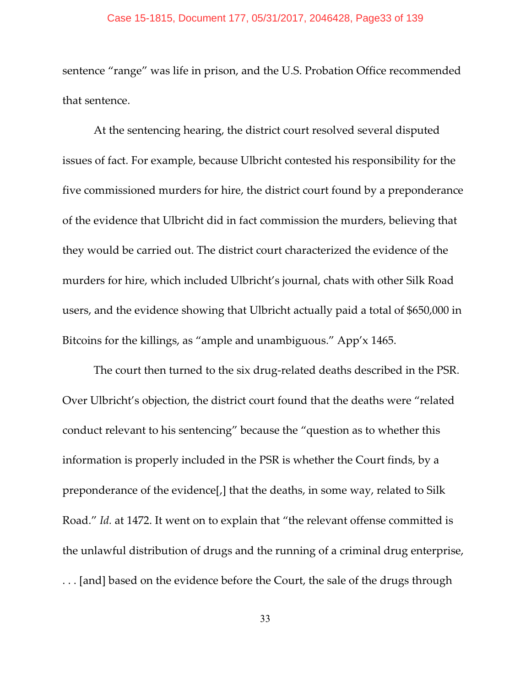#### Case 15-1815, Document 177, 05/31/2017, 2046428, Page33 of 139

sentence "range" was life in prison, and the U.S. Probation Office recommended that sentence.

At the sentencing hearing, the district court resolved several disputed issues of fact. For example, because Ulbricht contested his responsibility for the five commissioned murders for hire, the district court found by a preponderance of the evidence that Ulbricht did in fact commission the murders, believing that they would be carried out. The district court characterized the evidence of the murders for hire, which included Ulbricht's journal, chats with other Silk Road users, and the evidence showing that Ulbricht actually paid a total of \$650,000 in Bitcoins for the killings, as "ample and unambiguous." App'x 1465.

The court then turned to the six drug-related deaths described in the PSR. Over Ulbricht's objection, the district court found that the deaths were "related conduct relevant to his sentencing" because the "question as to whether this information is properly included in the PSR is whether the Court finds, by a preponderance of the evidence[,] that the deaths, in some way, related to Silk Road." *Id.* at 1472. It went on to explain that "the relevant offense committed is the unlawful distribution of drugs and the running of a criminal drug enterprise, . . . [and] based on the evidence before the Court, the sale of the drugs through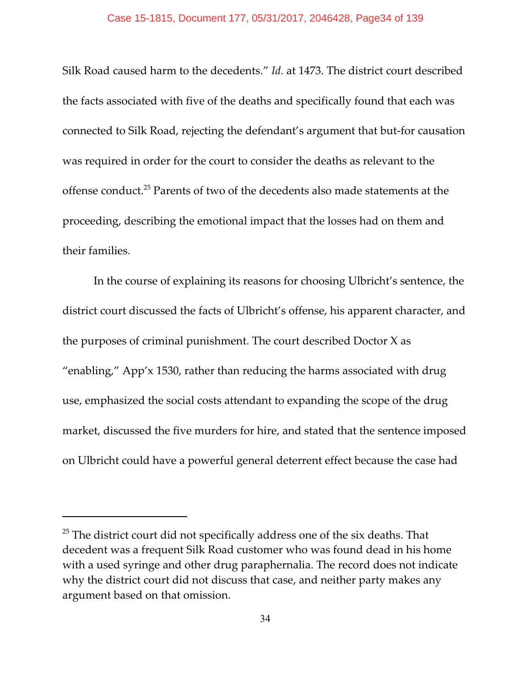Silk Road caused harm to the decedents." *Id.* at 1473. The district court described the facts associated with five of the deaths and specifically found that each was connected to Silk Road, rejecting the defendant's argument that but-for causation was required in order for the court to consider the deaths as relevant to the offense conduct.<sup>25</sup> Parents of two of the decedents also made statements at the proceeding, describing the emotional impact that the losses had on them and their families.

In the course of explaining its reasons for choosing Ulbricht's sentence, the district court discussed the facts of Ulbricht's offense, his apparent character, and the purposes of criminal punishment. The court described Doctor X as "enabling," App'x 1530, rather than reducing the harms associated with drug use, emphasized the social costs attendant to expanding the scope of the drug market, discussed the five murders for hire, and stated that the sentence imposed on Ulbricht could have a powerful general deterrent effect because the case had

 $25$  The district court did not specifically address one of the six deaths. That decedent was a frequent Silk Road customer who was found dead in his home with a used syringe and other drug paraphernalia. The record does not indicate why the district court did not discuss that case, and neither party makes any argument based on that omission.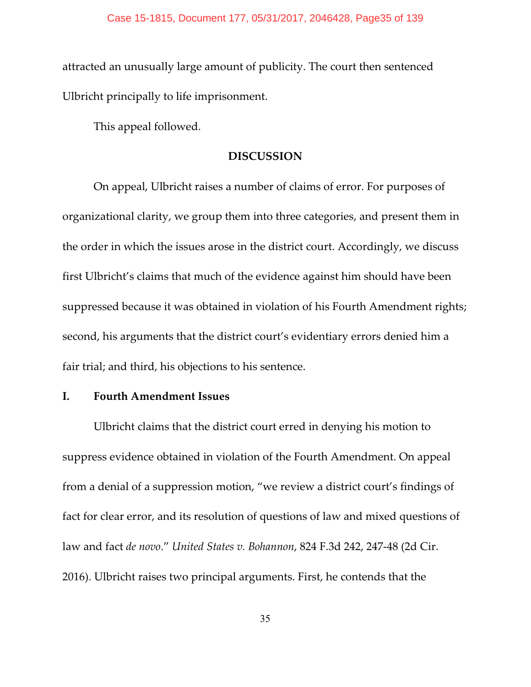attracted an unusually large amount of publicity. The court then sentenced Ulbricht principally to life imprisonment.

This appeal followed.

### **DISCUSSION**

On appeal, Ulbricht raises a number of claims of error. For purposes of organizational clarity, we group them into three categories, and present them in the order in which the issues arose in the district court. Accordingly, we discuss first Ulbricht's claims that much of the evidence against him should have been suppressed because it was obtained in violation of his Fourth Amendment rights; second, his arguments that the district court's evidentiary errors denied him a fair trial; and third, his objections to his sentence.

# **I. Fourth Amendment Issues**

Ulbricht claims that the district court erred in denying his motion to suppress evidence obtained in violation of the Fourth Amendment. On appeal from a denial of a suppression motion, "we review a district court's findings of fact for clear error, and its resolution of questions of law and mixed questions of law and fact *de novo*." *United States v. Bohannon*, 824 F.3d 242, 247-48 (2d Cir. 2016). Ulbricht raises two principal arguments. First, he contends that the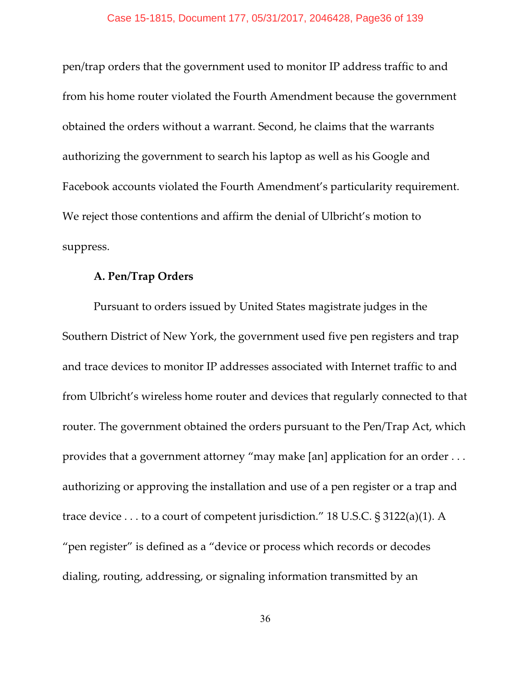pen/trap orders that the government used to monitor IP address traffic to and from his home router violated the Fourth Amendment because the government obtained the orders without a warrant. Second, he claims that the warrants authorizing the government to search his laptop as well as his Google and Facebook accounts violated the Fourth Amendment's particularity requirement. We reject those contentions and affirm the denial of Ulbricht's motion to suppress.

### **A. Pen/Trap Orders**

Pursuant to orders issued by United States magistrate judges in the Southern District of New York, the government used five pen registers and trap and trace devices to monitor IP addresses associated with Internet traffic to and from Ulbricht's wireless home router and devices that regularly connected to that router. The government obtained the orders pursuant to the Pen/Trap Act, which provides that a government attorney "may make [an] application for an order . . . authorizing or approving the installation and use of a pen register or a trap and trace device . . . to a court of competent jurisdiction." 18 U.S.C. § 3122(a)(1). A "pen register" is defined as a "device or process which records or decodes dialing, routing, addressing, or signaling information transmitted by an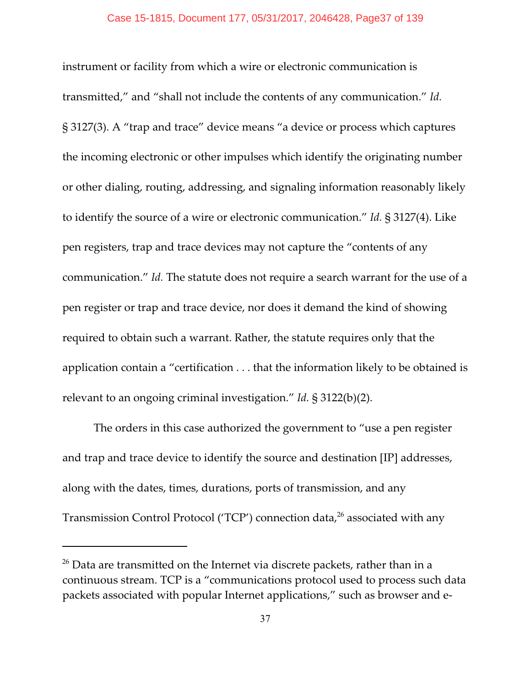instrument or facility from which a wire or electronic communication is transmitted," and "shall not include the contents of any communication." *Id.* § 3127(3). A "trap and trace" device means "a device or process which captures the incoming electronic or other impulses which identify the originating number or other dialing, routing, addressing, and signaling information reasonably likely to identify the source of a wire or electronic communication." *Id.* § 3127(4). Like pen registers, trap and trace devices may not capture the "contents of any communication." *Id.* The statute does not require a search warrant for the use of a pen register or trap and trace device, nor does it demand the kind of showing required to obtain such a warrant. Rather, the statute requires only that the application contain a "certification . . . that the information likely to be obtained is relevant to an ongoing criminal investigation." *Id.* § 3122(b)(2).

The orders in this case authorized the government to "use a pen register and trap and trace device to identify the source and destination [IP] addresses, along with the dates, times, durations, ports of transmission, and any Transmission Control Protocol ('TCP') connection data,  $26$  associated with any

 $26$  Data are transmitted on the Internet via discrete packets, rather than in a continuous stream. TCP is a "communications protocol used to process such data packets associated with popular Internet applications," such as browser and e-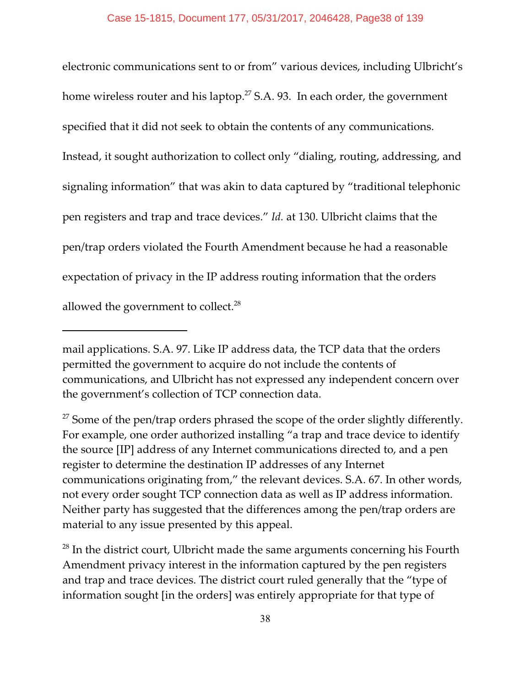electronic communications sent to or from" various devices, including Ulbricht's home wireless router and his laptop.<sup>27</sup> S.A. 93. In each order, the government specified that it did not seek to obtain the contents of any communications. Instead, it sought authorization to collect only "dialing, routing, addressing, and signaling information" that was akin to data captured by "traditional telephonic pen registers and trap and trace devices." *Id.* at 130. Ulbricht claims that the pen/trap orders violated the Fourth Amendment because he had a reasonable expectation of privacy in the IP address routing information that the orders allowed the government to collect. $^{28}$ 

mail applications. S.A. 97. Like IP address data, the TCP data that the orders permitted the government to acquire do not include the contents of communications, and Ulbricht has not expressed any independent concern over the government's collection of TCP connection data.

 $27$  Some of the pen/trap orders phrased the scope of the order slightly differently. For example, one order authorized installing "a trap and trace device to identify the source [IP] address of any Internet communications directed to, and a pen register to determine the destination IP addresses of any Internet communications originating from," the relevant devices. S.A. 67. In other words, not every order sought TCP connection data as well as IP address information. Neither party has suggested that the differences among the pen/trap orders are material to any issue presented by this appeal.

 $^{28}$  In the district court, Ulbricht made the same arguments concerning his Fourth Amendment privacy interest in the information captured by the pen registers and trap and trace devices. The district court ruled generally that the "type of information sought [in the orders] was entirely appropriate for that type of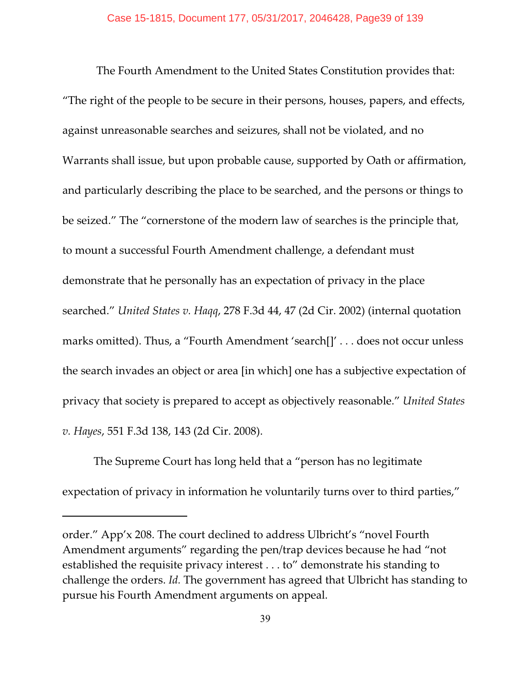The Fourth Amendment to the United States Constitution provides that: "The right of the people to be secure in their persons, houses, papers, and effects, against unreasonable searches and seizures, shall not be violated, and no Warrants shall issue, but upon probable cause, supported by Oath or affirmation, and particularly describing the place to be searched, and the persons or things to be seized." The "cornerstone of the modern law of searches is the principle that, to mount a successful Fourth Amendment challenge, a defendant must demonstrate that he personally has an expectation of privacy in the place searched." *United States v. Haqq*, 278 F.3d 44, 47 (2d Cir. 2002) (internal quotation marks omitted). Thus, a "Fourth Amendment 'search[]' . . . does not occur unless the search invades an object or area [in which] one has a subjective expectation of privacy that society is prepared to accept as objectively reasonable." *United States v. Hayes*, 551 F.3d 138, 143 (2d Cir. 2008).

The Supreme Court has long held that a "person has no legitimate expectation of privacy in information he voluntarily turns over to third parties,"

order." App'x 208. The court declined to address Ulbricht's "novel Fourth Amendment arguments" regarding the pen/trap devices because he had "not established the requisite privacy interest . . . to" demonstrate his standing to challenge the orders. *Id.* The government has agreed that Ulbricht has standing to pursue his Fourth Amendment arguments on appeal.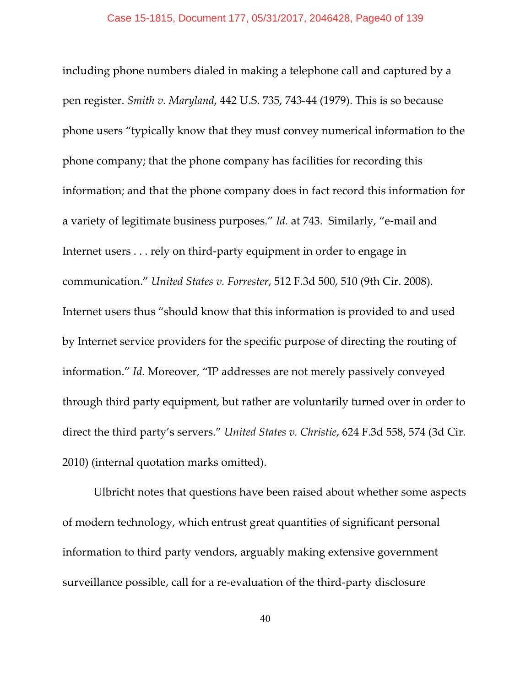including phone numbers dialed in making a telephone call and captured by a pen register. *Smith v. Maryland*, 442 U.S. 735, 743-44 (1979). This is so because phone users "typically know that they must convey numerical information to the phone company; that the phone company has facilities for recording this information; and that the phone company does in fact record this information for a variety of legitimate business purposes." *Id.* at 743. Similarly, "e-mail and Internet users . . . rely on third-party equipment in order to engage in communication." *United States v. Forrester*, 512 F.3d 500, 510 (9th Cir. 2008). Internet users thus "should know that this information is provided to and used by Internet service providers for the specific purpose of directing the routing of information." *Id.* Moreover, "IP addresses are not merely passively conveyed through third party equipment, but rather are voluntarily turned over in order to direct the third party's servers." *United States v. Christie*, 624 F.3d 558, 574 (3d Cir. 2010) (internal quotation marks omitted).

Ulbricht notes that questions have been raised about whether some aspects of modern technology, which entrust great quantities of significant personal information to third party vendors, arguably making extensive government surveillance possible, call for a re-evaluation of the third-party disclosure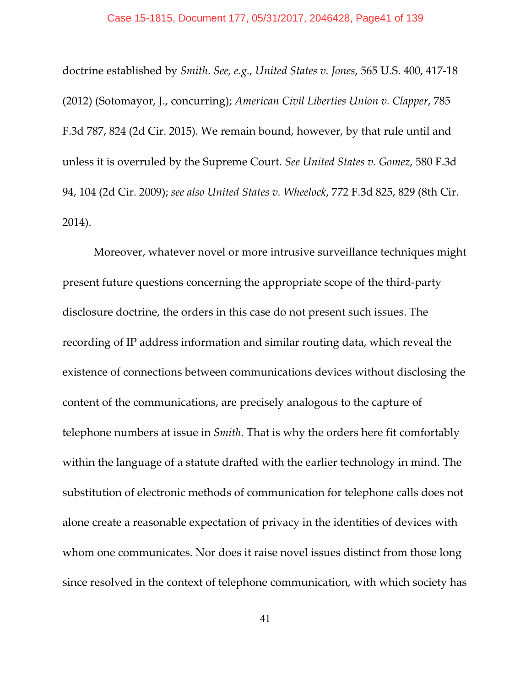#### Case 15-1815, Document 177, 05/31/2017, 2046428, Page41 of 139

doctrine established by *Smith*. *See, e.g.*, *United States v. Jones*, 565 U.S. 400, 417-18 (2012) (Sotomayor, J., concurring); *American Civil Liberties Union v. Clapper*, 785 F.3d 787, 824 (2d Cir. 2015). We remain bound, however, by that rule until and unless it is overruled by the Supreme Court. *See United States v. Gomez*, 580 F.3d 94, 104 (2d Cir. 2009); *see also United States v. Wheelock*, 772 F.3d 825, 829 (8th Cir. 2014).

Moreover, whatever novel or more intrusive surveillance techniques might present future questions concerning the appropriate scope of the third-party disclosure doctrine, the orders in this case do not present such issues. The recording of IP address information and similar routing data, which reveal the existence of connections between communications devices without disclosing the content of the communications, are precisely analogous to the capture of telephone numbers at issue in *Smith*. That is why the orders here fit comfortably within the language of a statute drafted with the earlier technology in mind. The substitution of electronic methods of communication for telephone calls does not alone create a reasonable expectation of privacy in the identities of devices with whom one communicates. Nor does it raise novel issues distinct from those long since resolved in the context of telephone communication, with which society has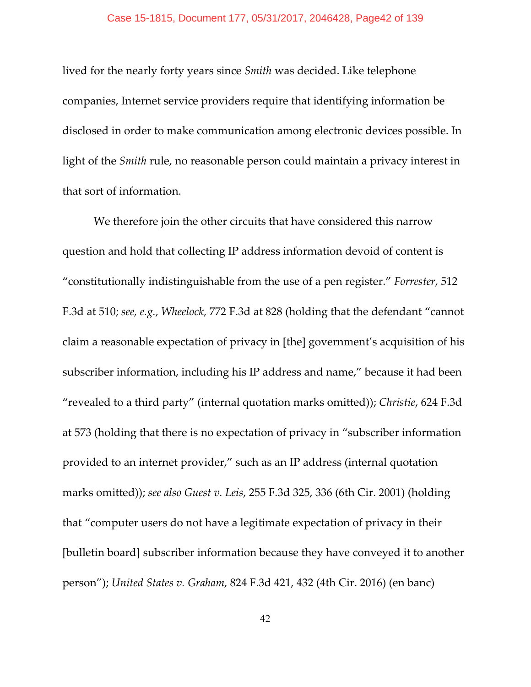lived for the nearly forty years since *Smith* was decided. Like telephone companies, Internet service providers require that identifying information be disclosed in order to make communication among electronic devices possible. In light of the *Smith* rule, no reasonable person could maintain a privacy interest in that sort of information.

We therefore join the other circuits that have considered this narrow question and hold that collecting IP address information devoid of content is "constitutionally indistinguishable from the use of a pen register." *Forrester*, 512 F.3d at 510; *see, e.g.*, *Wheelock*, 772 F.3d at 828 (holding that the defendant "cannot claim a reasonable expectation of privacy in [the] government's acquisition of his subscriber information, including his IP address and name," because it had been "revealed to a third party" (internal quotation marks omitted)); *Christie*, 624 F.3d at 573 (holding that there is no expectation of privacy in "subscriber information provided to an internet provider," such as an IP address (internal quotation marks omitted)); *see also Guest v. Leis*, 255 F.3d 325, 336 (6th Cir. 2001) (holding that "computer users do not have a legitimate expectation of privacy in their [bulletin board] subscriber information because they have conveyed it to another person"); *United States v. Graham*, 824 F.3d 421, 432 (4th Cir. 2016) (en banc)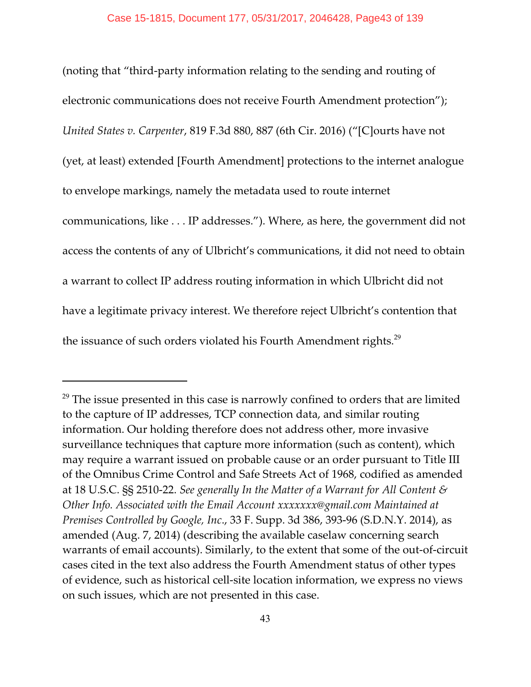(noting that "third-party information relating to the sending and routing of electronic communications does not receive Fourth Amendment protection"); *United States v. Carpenter*, 819 F.3d 880, 887 (6th Cir. 2016) ("[C]ourts have not (yet, at least) extended [Fourth Amendment] protections to the internet analogue to envelope markings, namely the metadata used to route internet communications, like . . . IP addresses."). Where, as here, the government did not access the contents of any of Ulbricht's communications, it did not need to obtain a warrant to collect IP address routing information in which Ulbricht did not have a legitimate privacy interest. We therefore reject Ulbricht's contention that the issuance of such orders violated his Fourth Amendment rights.<sup>29</sup>

 $29$  The issue presented in this case is narrowly confined to orders that are limited to the capture of IP addresses, TCP connection data, and similar routing information. Our holding therefore does not address other, more invasive surveillance techniques that capture more information (such as content), which may require a warrant issued on probable cause or an order pursuant to Title III of the Omnibus Crime Control and Safe Streets Act of 1968, codified as amended at 18 U.S.C. §§ 2510-22. *See generally In the Matter of a Warrant for All Content & Other Info. Associated with the Email Account xxxxxxx@gmail.com Maintained at Premises Controlled by Google, Inc*., 33 F. Supp. 3d 386, 393-96 (S.D.N.Y. 2014), as amended (Aug. 7, 2014) (describing the available caselaw concerning search warrants of email accounts). Similarly, to the extent that some of the out-of-circuit cases cited in the text also address the Fourth Amendment status of other types of evidence, such as historical cell-site location information, we express no views on such issues, which are not presented in this case.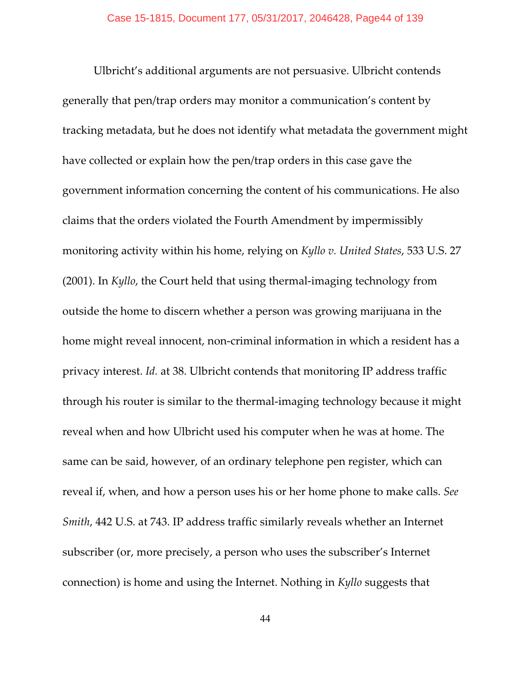Ulbricht's additional arguments are not persuasive. Ulbricht contends generally that pen/trap orders may monitor a communication's content by tracking metadata, but he does not identify what metadata the government might have collected or explain how the pen/trap orders in this case gave the government information concerning the content of his communications. He also claims that the orders violated the Fourth Amendment by impermissibly monitoring activity within his home, relying on *Kyllo v. United States*, 533 U.S. 27 (2001). In *Kyllo*, the Court held that using thermal-imaging technology from outside the home to discern whether a person was growing marijuana in the home might reveal innocent, non-criminal information in which a resident has a privacy interest. *Id.* at 38. Ulbricht contends that monitoring IP address traffic through his router is similar to the thermal-imaging technology because it might reveal when and how Ulbricht used his computer when he was at home. The same can be said, however, of an ordinary telephone pen register, which can reveal if, when, and how a person uses his or her home phone to make calls. *See Smith*, 442 U.S. at 743. IP address traffic similarly reveals whether an Internet subscriber (or, more precisely, a person who uses the subscriber's Internet connection) is home and using the Internet. Nothing in *Kyllo* suggests that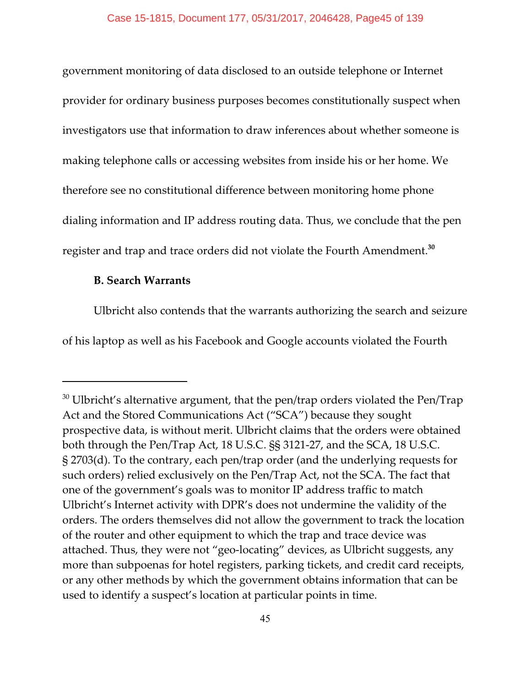government monitoring of data disclosed to an outside telephone or Internet provider for ordinary business purposes becomes constitutionally suspect when investigators use that information to draw inferences about whether someone is making telephone calls or accessing websites from inside his or her home. We therefore see no constitutional difference between monitoring home phone dialing information and IP address routing data. Thus, we conclude that the pen register and trap and trace orders did not violate the Fourth Amendment.**<sup>30</sup>**

# **B. Search Warrants**

Ulbricht also contends that the warrants authorizing the search and seizure of his laptop as well as his Facebook and Google accounts violated the Fourth

 $30$  Ulbricht's alternative argument, that the pen/trap orders violated the Pen/Trap Act and the Stored Communications Act ("SCA") because they sought prospective data, is without merit. Ulbricht claims that the orders were obtained both through the Pen/Trap Act, 18 U.S.C. §§ 3121-27, and the SCA, 18 U.S.C. § 2703(d). To the contrary, each pen/trap order (and the underlying requests for such orders) relied exclusively on the Pen/Trap Act, not the SCA. The fact that one of the government's goals was to monitor IP address traffic to match Ulbricht's Internet activity with DPR's does not undermine the validity of the orders. The orders themselves did not allow the government to track the location of the router and other equipment to which the trap and trace device was attached. Thus, they were not "geo-locating" devices, as Ulbricht suggests, any more than subpoenas for hotel registers, parking tickets, and credit card receipts, or any other methods by which the government obtains information that can be used to identify a suspect's location at particular points in time.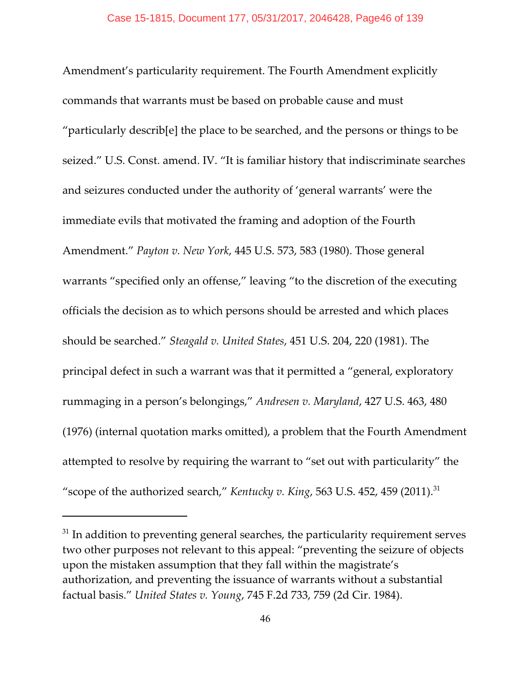Amendment's particularity requirement. The Fourth Amendment explicitly commands that warrants must be based on probable cause and must "particularly describ[e] the place to be searched, and the persons or things to be seized." U.S. Const. amend. IV. "It is familiar history that indiscriminate searches and seizures conducted under the authority of 'general warrants' were the immediate evils that motivated the framing and adoption of the Fourth Amendment." *Payton v. New York*, 445 U.S. 573, 583 (1980). Those general warrants "specified only an offense," leaving "to the discretion of the executing officials the decision as to which persons should be arrested and which places should be searched." *Steagald v. United States*, 451 U.S. 204, 220 (1981). The principal defect in such a warrant was that it permitted a "general, exploratory rummaging in a person's belongings," *Andresen v. Maryland*, 427 U.S. 463, 480 (1976) (internal quotation marks omitted), a problem that the Fourth Amendment attempted to resolve by requiring the warrant to "set out with particularity" the "scope of the authorized search," *Kentucky v. King*, 563 U.S. 452, 459 (2011).<sup>31</sup>

 $31$  In addition to preventing general searches, the particularity requirement serves two other purposes not relevant to this appeal: "preventing the seizure of objects upon the mistaken assumption that they fall within the magistrate's authorization, and preventing the issuance of warrants without a substantial factual basis." *United States v. Young*, 745 F.2d 733, 759 (2d Cir. 1984).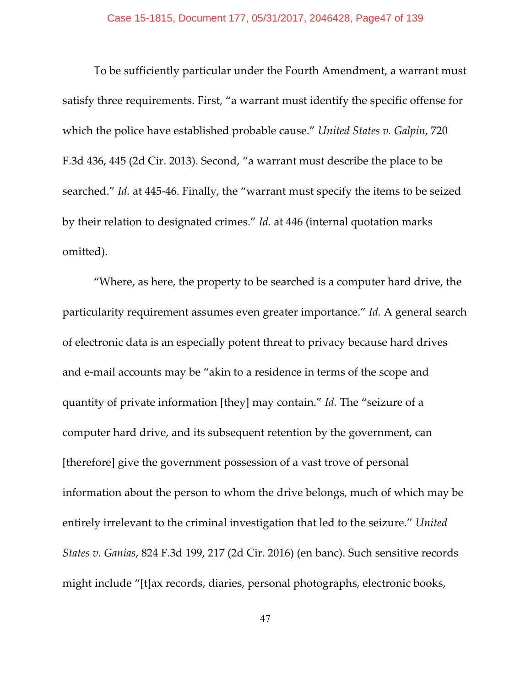To be sufficiently particular under the Fourth Amendment, a warrant must satisfy three requirements. First, "a warrant must identify the specific offense for which the police have established probable cause." *United States v. Galpin*, 720 F.3d 436, 445 (2d Cir. 2013). Second, "a warrant must describe the place to be searched." *Id.* at 445-46. Finally, the "warrant must specify the items to be seized by their relation to designated crimes." *Id.* at 446 (internal quotation marks omitted).

"Where, as here, the property to be searched is a computer hard drive, the particularity requirement assumes even greater importance." *Id.* A general search of electronic data is an especially potent threat to privacy because hard drives and e-mail accounts may be "akin to a residence in terms of the scope and quantity of private information [they] may contain." *Id.* The "seizure of a computer hard drive, and its subsequent retention by the government, can [therefore] give the government possession of a vast trove of personal information about the person to whom the drive belongs, much of which may be entirely irrelevant to the criminal investigation that led to the seizure." *United States v. Ganias*, 824 F.3d 199, 217 (2d Cir. 2016) (en banc). Such sensitive records might include "[t]ax records, diaries, personal photographs, electronic books,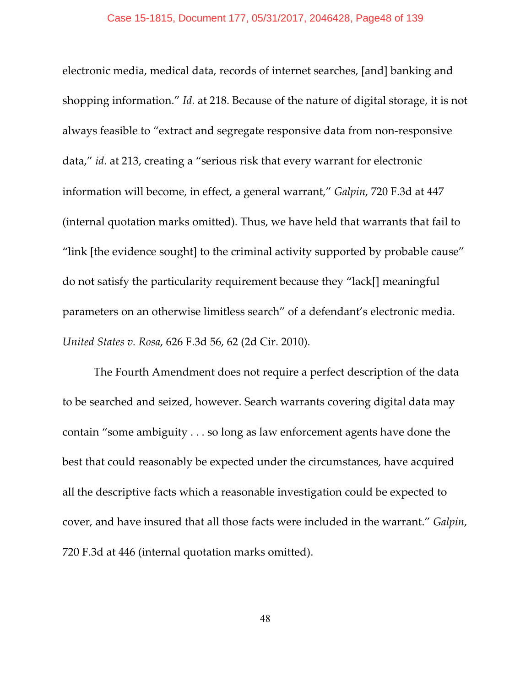electronic media, medical data, records of internet searches, [and] banking and shopping information." *Id.* at 218. Because of the nature of digital storage, it is not always feasible to "extract and segregate responsive data from non-responsive data," *id.* at 213, creating a "serious risk that every warrant for electronic information will become, in effect, a general warrant," *Galpin*, 720 F.3d at 447 (internal quotation marks omitted). Thus, we have held that warrants that fail to "link [the evidence sought] to the criminal activity supported by probable cause" do not satisfy the particularity requirement because they "lack[] meaningful parameters on an otherwise limitless search" of a defendant's electronic media. *United States v. Rosa*, 626 F.3d 56, 62 (2d Cir. 2010).

The Fourth Amendment does not require a perfect description of the data to be searched and seized, however. Search warrants covering digital data may contain "some ambiguity . . . so long as law enforcement agents have done the best that could reasonably be expected under the circumstances, have acquired all the descriptive facts which a reasonable investigation could be expected to cover, and have insured that all those facts were included in the warrant." *Galpin*, 720 F.3d at 446 (internal quotation marks omitted).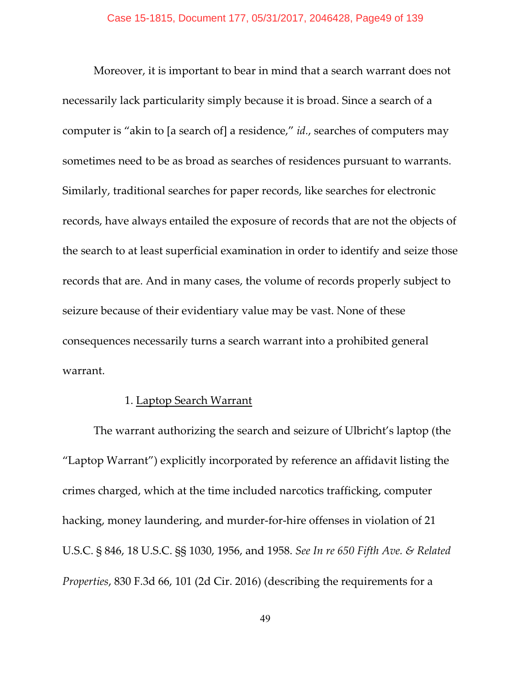Moreover, it is important to bear in mind that a search warrant does not necessarily lack particularity simply because it is broad. Since a search of a computer is "akin to [a search of] a residence," *id.*, searches of computers may sometimes need to be as broad as searches of residences pursuant to warrants. Similarly, traditional searches for paper records, like searches for electronic records, have always entailed the exposure of records that are not the objects of the search to at least superficial examination in order to identify and seize those records that are. And in many cases, the volume of records properly subject to seizure because of their evidentiary value may be vast. None of these consequences necessarily turns a search warrant into a prohibited general warrant.

### 1. Laptop Search Warrant

The warrant authorizing the search and seizure of Ulbricht's laptop (the "Laptop Warrant") explicitly incorporated by reference an affidavit listing the crimes charged, which at the time included narcotics trafficking, computer hacking, money laundering, and murder-for-hire offenses in violation of 21 U.S.C. § 846, 18 U.S.C. §§ 1030, 1956, and 1958. *See In re 650 Fifth Ave. & Related Properties*, 830 F.3d 66, 101 (2d Cir. 2016) (describing the requirements for a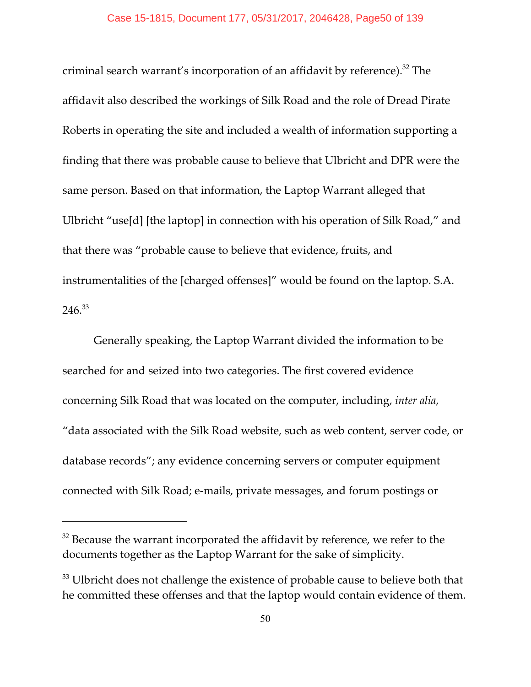criminal search warrant's incorporation of an affidavit by reference).<sup>32</sup> The affidavit also described the workings of Silk Road and the role of Dread Pirate Roberts in operating the site and included a wealth of information supporting a finding that there was probable cause to believe that Ulbricht and DPR were the same person. Based on that information, the Laptop Warrant alleged that Ulbricht "use[d] [the laptop] in connection with his operation of Silk Road," and that there was "probable cause to believe that evidence, fruits, and instrumentalities of the [charged offenses]" would be found on the laptop. S.A. 246.<sup>33</sup>

Generally speaking, the Laptop Warrant divided the information to be searched for and seized into two categories. The first covered evidence concerning Silk Road that was located on the computer, including, *inter alia*, "data associated with the Silk Road website, such as web content, server code, or database records"; any evidence concerning servers or computer equipment connected with Silk Road; e-mails, private messages, and forum postings or

 $32$  Because the warrant incorporated the affidavit by reference, we refer to the documents together as the Laptop Warrant for the sake of simplicity.

 $33$  Ulbricht does not challenge the existence of probable cause to believe both that he committed these offenses and that the laptop would contain evidence of them.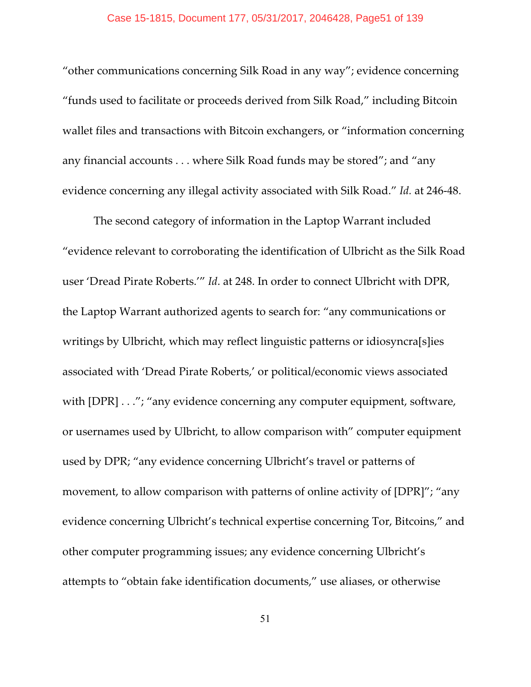"other communications concerning Silk Road in any way"; evidence concerning "funds used to facilitate or proceeds derived from Silk Road," including Bitcoin wallet files and transactions with Bitcoin exchangers, or "information concerning any financial accounts . . . where Silk Road funds may be stored"; and "any evidence concerning any illegal activity associated with Silk Road." *Id.* at 246-48.

The second category of information in the Laptop Warrant included "evidence relevant to corroborating the identification of Ulbricht as the Silk Road user 'Dread Pirate Roberts.'" *Id*. at 248. In order to connect Ulbricht with DPR, the Laptop Warrant authorized agents to search for: "any communications or writings by Ulbricht, which may reflect linguistic patterns or idiosyncra[s]ies associated with 'Dread Pirate Roberts,' or political/economic views associated with [DPR] . . ."; "any evidence concerning any computer equipment, software, or usernames used by Ulbricht, to allow comparison with" computer equipment used by DPR; "any evidence concerning Ulbricht's travel or patterns of movement, to allow comparison with patterns of online activity of [DPR]"; "any evidence concerning Ulbricht's technical expertise concerning Tor, Bitcoins," and other computer programming issues; any evidence concerning Ulbricht's attempts to "obtain fake identification documents," use aliases, or otherwise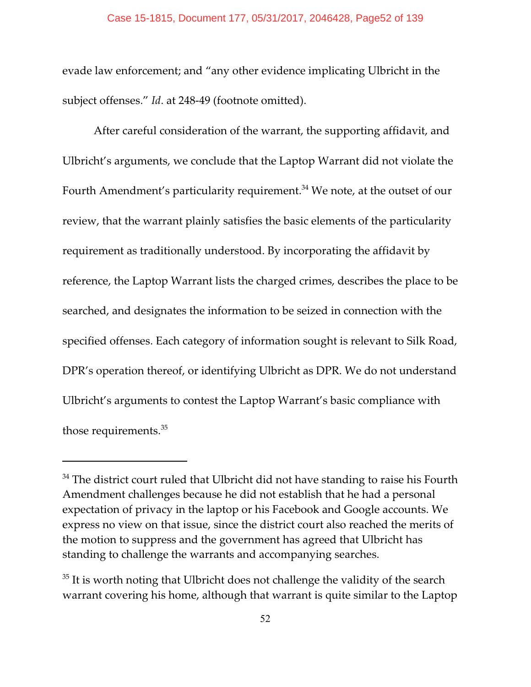evade law enforcement; and "any other evidence implicating Ulbricht in the subject offenses." *Id.* at 248-49 (footnote omitted).

After careful consideration of the warrant, the supporting affidavit, and Ulbricht's arguments, we conclude that the Laptop Warrant did not violate the Fourth Amendment's particularity requirement. $34$  We note, at the outset of our review, that the warrant plainly satisfies the basic elements of the particularity requirement as traditionally understood. By incorporating the affidavit by reference, the Laptop Warrant lists the charged crimes, describes the place to be searched, and designates the information to be seized in connection with the specified offenses. Each category of information sought is relevant to Silk Road, DPR's operation thereof, or identifying Ulbricht as DPR. We do not understand Ulbricht's arguments to contest the Laptop Warrant's basic compliance with those requirements.<sup>35</sup>

 $34$  The district court ruled that Ulbricht did not have standing to raise his Fourth Amendment challenges because he did not establish that he had a personal expectation of privacy in the laptop or his Facebook and Google accounts. We express no view on that issue, since the district court also reached the merits of the motion to suppress and the government has agreed that Ulbricht has standing to challenge the warrants and accompanying searches.

 $35$  It is worth noting that Ulbricht does not challenge the validity of the search warrant covering his home, although that warrant is quite similar to the Laptop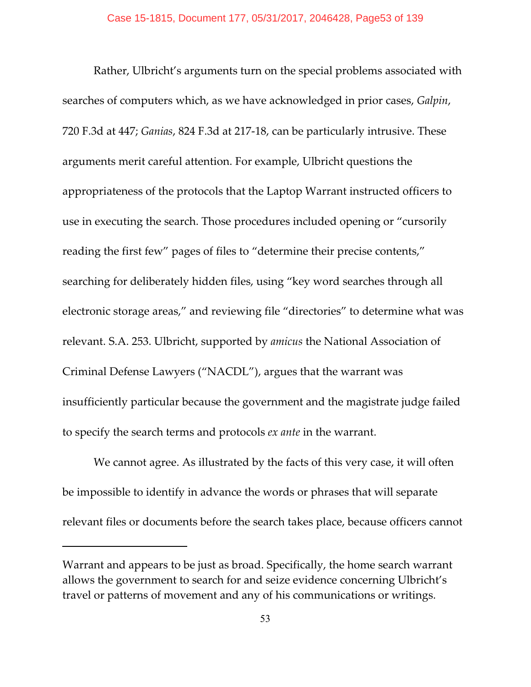Rather, Ulbricht's arguments turn on the special problems associated with searches of computers which, as we have acknowledged in prior cases, *Galpin*, 720 F.3d at 447; *Ganias*, 824 F.3d at 217-18, can be particularly intrusive. These arguments merit careful attention. For example, Ulbricht questions the appropriateness of the protocols that the Laptop Warrant instructed officers to use in executing the search. Those procedures included opening or "cursorily reading the first few" pages of files to "determine their precise contents," searching for deliberately hidden files, using "key word searches through all electronic storage areas," and reviewing file "directories" to determine what was relevant. S.A. 253. Ulbricht, supported by *amicus* the National Association of Criminal Defense Lawyers ("NACDL"), argues that the warrant was insufficiently particular because the government and the magistrate judge failed to specify the search terms and protocols *ex ante* in the warrant.

We cannot agree. As illustrated by the facts of this very case, it will often be impossible to identify in advance the words or phrases that will separate relevant files or documents before the search takes place, because officers cannot

Warrant and appears to be just as broad. Specifically, the home search warrant allows the government to search for and seize evidence concerning Ulbricht's travel or patterns of movement and any of his communications or writings.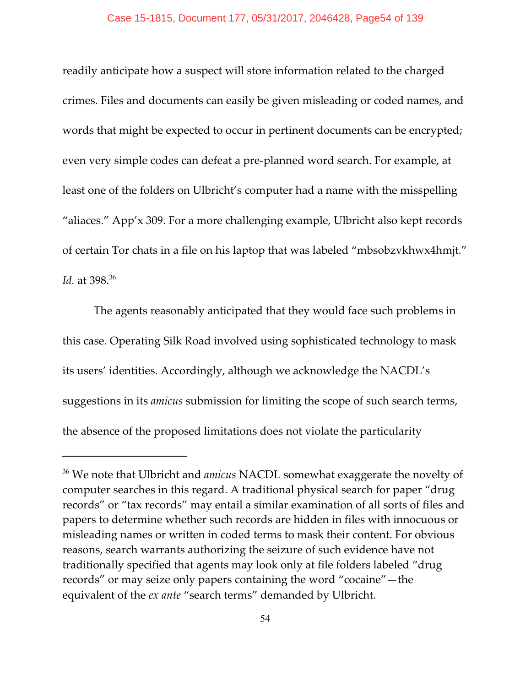readily anticipate how a suspect will store information related to the charged crimes. Files and documents can easily be given misleading or coded names, and words that might be expected to occur in pertinent documents can be encrypted; even very simple codes can defeat a pre-planned word search. For example, at least one of the folders on Ulbricht's computer had a name with the misspelling "aliaces." App'x 309. For a more challenging example, Ulbricht also kept records of certain Tor chats in a file on his laptop that was labeled "mbsobzvkhwx4hmjt." *Id.* at 398.<sup>36</sup>

The agents reasonably anticipated that they would face such problems in this case. Operating Silk Road involved using sophisticated technology to mask its users' identities. Accordingly, although we acknowledge the NACDL's suggestions in its *amicus* submission for limiting the scope of such search terms, the absence of the proposed limitations does not violate the particularity

<sup>&</sup>lt;sup>36</sup> We note that Ulbricht and *amicus* NACDL somewhat exaggerate the novelty of computer searches in this regard. A traditional physical search for paper "drug records" or "tax records" may entail a similar examination of all sorts of files and papers to determine whether such records are hidden in files with innocuous or misleading names or written in coded terms to mask their content. For obvious reasons, search warrants authorizing the seizure of such evidence have not traditionally specified that agents may look only at file folders labeled "drug records" or may seize only papers containing the word "cocaine"—the equivalent of the *ex ante* "search terms" demanded by Ulbricht.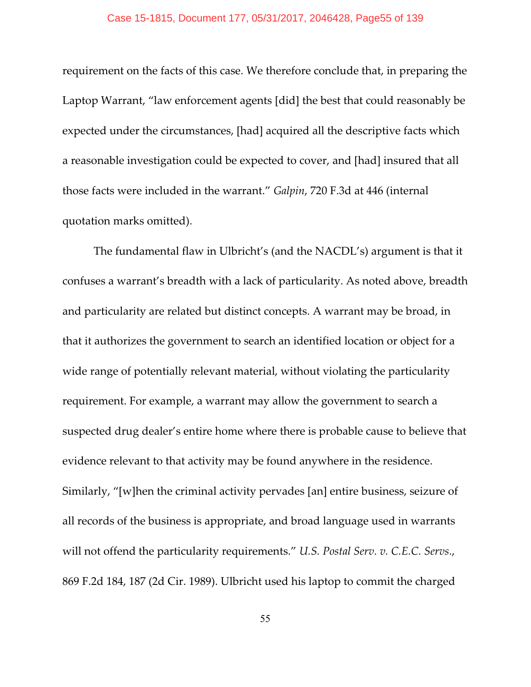requirement on the facts of this case. We therefore conclude that, in preparing the Laptop Warrant, "law enforcement agents [did] the best that could reasonably be expected under the circumstances, [had] acquired all the descriptive facts which a reasonable investigation could be expected to cover, and [had] insured that all those facts were included in the warrant." *Galpin*, 720 F.3d at 446 (internal quotation marks omitted).

The fundamental flaw in Ulbricht's (and the NACDL's) argument is that it confuses a warrant's breadth with a lack of particularity. As noted above, breadth and particularity are related but distinct concepts. A warrant may be broad, in that it authorizes the government to search an identified location or object for a wide range of potentially relevant material, without violating the particularity requirement. For example, a warrant may allow the government to search a suspected drug dealer's entire home where there is probable cause to believe that evidence relevant to that activity may be found anywhere in the residence. Similarly, "[w]hen the criminal activity pervades [an] entire business, seizure of all records of the business is appropriate, and broad language used in warrants will not offend the particularity requirements." *U.S. Postal Serv. v. C.E.C. Servs*., 869 F.2d 184, 187 (2d Cir. 1989). Ulbricht used his laptop to commit the charged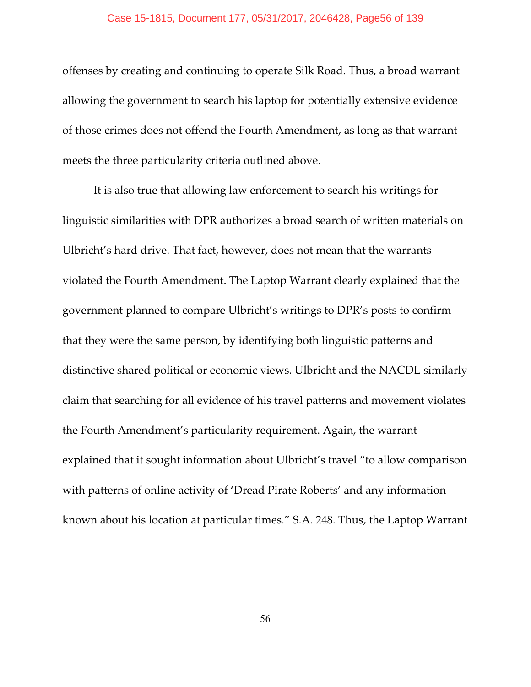offenses by creating and continuing to operate Silk Road. Thus, a broad warrant allowing the government to search his laptop for potentially extensive evidence of those crimes does not offend the Fourth Amendment, as long as that warrant meets the three particularity criteria outlined above.

It is also true that allowing law enforcement to search his writings for linguistic similarities with DPR authorizes a broad search of written materials on Ulbricht's hard drive. That fact, however, does not mean that the warrants violated the Fourth Amendment. The Laptop Warrant clearly explained that the government planned to compare Ulbricht's writings to DPR's posts to confirm that they were the same person, by identifying both linguistic patterns and distinctive shared political or economic views. Ulbricht and the NACDL similarly claim that searching for all evidence of his travel patterns and movement violates the Fourth Amendment's particularity requirement. Again, the warrant explained that it sought information about Ulbricht's travel "to allow comparison with patterns of online activity of 'Dread Pirate Roberts' and any information known about his location at particular times." S.A. 248. Thus, the Laptop Warrant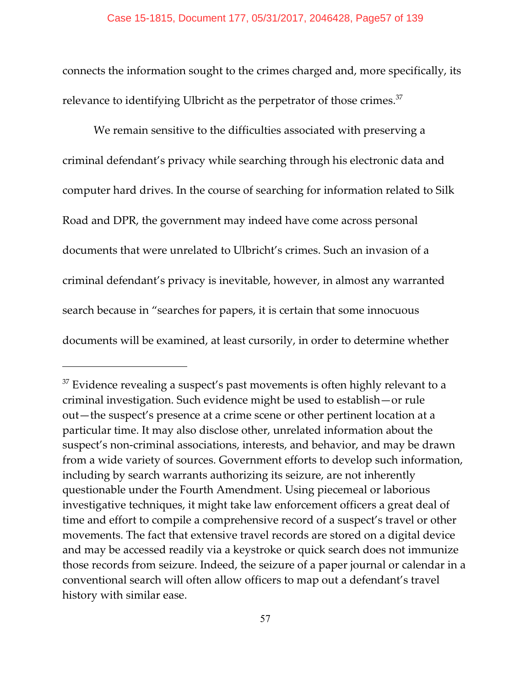connects the information sought to the crimes charged and, more specifically, its relevance to identifying Ulbricht as the perpetrator of those crimes.<sup>37</sup>

We remain sensitive to the difficulties associated with preserving a criminal defendant's privacy while searching through his electronic data and computer hard drives. In the course of searching for information related to Silk Road and DPR, the government may indeed have come across personal documents that were unrelated to Ulbricht's crimes. Such an invasion of a criminal defendant's privacy is inevitable, however, in almost any warranted search because in "searches for papers, it is certain that some innocuous documents will be examined, at least cursorily, in order to determine whether

 $37$  Evidence revealing a suspect's past movements is often highly relevant to a criminal investigation. Such evidence might be used to establish—or rule out—the suspect's presence at a crime scene or other pertinent location at a particular time. It may also disclose other, unrelated information about the suspect's non-criminal associations, interests, and behavior, and may be drawn from a wide variety of sources. Government efforts to develop such information, including by search warrants authorizing its seizure, are not inherently questionable under the Fourth Amendment. Using piecemeal or laborious investigative techniques, it might take law enforcement officers a great deal of time and effort to compile a comprehensive record of a suspect's travel or other movements. The fact that extensive travel records are stored on a digital device and may be accessed readily via a keystroke or quick search does not immunize those records from seizure. Indeed, the seizure of a paper journal or calendar in a conventional search will often allow officers to map out a defendant's travel history with similar ease.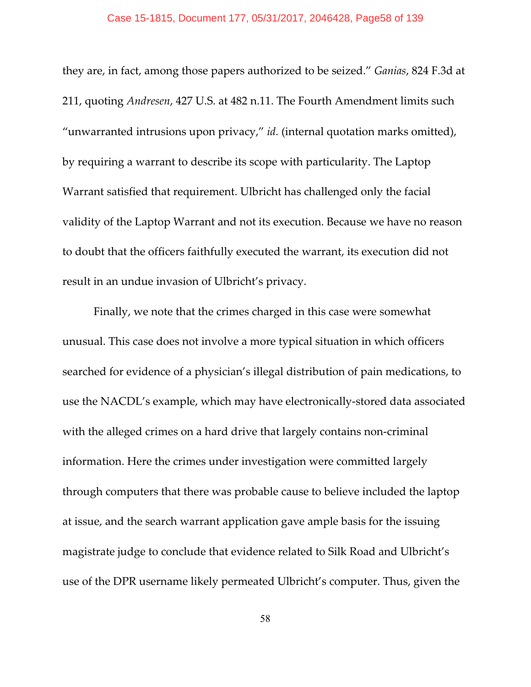#### Case 15-1815, Document 177, 05/31/2017, 2046428, Page58 of 139

they are, in fact, among those papers authorized to be seized." *Ganias*, 824 F.3d at 211, quoting *Andresen*, 427 U.S. at 482 n.11. The Fourth Amendment limits such "unwarranted intrusions upon privacy," *id.* (internal quotation marks omitted), by requiring a warrant to describe its scope with particularity. The Laptop Warrant satisfied that requirement. Ulbricht has challenged only the facial validity of the Laptop Warrant and not its execution. Because we have no reason to doubt that the officers faithfully executed the warrant, its execution did not result in an undue invasion of Ulbricht's privacy.

Finally, we note that the crimes charged in this case were somewhat unusual. This case does not involve a more typical situation in which officers searched for evidence of a physician's illegal distribution of pain medications, to use the NACDL's example, which may have electronically-stored data associated with the alleged crimes on a hard drive that largely contains non-criminal information. Here the crimes under investigation were committed largely through computers that there was probable cause to believe included the laptop at issue, and the search warrant application gave ample basis for the issuing magistrate judge to conclude that evidence related to Silk Road and Ulbricht's use of the DPR username likely permeated Ulbricht's computer. Thus, given the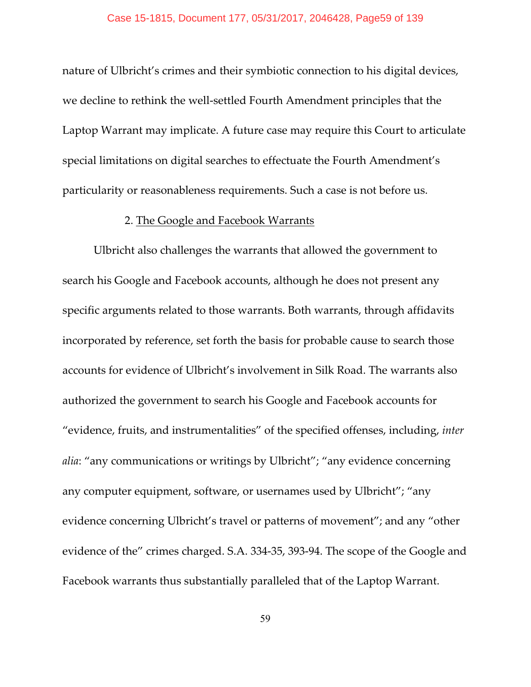nature of Ulbricht's crimes and their symbiotic connection to his digital devices, we decline to rethink the well-settled Fourth Amendment principles that the Laptop Warrant may implicate. A future case may require this Court to articulate special limitations on digital searches to effectuate the Fourth Amendment's particularity or reasonableness requirements. Such a case is not before us.

## 2. The Google and Facebook Warrants

Ulbricht also challenges the warrants that allowed the government to search his Google and Facebook accounts, although he does not present any specific arguments related to those warrants. Both warrants, through affidavits incorporated by reference, set forth the basis for probable cause to search those accounts for evidence of Ulbricht's involvement in Silk Road. The warrants also authorized the government to search his Google and Facebook accounts for "evidence, fruits, and instrumentalities" of the specified offenses, including, *inter alia*: "any communications or writings by Ulbricht"; "any evidence concerning any computer equipment, software, or usernames used by Ulbricht"; "any evidence concerning Ulbricht's travel or patterns of movement"; and any "other evidence of the" crimes charged. S.A. 334-35, 393-94. The scope of the Google and Facebook warrants thus substantially paralleled that of the Laptop Warrant.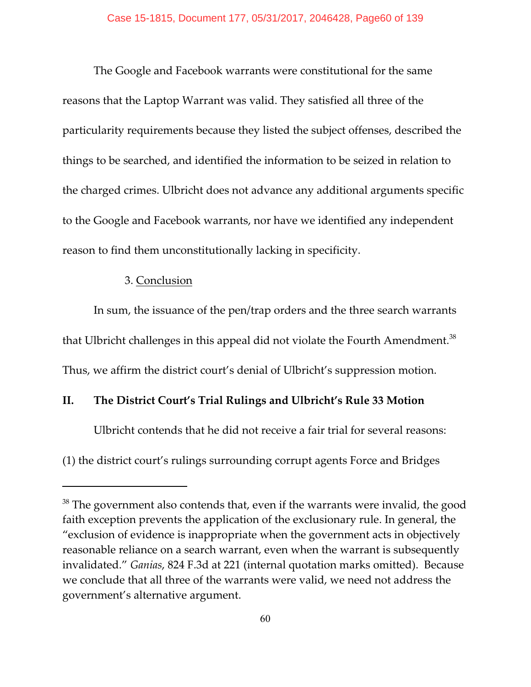The Google and Facebook warrants were constitutional for the same reasons that the Laptop Warrant was valid. They satisfied all three of the particularity requirements because they listed the subject offenses, described the things to be searched, and identified the information to be seized in relation to the charged crimes. Ulbricht does not advance any additional arguments specific to the Google and Facebook warrants, nor have we identified any independent reason to find them unconstitutionally lacking in specificity.

### 3. Conclusion

In sum, the issuance of the pen/trap orders and the three search warrants that Ulbricht challenges in this appeal did not violate the Fourth Amendment.<sup>38</sup> Thus, we affirm the district court's denial of Ulbricht's suppression motion.

# **II. The District Court's Trial Rulings and Ulbricht's Rule 33 Motion**

Ulbricht contends that he did not receive a fair trial for several reasons:

(1) the district court's rulings surrounding corrupt agents Force and Bridges

 $38$  The government also contends that, even if the warrants were invalid, the good faith exception prevents the application of the exclusionary rule. In general, the "exclusion of evidence is inappropriate when the government acts in objectively reasonable reliance on a search warrant, even when the warrant is subsequently invalidated." *Ganias*, 824 F.3d at 221 (internal quotation marks omitted). Because we conclude that all three of the warrants were valid, we need not address the government's alternative argument.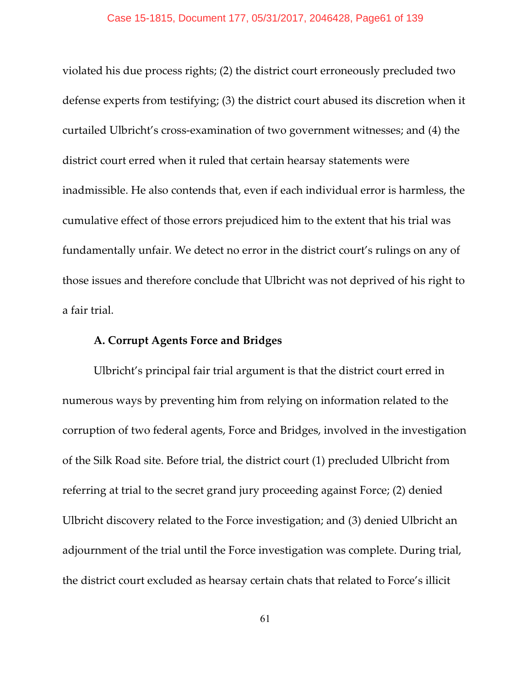violated his due process rights; (2) the district court erroneously precluded two defense experts from testifying; (3) the district court abused its discretion when it curtailed Ulbricht's cross-examination of two government witnesses; and (4) the district court erred when it ruled that certain hearsay statements were inadmissible. He also contends that, even if each individual error is harmless, the cumulative effect of those errors prejudiced him to the extent that his trial was fundamentally unfair. We detect no error in the district court's rulings on any of those issues and therefore conclude that Ulbricht was not deprived of his right to a fair trial.

### **A. Corrupt Agents Force and Bridges**

Ulbricht's principal fair trial argument is that the district court erred in numerous ways by preventing him from relying on information related to the corruption of two federal agents, Force and Bridges, involved in the investigation of the Silk Road site. Before trial, the district court (1) precluded Ulbricht from referring at trial to the secret grand jury proceeding against Force; (2) denied Ulbricht discovery related to the Force investigation; and (3) denied Ulbricht an adjournment of the trial until the Force investigation was complete. During trial, the district court excluded as hearsay certain chats that related to Force's illicit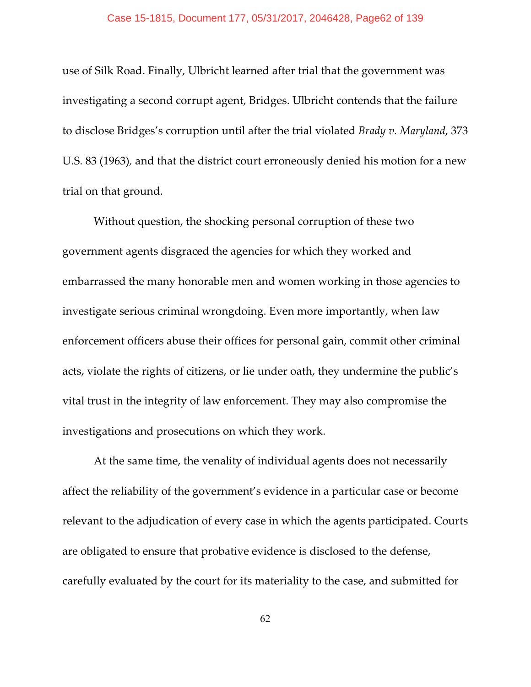#### Case 15-1815, Document 177, 05/31/2017, 2046428, Page62 of 139

use of Silk Road. Finally, Ulbricht learned after trial that the government was investigating a second corrupt agent, Bridges. Ulbricht contends that the failure to disclose Bridges's corruption until after the trial violated *Brady v. Maryland*, 373 U.S. 83 (1963)*,* and that the district court erroneously denied his motion for a new trial on that ground.

Without question, the shocking personal corruption of these two government agents disgraced the agencies for which they worked and embarrassed the many honorable men and women working in those agencies to investigate serious criminal wrongdoing. Even more importantly, when law enforcement officers abuse their offices for personal gain, commit other criminal acts, violate the rights of citizens, or lie under oath, they undermine the public's vital trust in the integrity of law enforcement. They may also compromise the investigations and prosecutions on which they work.

At the same time, the venality of individual agents does not necessarily affect the reliability of the government's evidence in a particular case or become relevant to the adjudication of every case in which the agents participated. Courts are obligated to ensure that probative evidence is disclosed to the defense, carefully evaluated by the court for its materiality to the case, and submitted for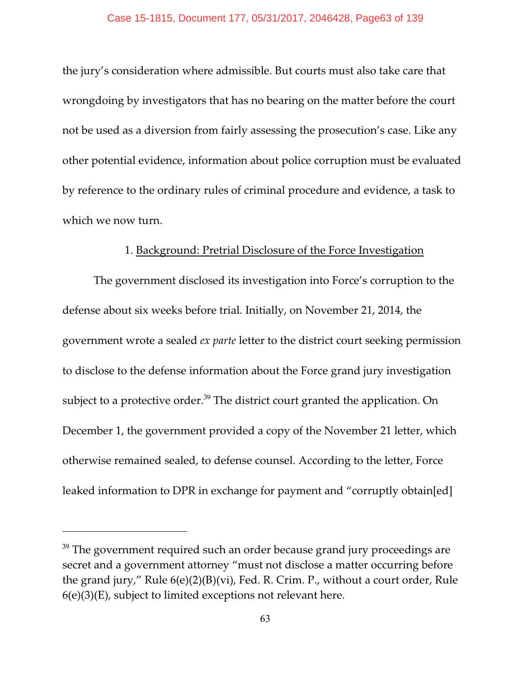the jury's consideration where admissible. But courts must also take care that wrongdoing by investigators that has no bearing on the matter before the court not be used as a diversion from fairly assessing the prosecution's case. Like any other potential evidence, information about police corruption must be evaluated by reference to the ordinary rules of criminal procedure and evidence, a task to which we now turn.

## 1. Background: Pretrial Disclosure of the Force Investigation

The government disclosed its investigation into Force's corruption to the defense about six weeks before trial. Initially, on November 21, 2014, the government wrote a sealed *ex parte* letter to the district court seeking permission to disclose to the defense information about the Force grand jury investigation subject to a protective order.<sup>39</sup> The district court granted the application. On December 1, the government provided a copy of the November 21 letter, which otherwise remained sealed, to defense counsel. According to the letter, Force leaked information to DPR in exchange for payment and "corruptly obtain[ed]

 $39$  The government required such an order because grand jury proceedings are secret and a government attorney "must not disclose a matter occurring before the grand jury," Rule 6(e)(2)(B)(vi), Fed. R. Crim. P., without a court order, Rule  $6(e)(3)(E)$ , subject to limited exceptions not relevant here.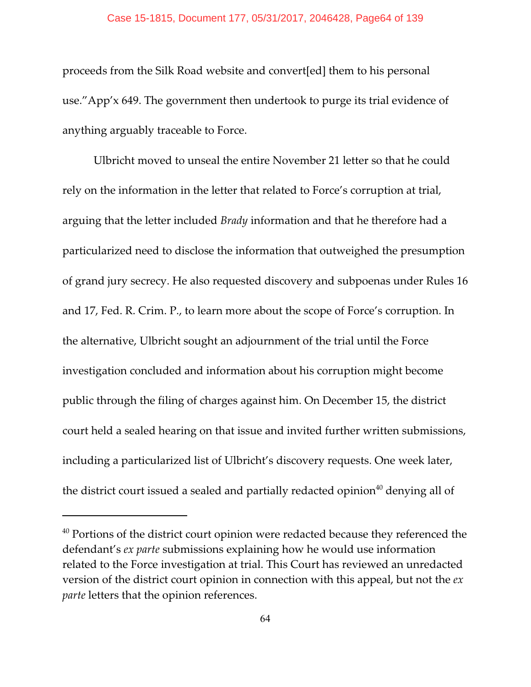#### Case 15-1815, Document 177, 05/31/2017, 2046428, Page64 of 139

proceeds from the Silk Road website and convert[ed] them to his personal use."App'x 649. The government then undertook to purge its trial evidence of anything arguably traceable to Force.

Ulbricht moved to unseal the entire November 21 letter so that he could rely on the information in the letter that related to Force's corruption at trial, arguing that the letter included *Brady* information and that he therefore had a particularized need to disclose the information that outweighed the presumption of grand jury secrecy. He also requested discovery and subpoenas under Rules 16 and 17, Fed. R. Crim. P., to learn more about the scope of Force's corruption. In the alternative, Ulbricht sought an adjournment of the trial until the Force investigation concluded and information about his corruption might become public through the filing of charges against him. On December 15, the district court held a sealed hearing on that issue and invited further written submissions, including a particularized list of Ulbricht's discovery requests. One week later, the district court issued a sealed and partially redacted opinion<sup>40</sup> denying all of

 $40$  Portions of the district court opinion were redacted because they referenced the defendant's *ex parte* submissions explaining how he would use information related to the Force investigation at trial. This Court has reviewed an unredacted version of the district court opinion in connection with this appeal, but not the *ex parte* letters that the opinion references.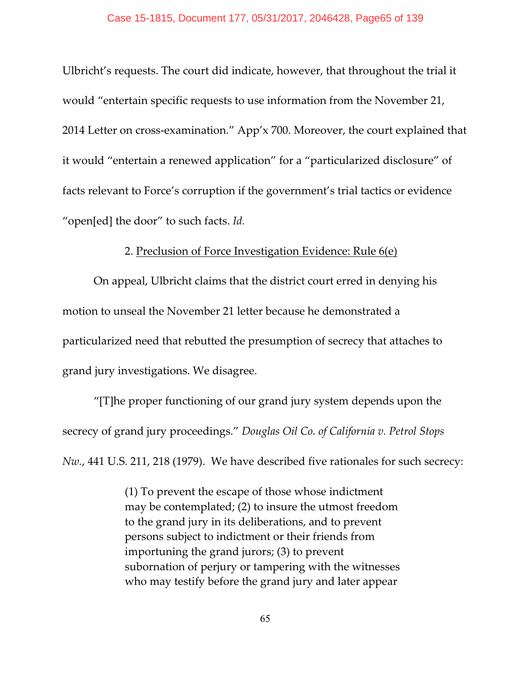Ulbricht's requests. The court did indicate, however, that throughout the trial it would "entertain specific requests to use information from the November 21, 2014 Letter on cross-examination." App'x 700. Moreover, the court explained that it would "entertain a renewed application" for a "particularized disclosure" of facts relevant to Force's corruption if the government's trial tactics or evidence "open[ed] the door" to such facts. *Id.*

### 2. Preclusion of Force Investigation Evidence: Rule 6(e)

On appeal, Ulbricht claims that the district court erred in denying his motion to unseal the November 21 letter because he demonstrated a particularized need that rebutted the presumption of secrecy that attaches to grand jury investigations. We disagree.

"[T]he proper functioning of our grand jury system depends upon the secrecy of grand jury proceedings." *Douglas Oil Co. of California v. Petrol Stops Nw.*, 441 U.S. 211, 218 (1979). We have described five rationales for such secrecy:

> (1) To prevent the escape of those whose indictment may be contemplated; (2) to insure the utmost freedom to the grand jury in its deliberations, and to prevent persons subject to indictment or their friends from importuning the grand jurors; (3) to prevent subornation of perjury or tampering with the witnesses who may testify before the grand jury and later appear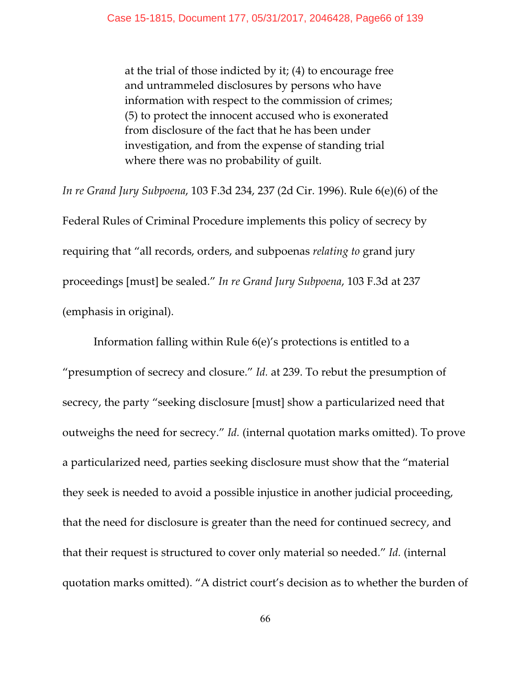at the trial of those indicted by it; (4) to encourage free and untrammeled disclosures by persons who have information with respect to the commission of crimes; (5) to protect the innocent accused who is exonerated from disclosure of the fact that he has been under investigation, and from the expense of standing trial where there was no probability of guilt.

*In re Grand Jury Subpoena*, 103 F.3d 234, 237 (2d Cir. 1996). Rule 6(e)(6) of the Federal Rules of Criminal Procedure implements this policy of secrecy by requiring that "all records, orders, and subpoenas *relating to* grand jury proceedings [must] be sealed." *In re Grand Jury Subpoena*, 103 F.3d at 237 (emphasis in original).

Information falling within Rule 6(e)'s protections is entitled to a "presumption of secrecy and closure." *Id.* at 239. To rebut the presumption of secrecy, the party "seeking disclosure [must] show a particularized need that outweighs the need for secrecy." *Id.* (internal quotation marks omitted). To prove a particularized need, parties seeking disclosure must show that the "material they seek is needed to avoid a possible injustice in another judicial proceeding, that the need for disclosure is greater than the need for continued secrecy, and that their request is structured to cover only material so needed." *Id.* (internal quotation marks omitted). "A district court's decision as to whether the burden of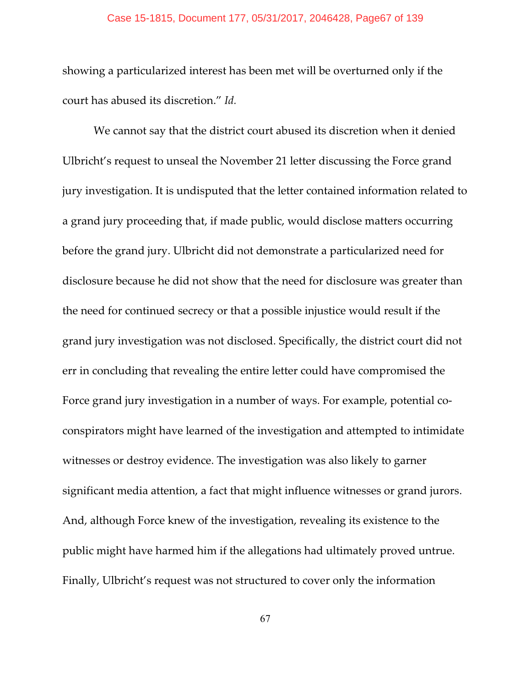#### Case 15-1815, Document 177, 05/31/2017, 2046428, Page67 of 139

showing a particularized interest has been met will be overturned only if the court has abused its discretion." *Id.*

We cannot say that the district court abused its discretion when it denied Ulbricht's request to unseal the November 21 letter discussing the Force grand jury investigation. It is undisputed that the letter contained information related to a grand jury proceeding that, if made public, would disclose matters occurring before the grand jury. Ulbricht did not demonstrate a particularized need for disclosure because he did not show that the need for disclosure was greater than the need for continued secrecy or that a possible injustice would result if the grand jury investigation was not disclosed. Specifically, the district court did not err in concluding that revealing the entire letter could have compromised the Force grand jury investigation in a number of ways. For example, potential coconspirators might have learned of the investigation and attempted to intimidate witnesses or destroy evidence. The investigation was also likely to garner significant media attention, a fact that might influence witnesses or grand jurors. And, although Force knew of the investigation, revealing its existence to the public might have harmed him if the allegations had ultimately proved untrue. Finally, Ulbricht's request was not structured to cover only the information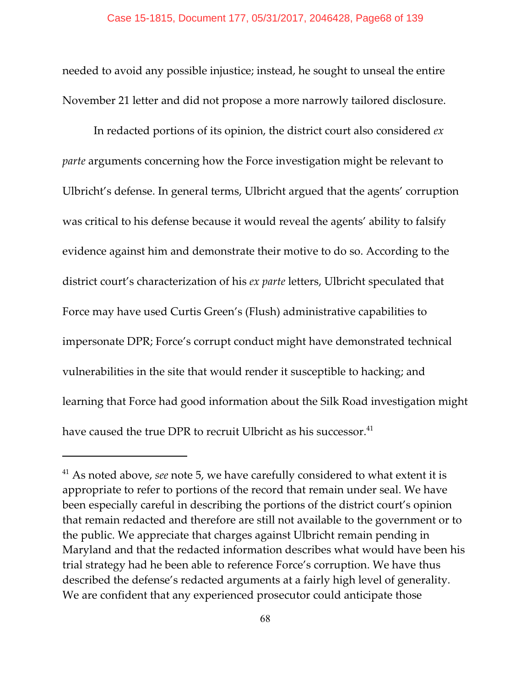needed to avoid any possible injustice; instead, he sought to unseal the entire November 21 letter and did not propose a more narrowly tailored disclosure.

In redacted portions of its opinion, the district court also considered *ex parte* arguments concerning how the Force investigation might be relevant to Ulbricht's defense. In general terms, Ulbricht argued that the agents' corruption was critical to his defense because it would reveal the agents' ability to falsify evidence against him and demonstrate their motive to do so. According to the district court's characterization of his *ex parte* letters, Ulbricht speculated that Force may have used Curtis Green's (Flush) administrative capabilities to impersonate DPR; Force's corrupt conduct might have demonstrated technical vulnerabilities in the site that would render it susceptible to hacking; and learning that Force had good information about the Silk Road investigation might have caused the true DPR to recruit Ulbricht as his successor.<sup>41</sup>

 $41$  As noted above, *see* note 5, we have carefully considered to what extent it is appropriate to refer to portions of the record that remain under seal. We have been especially careful in describing the portions of the district court's opinion that remain redacted and therefore are still not available to the government or to the public. We appreciate that charges against Ulbricht remain pending in Maryland and that the redacted information describes what would have been his trial strategy had he been able to reference Force's corruption. We have thus described the defense's redacted arguments at a fairly high level of generality. We are confident that any experienced prosecutor could anticipate those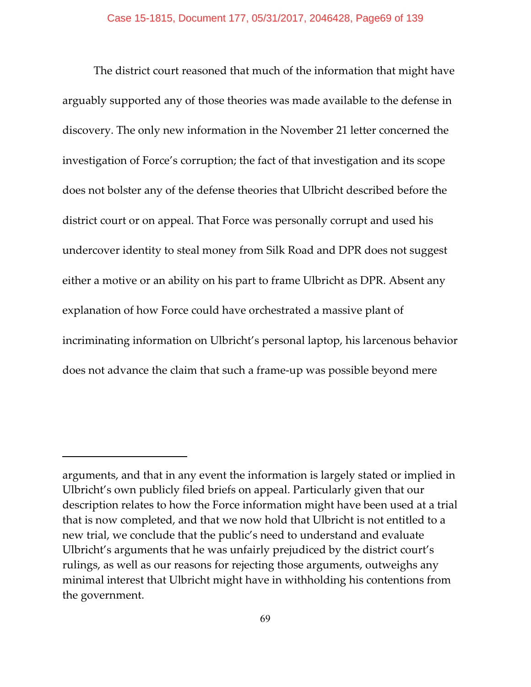The district court reasoned that much of the information that might have arguably supported any of those theories was made available to the defense in discovery. The only new information in the November 21 letter concerned the investigation of Force's corruption; the fact of that investigation and its scope does not bolster any of the defense theories that Ulbricht described before the district court or on appeal. That Force was personally corrupt and used his undercover identity to steal money from Silk Road and DPR does not suggest either a motive or an ability on his part to frame Ulbricht as DPR. Absent any explanation of how Force could have orchestrated a massive plant of incriminating information on Ulbricht's personal laptop, his larcenous behavior does not advance the claim that such a frame-up was possible beyond mere

arguments, and that in any event the information is largely stated or implied in Ulbricht's own publicly filed briefs on appeal. Particularly given that our description relates to how the Force information might have been used at a trial that is now completed, and that we now hold that Ulbricht is not entitled to a new trial, we conclude that the public's need to understand and evaluate Ulbricht's arguments that he was unfairly prejudiced by the district court's rulings, as well as our reasons for rejecting those arguments, outweighs any minimal interest that Ulbricht might have in withholding his contentions from the government.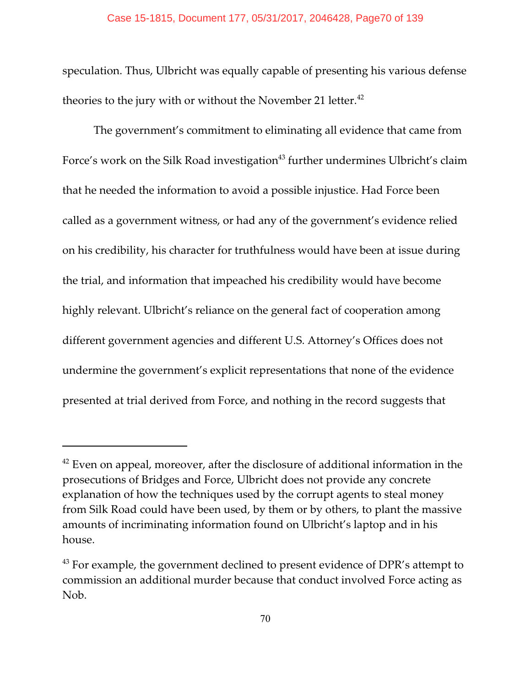speculation. Thus, Ulbricht was equally capable of presenting his various defense theories to the jury with or without the November 21 letter.<sup>42</sup>

The government's commitment to eliminating all evidence that came from Force's work on the Silk Road investigation<sup>43</sup> further undermines Ulbricht's claim that he needed the information to avoid a possible injustice. Had Force been called as a government witness, or had any of the government's evidence relied on his credibility, his character for truthfulness would have been at issue during the trial, and information that impeached his credibility would have become highly relevant. Ulbricht's reliance on the general fact of cooperation among different government agencies and different U.S. Attorney's Offices does not undermine the government's explicit representations that none of the evidence presented at trial derived from Force, and nothing in the record suggests that

 $42$  Even on appeal, moreover, after the disclosure of additional information in the prosecutions of Bridges and Force, Ulbricht does not provide any concrete explanation of how the techniques used by the corrupt agents to steal money from Silk Road could have been used, by them or by others, to plant the massive amounts of incriminating information found on Ulbricht's laptop and in his house.

 $^{43}$  For example, the government declined to present evidence of DPR's attempt to commission an additional murder because that conduct involved Force acting as Nob.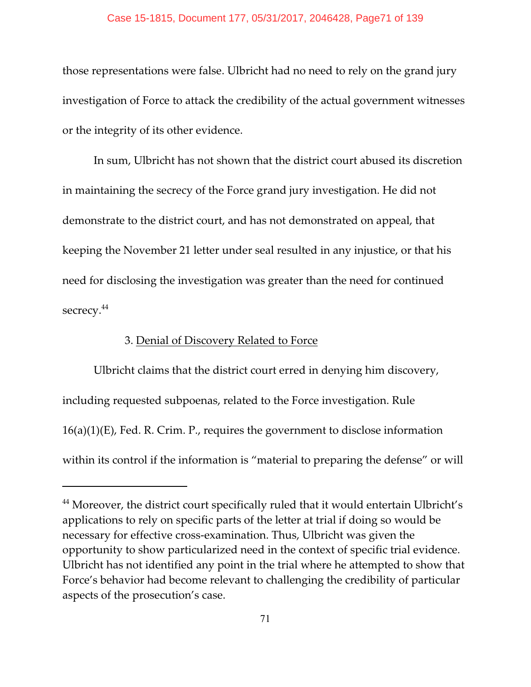### Case 15-1815, Document 177, 05/31/2017, 2046428, Page71 of 139

those representations were false. Ulbricht had no need to rely on the grand jury investigation of Force to attack the credibility of the actual government witnesses or the integrity of its other evidence.

In sum, Ulbricht has not shown that the district court abused its discretion in maintaining the secrecy of the Force grand jury investigation. He did not demonstrate to the district court, and has not demonstrated on appeal, that keeping the November 21 letter under seal resulted in any injustice, or that his need for disclosing the investigation was greater than the need for continued secrecy.<sup>44</sup>

# 3. Denial of Discovery Related to Force

Ulbricht claims that the district court erred in denying him discovery, including requested subpoenas, related to the Force investigation. Rule 16(a)(1)(E), Fed. R. Crim. P., requires the government to disclose information within its control if the information is "material to preparing the defense" or will

 $^{44}$  Moreover, the district court specifically ruled that it would entertain Ulbricht's applications to rely on specific parts of the letter at trial if doing so would be necessary for effective cross-examination. Thus, Ulbricht was given the opportunity to show particularized need in the context of specific trial evidence. Ulbricht has not identified any point in the trial where he attempted to show that Force's behavior had become relevant to challenging the credibility of particular aspects of the prosecution's case.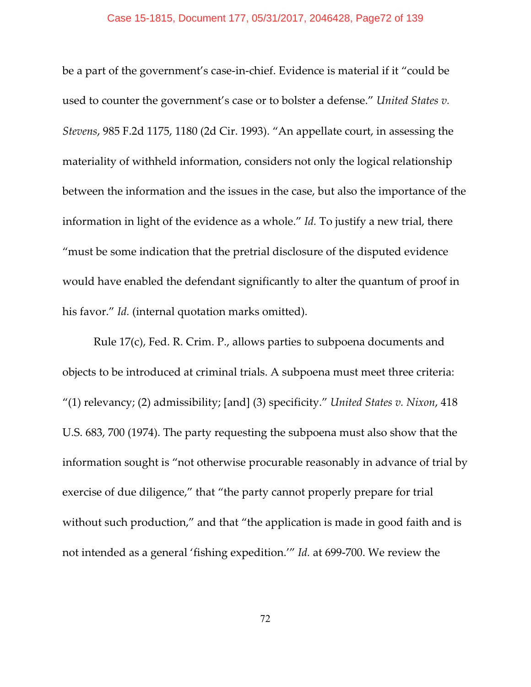#### Case 15-1815, Document 177, 05/31/2017, 2046428, Page72 of 139

be a part of the government's case-in-chief. Evidence is material if it "could be used to counter the government's case or to bolster a defense." *United States v. Stevens*, 985 F.2d 1175, 1180 (2d Cir. 1993). "An appellate court, in assessing the materiality of withheld information, considers not only the logical relationship between the information and the issues in the case, but also the importance of the information in light of the evidence as a whole." *Id.* To justify a new trial, there "must be some indication that the pretrial disclosure of the disputed evidence would have enabled the defendant significantly to alter the quantum of proof in his favor." *Id.* (internal quotation marks omitted).

Rule 17(c), Fed. R. Crim. P., allows parties to subpoena documents and objects to be introduced at criminal trials. A subpoena must meet three criteria: "(1) relevancy; (2) admissibility; [and] (3) specificity." *United States v. Nixon*, 418 U.S. 683, 700 (1974). The party requesting the subpoena must also show that the information sought is "not otherwise procurable reasonably in advance of trial by exercise of due diligence," that "the party cannot properly prepare for trial without such production," and that "the application is made in good faith and is not intended as a general 'fishing expedition.'" *Id.* at 699-700. We review the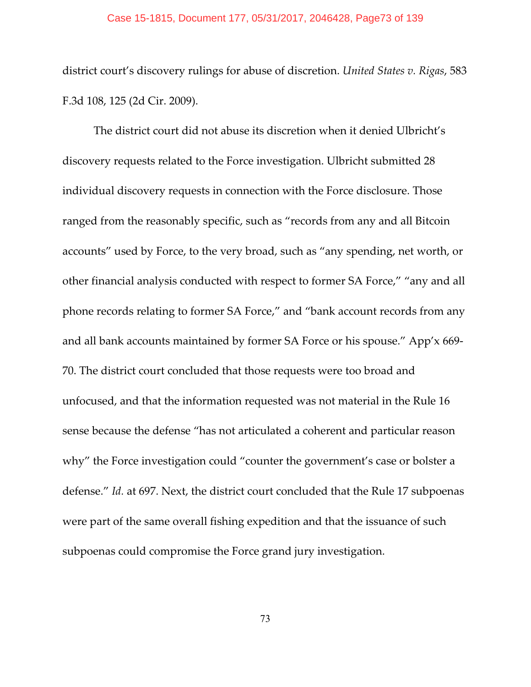### Case 15-1815, Document 177, 05/31/2017, 2046428, Page73 of 139

district court's discovery rulings for abuse of discretion. *United States v. Rigas*, 583 F.3d 108, 125 (2d Cir. 2009).

The district court did not abuse its discretion when it denied Ulbricht's discovery requests related to the Force investigation. Ulbricht submitted 28 individual discovery requests in connection with the Force disclosure. Those ranged from the reasonably specific, such as "records from any and all Bitcoin accounts" used by Force, to the very broad, such as "any spending, net worth, or other financial analysis conducted with respect to former SA Force," "any and all phone records relating to former SA Force," and "bank account records from any and all bank accounts maintained by former SA Force or his spouse." App'x 669- 70. The district court concluded that those requests were too broad and unfocused, and that the information requested was not material in the Rule 16 sense because the defense "has not articulated a coherent and particular reason why" the Force investigation could "counter the government's case or bolster a defense." *Id.* at 697. Next, the district court concluded that the Rule 17 subpoenas were part of the same overall fishing expedition and that the issuance of such subpoenas could compromise the Force grand jury investigation.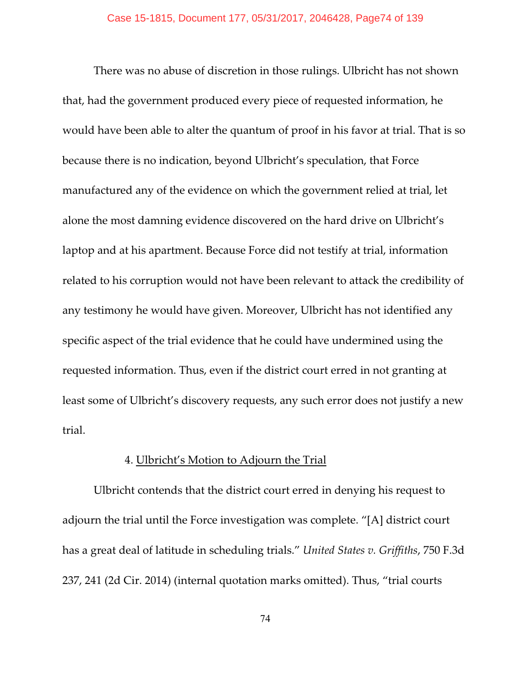There was no abuse of discretion in those rulings. Ulbricht has not shown that, had the government produced every piece of requested information, he would have been able to alter the quantum of proof in his favor at trial. That is so because there is no indication, beyond Ulbricht's speculation, that Force manufactured any of the evidence on which the government relied at trial, let alone the most damning evidence discovered on the hard drive on Ulbricht's laptop and at his apartment. Because Force did not testify at trial, information related to his corruption would not have been relevant to attack the credibility of any testimony he would have given. Moreover, Ulbricht has not identified any specific aspect of the trial evidence that he could have undermined using the requested information. Thus, even if the district court erred in not granting at least some of Ulbricht's discovery requests, any such error does not justify a new trial.

# 4. Ulbricht's Motion to Adjourn the Trial

Ulbricht contends that the district court erred in denying his request to adjourn the trial until the Force investigation was complete. "[A] district court has a great deal of latitude in scheduling trials." *United States v. Griffiths*, 750 F.3d 237, 241 (2d Cir. 2014) (internal quotation marks omitted). Thus, "trial courts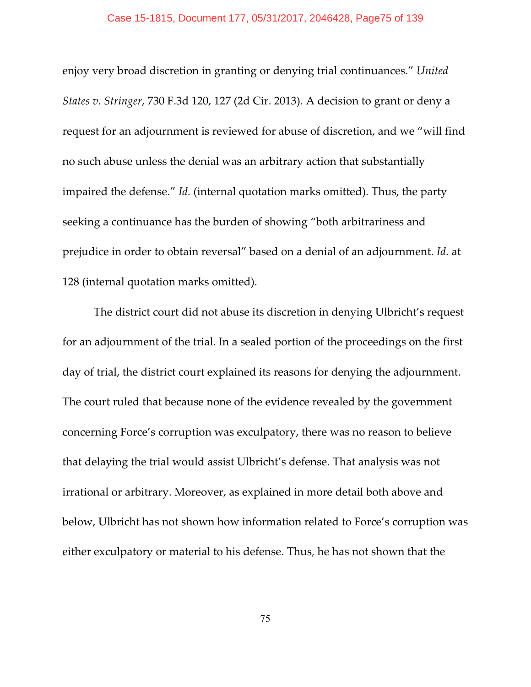### Case 15-1815, Document 177, 05/31/2017, 2046428, Page75 of 139

enjoy very broad discretion in granting or denying trial continuances." *United States v. Stringer*, 730 F.3d 120, 127 (2d Cir. 2013). A decision to grant or deny a request for an adjournment is reviewed for abuse of discretion, and we "will find no such abuse unless the denial was an arbitrary action that substantially impaired the defense." *Id.* (internal quotation marks omitted). Thus, the party seeking a continuance has the burden of showing "both arbitrariness and prejudice in order to obtain reversal" based on a denial of an adjournment. *Id.* at 128 (internal quotation marks omitted).

The district court did not abuse its discretion in denying Ulbricht's request for an adjournment of the trial. In a sealed portion of the proceedings on the first day of trial, the district court explained its reasons for denying the adjournment. The court ruled that because none of the evidence revealed by the government concerning Force's corruption was exculpatory, there was no reason to believe that delaying the trial would assist Ulbricht's defense. That analysis was not irrational or arbitrary. Moreover, as explained in more detail both above and below, Ulbricht has not shown how information related to Force's corruption was either exculpatory or material to his defense. Thus, he has not shown that the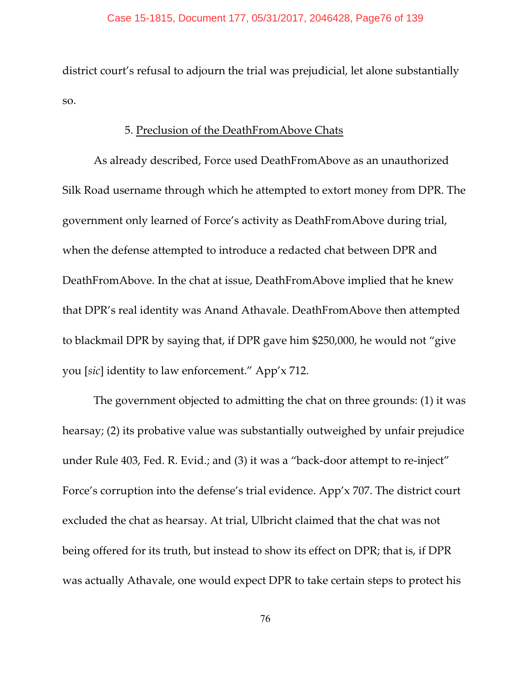district court's refusal to adjourn the trial was prejudicial, let alone substantially so.

# 5. Preclusion of the DeathFromAbove Chats

As already described, Force used DeathFromAbove as an unauthorized Silk Road username through which he attempted to extort money from DPR. The government only learned of Force's activity as DeathFromAbove during trial, when the defense attempted to introduce a redacted chat between DPR and DeathFromAbove. In the chat at issue, DeathFromAbove implied that he knew that DPR's real identity was Anand Athavale. DeathFromAbove then attempted to blackmail DPR by saying that, if DPR gave him \$250,000, he would not "give you [*sic*] identity to law enforcement." App'x 712.

The government objected to admitting the chat on three grounds: (1) it was hearsay; (2) its probative value was substantially outweighed by unfair prejudice under Rule 403, Fed. R. Evid.; and (3) it was a "back-door attempt to re-inject" Force's corruption into the defense's trial evidence. App'x 707. The district court excluded the chat as hearsay. At trial, Ulbricht claimed that the chat was not being offered for its truth, but instead to show its effect on DPR; that is, if DPR was actually Athavale, one would expect DPR to take certain steps to protect his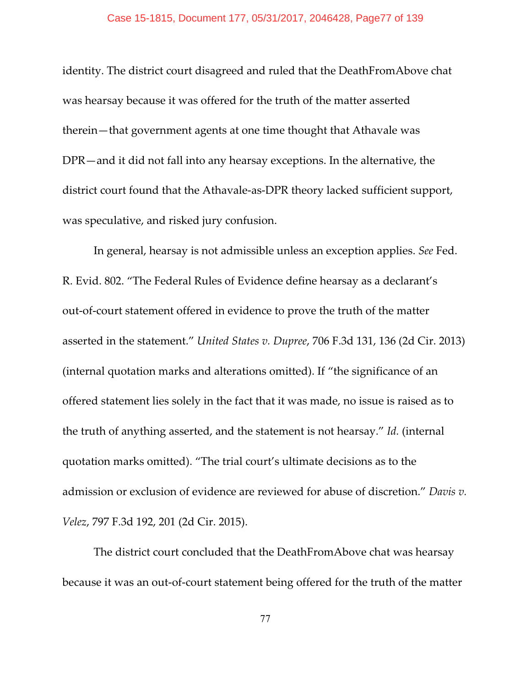## Case 15-1815, Document 177, 05/31/2017, 2046428, Page77 of 139

identity. The district court disagreed and ruled that the DeathFromAbove chat was hearsay because it was offered for the truth of the matter asserted therein—that government agents at one time thought that Athavale was DPR—and it did not fall into any hearsay exceptions. In the alternative, the district court found that the Athavale-as-DPR theory lacked sufficient support, was speculative, and risked jury confusion.

In general, hearsay is not admissible unless an exception applies. *See* Fed. R. Evid. 802. "The Federal Rules of Evidence define hearsay as a declarant's out-of-court statement offered in evidence to prove the truth of the matter asserted in the statement." *United States v. Dupree*, 706 F.3d 131, 136 (2d Cir. 2013) (internal quotation marks and alterations omitted). If "the significance of an offered statement lies solely in the fact that it was made, no issue is raised as to the truth of anything asserted, and the statement is not hearsay." *Id.* (internal quotation marks omitted). "The trial court's ultimate decisions as to the admission or exclusion of evidence are reviewed for abuse of discretion." *Davis v. Velez*, 797 F.3d 192, 201 (2d Cir. 2015).

The district court concluded that the DeathFromAbove chat was hearsay because it was an out-of-court statement being offered for the truth of the matter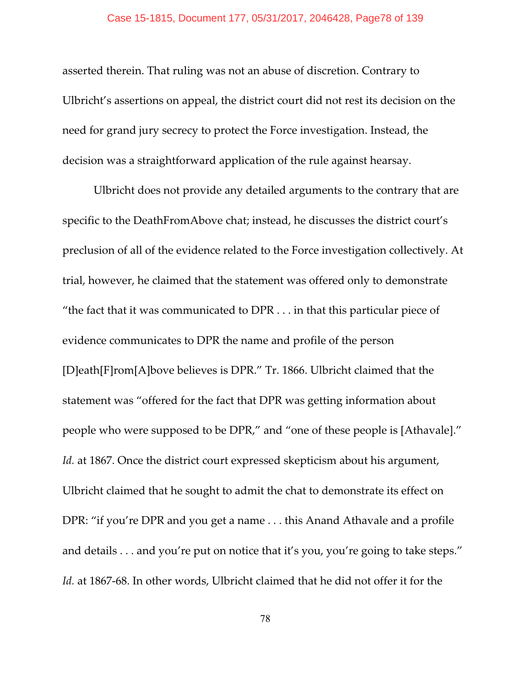asserted therein. That ruling was not an abuse of discretion. Contrary to Ulbricht's assertions on appeal, the district court did not rest its decision on the need for grand jury secrecy to protect the Force investigation. Instead, the decision was a straightforward application of the rule against hearsay.

Ulbricht does not provide any detailed arguments to the contrary that are specific to the DeathFromAbove chat; instead, he discusses the district court's preclusion of all of the evidence related to the Force investigation collectively. At trial, however, he claimed that the statement was offered only to demonstrate "the fact that it was communicated to  $DPR \dots$  in that this particular piece of evidence communicates to DPR the name and profile of the person [D]eath[F]rom[A]bove believes is DPR." Tr. 1866. Ulbricht claimed that the statement was "offered for the fact that DPR was getting information about people who were supposed to be DPR," and "one of these people is [Athavale]." *Id.* at 1867. Once the district court expressed skepticism about his argument, Ulbricht claimed that he sought to admit the chat to demonstrate its effect on DPR: "if you're DPR and you get a name . . . this Anand Athavale and a profile and details . . . and you're put on notice that it's you, you're going to take steps." *Id.* at 1867-68. In other words, Ulbricht claimed that he did not offer it for the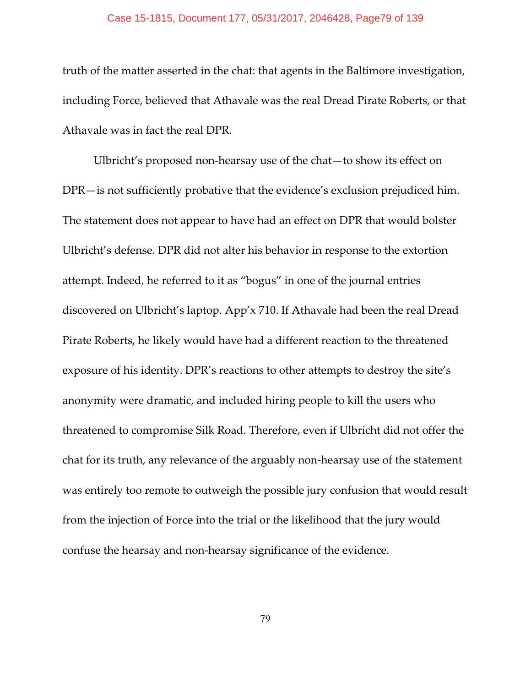## Case 15-1815, Document 177, 05/31/2017, 2046428, Page79 of 139

truth of the matter asserted in the chat: that agents in the Baltimore investigation, including Force, believed that Athavale was the real Dread Pirate Roberts, or that Athavale was in fact the real DPR.

Ulbricht's proposed non-hearsay use of the chat—to show its effect on DPR—is not sufficiently probative that the evidence's exclusion prejudiced him. The statement does not appear to have had an effect on DPR that would bolster Ulbricht's defense. DPR did not alter his behavior in response to the extortion attempt. Indeed, he referred to it as "bogus" in one of the journal entries discovered on Ulbricht's laptop. App'x 710. If Athavale had been the real Dread Pirate Roberts, he likely would have had a different reaction to the threatened exposure of his identity. DPR's reactions to other attempts to destroy the site's anonymity were dramatic, and included hiring people to kill the users who threatened to compromise Silk Road. Therefore, even if Ulbricht did not offer the chat for its truth, any relevance of the arguably non-hearsay use of the statement was entirely too remote to outweigh the possible jury confusion that would result from the injection of Force into the trial or the likelihood that the jury would confuse the hearsay and non-hearsay significance of the evidence.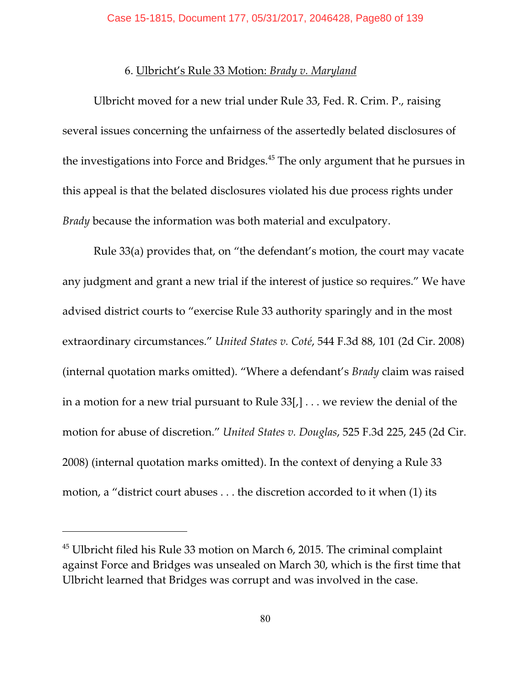# 6. Ulbricht's Rule 33 Motion: *Brady v. Maryland*

Ulbricht moved for a new trial under Rule 33, Fed. R. Crim. P., raising several issues concerning the unfairness of the assertedly belated disclosures of the investigations into Force and Bridges. $45$  The only argument that he pursues in this appeal is that the belated disclosures violated his due process rights under *Brady* because the information was both material and exculpatory.

Rule 33(a) provides that, on "the defendant's motion, the court may vacate any judgment and grant a new trial if the interest of justice so requires." We have advised district courts to "exercise Rule 33 authority sparingly and in the most extraordinary circumstances." *United States v. Coté*, 544 F.3d 88, 101 (2d Cir. 2008) (internal quotation marks omitted). "Where a defendant's *Brady* claim was raised in a motion for a new trial pursuant to Rule  $33$ [,]... we review the denial of the motion for abuse of discretion." *United States v. Douglas*, 525 F.3d 225, 245 (2d Cir. 2008) (internal quotation marks omitted). In the context of denying a Rule 33 motion, a "district court abuses . . . the discretion accorded to it when (1) its

 $45$  Ulbricht filed his Rule 33 motion on March 6, 2015. The criminal complaint against Force and Bridges was unsealed on March 30, which is the first time that Ulbricht learned that Bridges was corrupt and was involved in the case.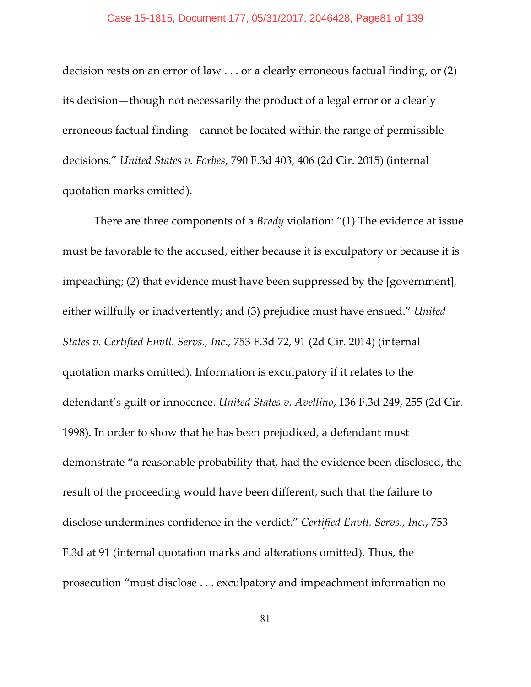decision rests on an error of law . . . or a clearly erroneous factual finding, or (2) its decision—though not necessarily the product of a legal error or a clearly erroneous factual finding—cannot be located within the range of permissible decisions." *United States v. Forbes*, 790 F.3d 403, 406 (2d Cir. 2015) (internal quotation marks omitted).

There are three components of a *Brady* violation: "(1) The evidence at issue must be favorable to the accused, either because it is exculpatory or because it is impeaching; (2) that evidence must have been suppressed by the [government], either willfully or inadvertently; and (3) prejudice must have ensued." *United States v. Certified Envtl. Servs., Inc*., 753 F.3d 72, 91 (2d Cir. 2014) (internal quotation marks omitted). Information is exculpatory if it relates to the defendant's guilt or innocence. *United States v. Avellino*, 136 F.3d 249, 255 (2d Cir. 1998). In order to show that he has been prejudiced, a defendant must demonstrate "a reasonable probability that, had the evidence been disclosed, the result of the proceeding would have been different, such that the failure to disclose undermines confidence in the verdict." *Certified Envtl. Servs., Inc.*, 753 F.3d at 91 (internal quotation marks and alterations omitted). Thus, the prosecution "must disclose . . . exculpatory and impeachment information no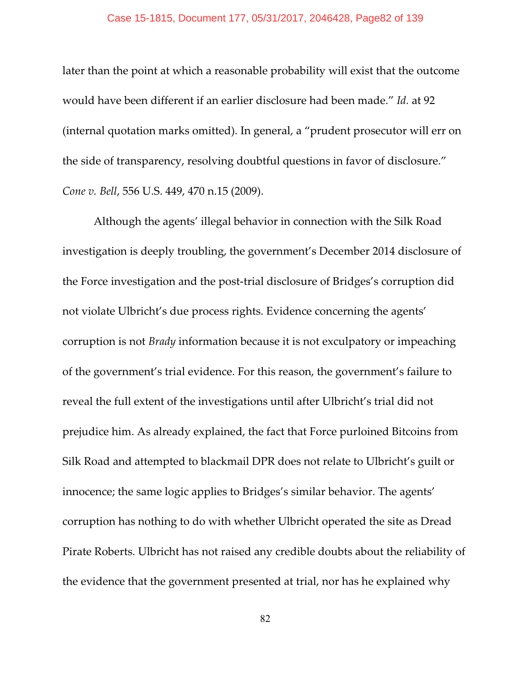later than the point at which a reasonable probability will exist that the outcome would have been different if an earlier disclosure had been made." *Id.* at 92 (internal quotation marks omitted). In general, a "prudent prosecutor will err on the side of transparency, resolving doubtful questions in favor of disclosure." *Cone v. Bell*, 556 U.S. 449, 470 n.15 (2009).

Although the agents' illegal behavior in connection with the Silk Road investigation is deeply troubling, the government's December 2014 disclosure of the Force investigation and the post-trial disclosure of Bridges's corruption did not violate Ulbricht's due process rights. Evidence concerning the agents' corruption is not *Brady* information because it is not exculpatory or impeaching of the government's trial evidence. For this reason, the government's failure to reveal the full extent of the investigations until after Ulbricht's trial did not prejudice him. As already explained, the fact that Force purloined Bitcoins from Silk Road and attempted to blackmail DPR does not relate to Ulbricht's guilt or innocence; the same logic applies to Bridges's similar behavior. The agents' corruption has nothing to do with whether Ulbricht operated the site as Dread Pirate Roberts. Ulbricht has not raised any credible doubts about the reliability of the evidence that the government presented at trial, nor has he explained why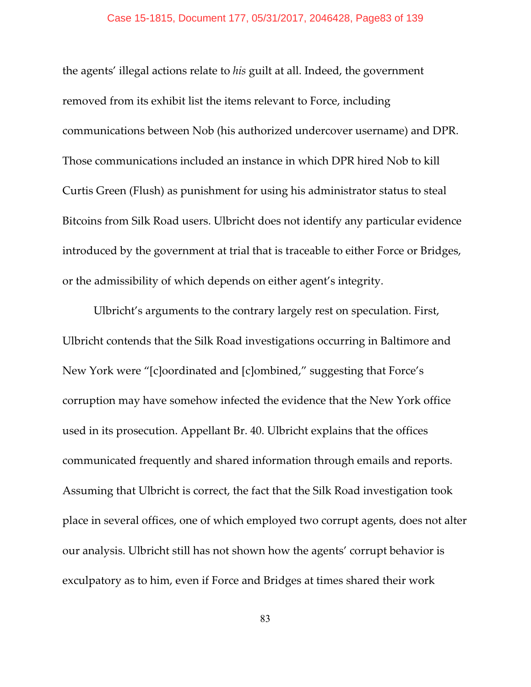### Case 15-1815, Document 177, 05/31/2017, 2046428, Page83 of 139

the agents' illegal actions relate to *his* guilt at all. Indeed, the government removed from its exhibit list the items relevant to Force, including communications between Nob (his authorized undercover username) and DPR. Those communications included an instance in which DPR hired Nob to kill Curtis Green (Flush) as punishment for using his administrator status to steal Bitcoins from Silk Road users. Ulbricht does not identify any particular evidence introduced by the government at trial that is traceable to either Force or Bridges, or the admissibility of which depends on either agent's integrity.

Ulbricht's arguments to the contrary largely rest on speculation. First, Ulbricht contends that the Silk Road investigations occurring in Baltimore and New York were "[c]oordinated and [c]ombined," suggesting that Force's corruption may have somehow infected the evidence that the New York office used in its prosecution. Appellant Br. 40. Ulbricht explains that the offices communicated frequently and shared information through emails and reports. Assuming that Ulbricht is correct, the fact that the Silk Road investigation took place in several offices, one of which employed two corrupt agents, does not alter our analysis. Ulbricht still has not shown how the agents' corrupt behavior is exculpatory as to him, even if Force and Bridges at times shared their work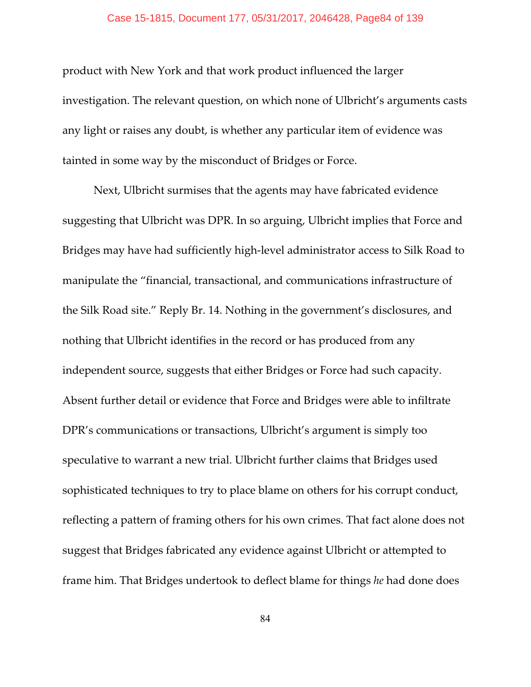### Case 15-1815, Document 177, 05/31/2017, 2046428, Page84 of 139

product with New York and that work product influenced the larger investigation. The relevant question, on which none of Ulbricht's arguments casts any light or raises any doubt, is whether any particular item of evidence was tainted in some way by the misconduct of Bridges or Force.

Next, Ulbricht surmises that the agents may have fabricated evidence suggesting that Ulbricht was DPR. In so arguing, Ulbricht implies that Force and Bridges may have had sufficiently high-level administrator access to Silk Road to manipulate the "financial, transactional, and communications infrastructure of the Silk Road site." Reply Br. 14. Nothing in the government's disclosures, and nothing that Ulbricht identifies in the record or has produced from any independent source, suggests that either Bridges or Force had such capacity. Absent further detail or evidence that Force and Bridges were able to infiltrate DPR's communications or transactions, Ulbricht's argument is simply too speculative to warrant a new trial. Ulbricht further claims that Bridges used sophisticated techniques to try to place blame on others for his corrupt conduct, reflecting a pattern of framing others for his own crimes. That fact alone does not suggest that Bridges fabricated any evidence against Ulbricht or attempted to frame him. That Bridges undertook to deflect blame for things *he* had done does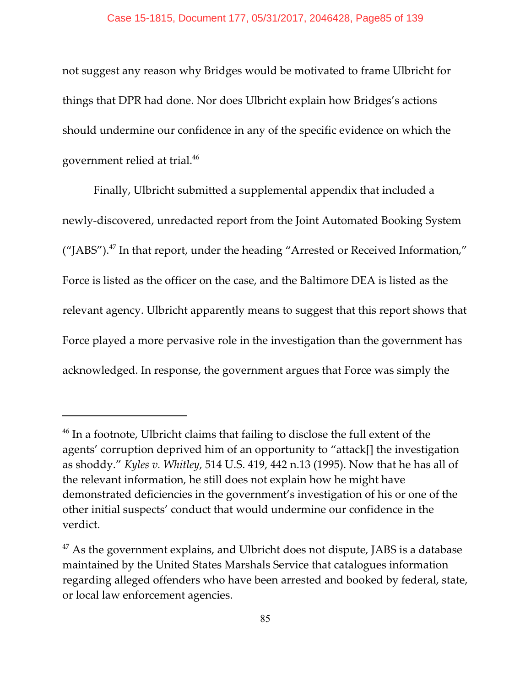not suggest any reason why Bridges would be motivated to frame Ulbricht for things that DPR had done. Nor does Ulbricht explain how Bridges's actions should undermine our confidence in any of the specific evidence on which the government relied at trial. 46

Finally, Ulbricht submitted a supplemental appendix that included a newly-discovered, unredacted report from the Joint Automated Booking System ("JABS").<sup>47</sup> In that report, under the heading "Arrested or Received Information," Force is listed as the officer on the case, and the Baltimore DEA is listed as the relevant agency. Ulbricht apparently means to suggest that this report shows that Force played a more pervasive role in the investigation than the government has acknowledged. In response, the government argues that Force was simply the

 $46$  In a footnote, Ulbricht claims that failing to disclose the full extent of the agents' corruption deprived him of an opportunity to "attack[] the investigation as shoddy." *Kyles v. Whitley*, 514 U.S. 419, 442 n.13 (1995). Now that he has all of the relevant information, he still does not explain how he might have demonstrated deficiencies in the government's investigation of his or one of the other initial suspects' conduct that would undermine our confidence in the verdict.

 $47$  As the government explains, and Ulbricht does not dispute, JABS is a database maintained by the United States Marshals Service that catalogues information regarding alleged offenders who have been arrested and booked by federal, state, or local law enforcement agencies.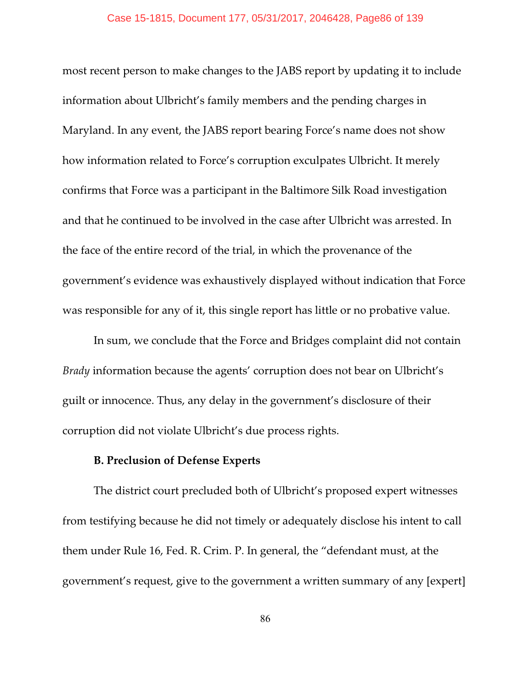most recent person to make changes to the JABS report by updating it to include information about Ulbricht's family members and the pending charges in Maryland. In any event, the JABS report bearing Force's name does not show how information related to Force's corruption exculpates Ulbricht. It merely confirms that Force was a participant in the Baltimore Silk Road investigation and that he continued to be involved in the case after Ulbricht was arrested. In the face of the entire record of the trial, in which the provenance of the government's evidence was exhaustively displayed without indication that Force was responsible for any of it, this single report has little or no probative value.

In sum, we conclude that the Force and Bridges complaint did not contain *Brady* information because the agents' corruption does not bear on Ulbricht's guilt or innocence. Thus, any delay in the government's disclosure of their corruption did not violate Ulbricht's due process rights.

## **B. Preclusion of Defense Experts**

The district court precluded both of Ulbricht's proposed expert witnesses from testifying because he did not timely or adequately disclose his intent to call them under Rule 16, Fed. R. Crim. P. In general, the "defendant must, at the government's request, give to the government a written summary of any [expert]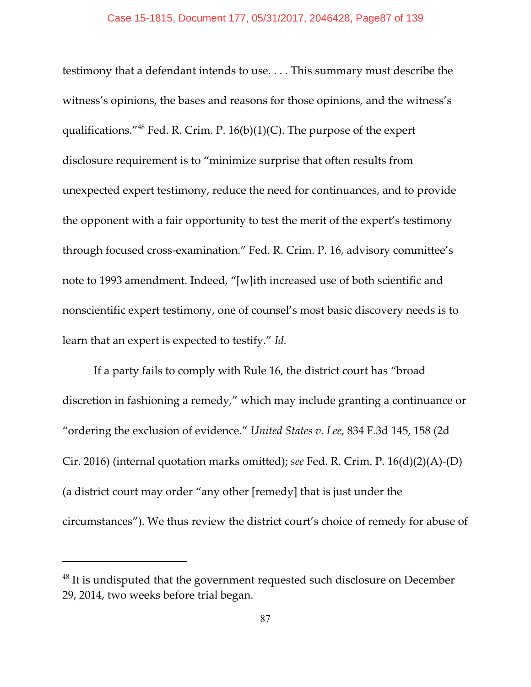testimony that a defendant intends to use. . . . This summary must describe the witness's opinions, the bases and reasons for those opinions, and the witness's qualifications." <sup>48</sup> Fed. R. Crim. P.  $16(b)(1)(C)$ . The purpose of the expert disclosure requirement is to "minimize surprise that often results from unexpected expert testimony, reduce the need for continuances, and to provide the opponent with a fair opportunity to test the merit of the expert's testimony through focused cross-examination." Fed. R. Crim. P. 16, advisory committee's note to 1993 amendment. Indeed, "[w]ith increased use of both scientific and nonscientific expert testimony, one of counsel's most basic discovery needs is to learn that an expert is expected to testify." *Id.*

If a party fails to comply with Rule 16, the district court has "broad discretion in fashioning a remedy," which may include granting a continuance or "ordering the exclusion of evidence." *United States v. Lee*, 834 F.3d 145, 158 (2d Cir. 2016) (internal quotation marks omitted); *see* Fed. R. Crim. P. 16(d)(2)(A)-(D) (a district court may order "any other [remedy] that is just under the circumstances"). We thus review the district court's choice of remedy for abuse of

 $48$  It is undisputed that the government requested such disclosure on December 29, 2014, two weeks before trial began.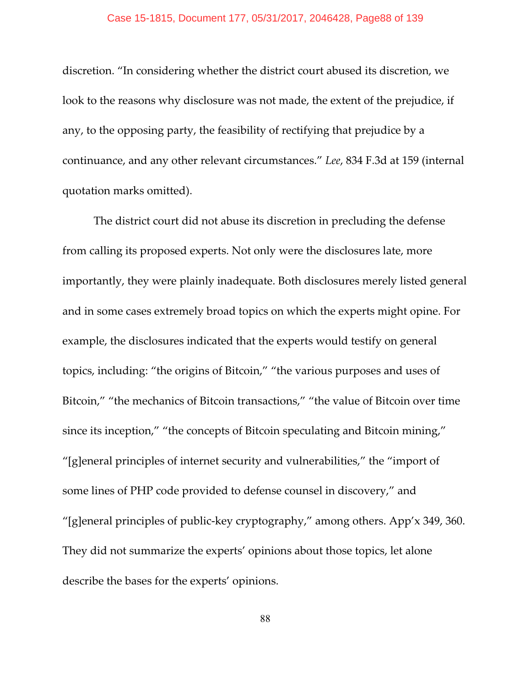discretion. "In considering whether the district court abused its discretion, we look to the reasons why disclosure was not made, the extent of the prejudice, if any, to the opposing party, the feasibility of rectifying that prejudice by a continuance, and any other relevant circumstances." *Lee*, 834 F.3d at 159 (internal quotation marks omitted).

The district court did not abuse its discretion in precluding the defense from calling its proposed experts. Not only were the disclosures late, more importantly, they were plainly inadequate. Both disclosures merely listed general and in some cases extremely broad topics on which the experts might opine. For example, the disclosures indicated that the experts would testify on general topics, including: "the origins of Bitcoin," "the various purposes and uses of Bitcoin," "the mechanics of Bitcoin transactions," "the value of Bitcoin over time since its inception," "the concepts of Bitcoin speculating and Bitcoin mining," "[g]eneral principles of internet security and vulnerabilities," the "import of some lines of PHP code provided to defense counsel in discovery," and "[g]eneral principles of public-key cryptography," among others. App'x 349, 360. They did not summarize the experts' opinions about those topics, let alone describe the bases for the experts' opinions.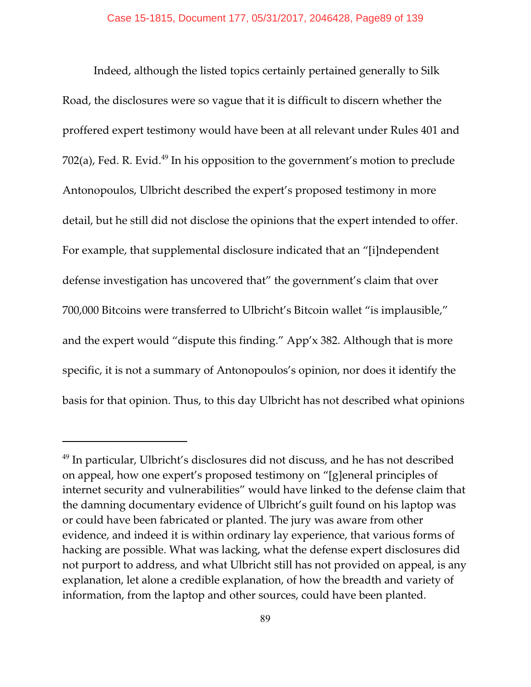Indeed, although the listed topics certainly pertained generally to Silk Road, the disclosures were so vague that it is difficult to discern whether the proffered expert testimony would have been at all relevant under Rules 401 and 702(a), Fed. R. Evid.<sup>49</sup> In his opposition to the government's motion to preclude Antonopoulos, Ulbricht described the expert's proposed testimony in more detail, but he still did not disclose the opinions that the expert intended to offer. For example, that supplemental disclosure indicated that an "[i]ndependent defense investigation has uncovered that" the government's claim that over 700,000 Bitcoins were transferred to Ulbricht's Bitcoin wallet "is implausible," and the expert would "dispute this finding." App'x 382. Although that is more specific, it is not a summary of Antonopoulos's opinion, nor does it identify the basis for that opinion. Thus, to this day Ulbricht has not described what opinions

 $49$  In particular, Ulbricht's disclosures did not discuss, and he has not described on appeal, how one expert's proposed testimony on "[g]eneral principles of internet security and vulnerabilities" would have linked to the defense claim that the damning documentary evidence of Ulbricht's guilt found on his laptop was or could have been fabricated or planted. The jury was aware from other evidence, and indeed it is within ordinary lay experience, that various forms of hacking are possible. What was lacking, what the defense expert disclosures did not purport to address, and what Ulbricht still has not provided on appeal, is any explanation, let alone a credible explanation, of how the breadth and variety of information, from the laptop and other sources, could have been planted.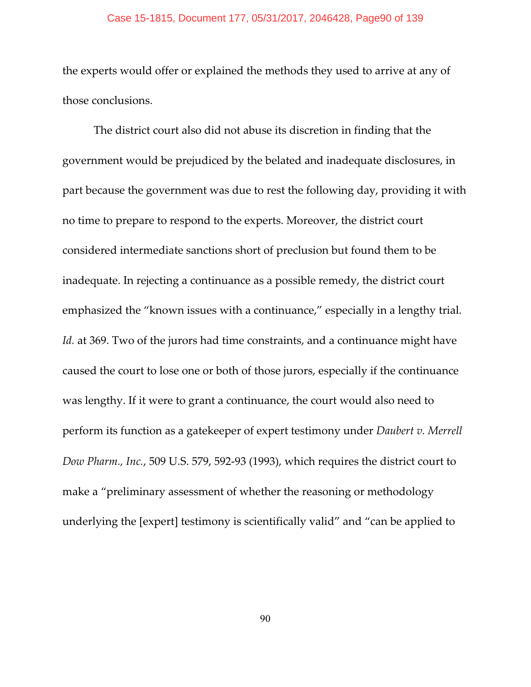### Case 15-1815, Document 177, 05/31/2017, 2046428, Page90 of 139

the experts would offer or explained the methods they used to arrive at any of those conclusions.

The district court also did not abuse its discretion in finding that the government would be prejudiced by the belated and inadequate disclosures, in part because the government was due to rest the following day, providing it with no time to prepare to respond to the experts. Moreover, the district court considered intermediate sanctions short of preclusion but found them to be inadequate. In rejecting a continuance as a possible remedy, the district court emphasized the "known issues with a continuance," especially in a lengthy trial. *Id.* at 369. Two of the jurors had time constraints, and a continuance might have caused the court to lose one or both of those jurors, especially if the continuance was lengthy. If it were to grant a continuance, the court would also need to perform its function as a gatekeeper of expert testimony under *Daubert v. Merrell Dow Pharm., Inc.*, 509 U.S. 579, 592-93 (1993), which requires the district court to make a "preliminary assessment of whether the reasoning or methodology underlying the [expert] testimony is scientifically valid" and "can be applied to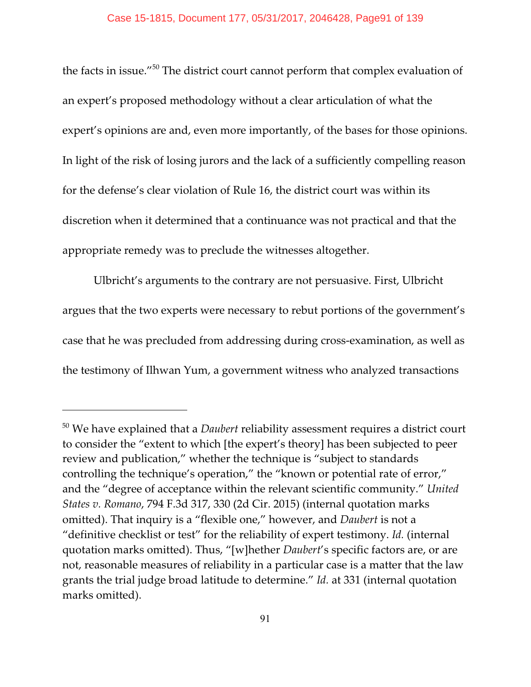the facts in issue." $50$  The district court cannot perform that complex evaluation of an expert's proposed methodology without a clear articulation of what the expert's opinions are and, even more importantly, of the bases for those opinions. In light of the risk of losing jurors and the lack of a sufficiently compelling reason for the defense's clear violation of Rule 16, the district court was within its discretion when it determined that a continuance was not practical and that the appropriate remedy was to preclude the witnesses altogether.

Ulbricht's arguments to the contrary are not persuasive. First, Ulbricht argues that the two experts were necessary to rebut portions of the government's case that he was precluded from addressing during cross-examination, as well as the testimony of Ilhwan Yum, a government witness who analyzed transactions

<sup>&</sup>lt;sup>50</sup> We have explained that a *Daubert* reliability assessment requires a district court to consider the "extent to which [the expert's theory] has been subjected to peer review and publication," whether the technique is "subject to standards controlling the technique's operation," the "known or potential rate of error," and the "degree of acceptance within the relevant scientific community." *United States v. Romano*, 794 F.3d 317, 330 (2d Cir. 2015) (internal quotation marks omitted). That inquiry is a "flexible one," however, and *Daubert* is not a "definitive checklist or test" for the reliability of expert testimony. *Id.* (internal quotation marks omitted). Thus, "[w]hether *Daubert*'s specific factors are, or are not, reasonable measures of reliability in a particular case is a matter that the law grants the trial judge broad latitude to determine." *Id.* at 331 (internal quotation marks omitted).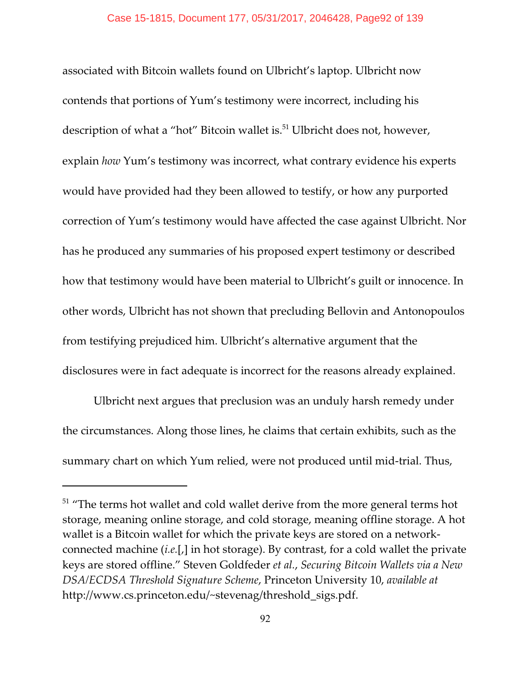associated with Bitcoin wallets found on Ulbricht's laptop. Ulbricht now contends that portions of Yum's testimony were incorrect, including his description of what a "hot" Bitcoin wallet is.<sup>51</sup> Ulbricht does not, however, explain *how* Yum's testimony was incorrect, what contrary evidence his experts would have provided had they been allowed to testify, or how any purported correction of Yum's testimony would have affected the case against Ulbricht. Nor has he produced any summaries of his proposed expert testimony or described how that testimony would have been material to Ulbricht's guilt or innocence. In other words, Ulbricht has not shown that precluding Bellovin and Antonopoulos from testifying prejudiced him. Ulbricht's alternative argument that the disclosures were in fact adequate is incorrect for the reasons already explained.

Ulbricht next argues that preclusion was an unduly harsh remedy under the circumstances. Along those lines, he claims that certain exhibits, such as the summary chart on which Yum relied, were not produced until mid-trial. Thus,

 $51$  "The terms hot wallet and cold wallet derive from the more general terms hot storage, meaning online storage, and cold storage, meaning offline storage. A hot wallet is a Bitcoin wallet for which the private keys are stored on a networkconnected machine (*i.e.*[,] in hot storage). By contrast, for a cold wallet the private keys are stored offline." Steven Goldfeder *et al.*, *Securing Bitcoin Wallets via a New DSA/ECDSA Threshold Signature Scheme*, Princeton University 10, *available at* http://www.cs.princeton.edu/~stevenag/threshold\_sigs.pdf.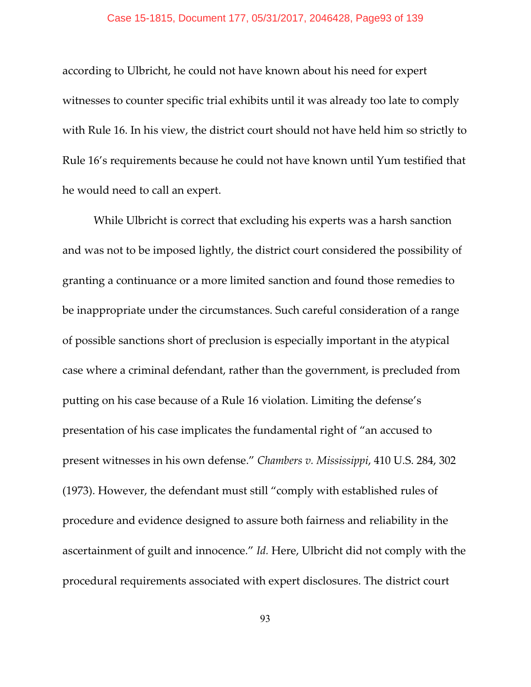according to Ulbricht, he could not have known about his need for expert witnesses to counter specific trial exhibits until it was already too late to comply with Rule 16. In his view, the district court should not have held him so strictly to Rule 16's requirements because he could not have known until Yum testified that he would need to call an expert.

While Ulbricht is correct that excluding his experts was a harsh sanction and was not to be imposed lightly, the district court considered the possibility of granting a continuance or a more limited sanction and found those remedies to be inappropriate under the circumstances. Such careful consideration of a range of possible sanctions short of preclusion is especially important in the atypical case where a criminal defendant, rather than the government, is precluded from putting on his case because of a Rule 16 violation. Limiting the defense's presentation of his case implicates the fundamental right of "an accused to present witnesses in his own defense." *Chambers v. Mississippi*, 410 U.S. 284, 302 (1973). However, the defendant must still "comply with established rules of procedure and evidence designed to assure both fairness and reliability in the ascertainment of guilt and innocence." *Id.* Here, Ulbricht did not comply with the procedural requirements associated with expert disclosures. The district court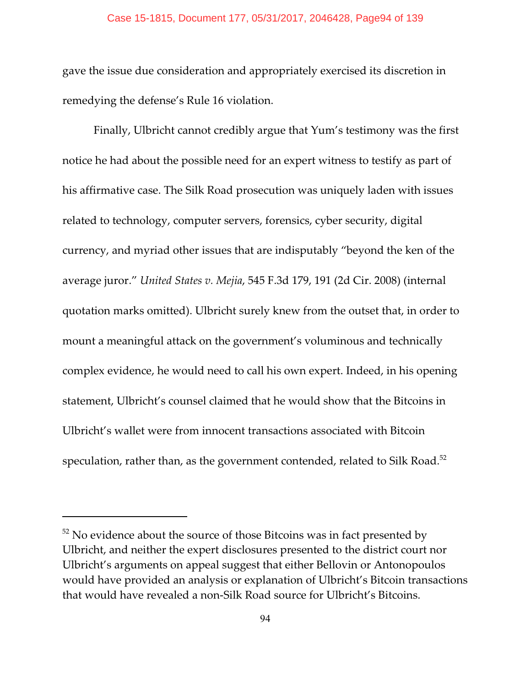gave the issue due consideration and appropriately exercised its discretion in remedying the defense's Rule 16 violation.

Finally, Ulbricht cannot credibly argue that Yum's testimony was the first notice he had about the possible need for an expert witness to testify as part of his affirmative case. The Silk Road prosecution was uniquely laden with issues related to technology, computer servers, forensics, cyber security, digital currency, and myriad other issues that are indisputably "beyond the ken of the average juror." *United States v. Mejia*, 545 F.3d 179, 191 (2d Cir. 2008) (internal quotation marks omitted). Ulbricht surely knew from the outset that, in order to mount a meaningful attack on the government's voluminous and technically complex evidence, he would need to call his own expert. Indeed, in his opening statement, Ulbricht's counsel claimed that he would show that the Bitcoins in Ulbricht's wallet were from innocent transactions associated with Bitcoin speculation, rather than, as the government contended, related to Silk Road.<sup>52</sup>

 $52$  No evidence about the source of those Bitcoins was in fact presented by Ulbricht, and neither the expert disclosures presented to the district court nor Ulbricht's arguments on appeal suggest that either Bellovin or Antonopoulos would have provided an analysis or explanation of Ulbricht's Bitcoin transactions that would have revealed a non-Silk Road source for Ulbricht's Bitcoins.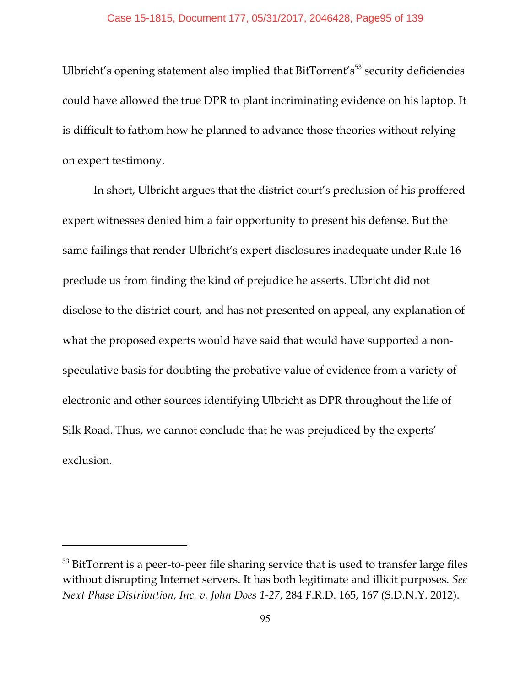Ulbricht's opening statement also implied that BitTorrent's<sup>53</sup> security deficiencies could have allowed the true DPR to plant incriminating evidence on his laptop. It is difficult to fathom how he planned to advance those theories without relying on expert testimony.

In short, Ulbricht argues that the district court's preclusion of his proffered expert witnesses denied him a fair opportunity to present his defense. But the same failings that render Ulbricht's expert disclosures inadequate under Rule 16 preclude us from finding the kind of prejudice he asserts. Ulbricht did not disclose to the district court, and has not presented on appeal, any explanation of what the proposed experts would have said that would have supported a nonspeculative basis for doubting the probative value of evidence from a variety of electronic and other sources identifying Ulbricht as DPR throughout the life of Silk Road. Thus, we cannot conclude that he was prejudiced by the experts' exclusion.

 $53$  BitTorrent is a peer-to-peer file sharing service that is used to transfer large files without disrupting Internet servers. It has both legitimate and illicit purposes. *See Next Phase Distribution, Inc. v. John Does 1-27*, 284 F.R.D. 165, 167 (S.D.N.Y. 2012).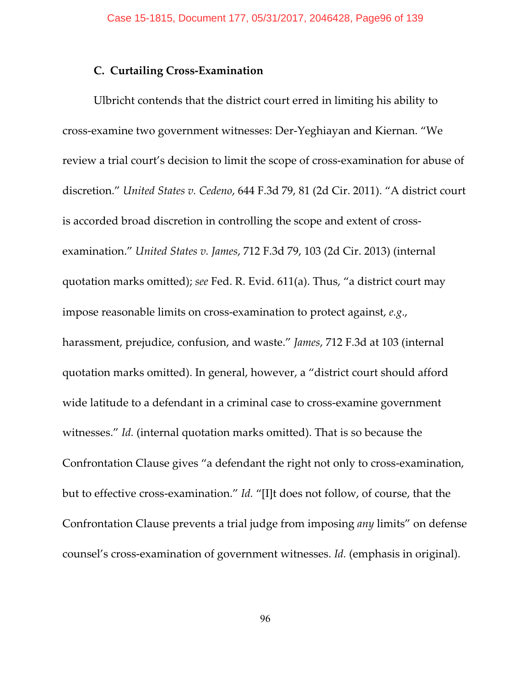# **C. Curtailing Cross-Examination**

Ulbricht contends that the district court erred in limiting his ability to cross-examine two government witnesses: Der-Yeghiayan and Kiernan. "We review a trial court's decision to limit the scope of cross-examination for abuse of discretion." *United States v. Cedeno*, 644 F.3d 79, 81 (2d Cir. 2011). "A district court is accorded broad discretion in controlling the scope and extent of crossexamination." *United States v. James*, 712 F.3d 79, 103 (2d Cir. 2013) (internal quotation marks omitted); *see* Fed. R. Evid. 611(a). Thus, "a district court may impose reasonable limits on cross-examination to protect against, *e.g*., harassment, prejudice, confusion, and waste." *James*, 712 F.3d at 103 (internal quotation marks omitted). In general, however, a "district court should afford wide latitude to a defendant in a criminal case to cross-examine government witnesses." *Id.* (internal quotation marks omitted). That is so because the Confrontation Clause gives "a defendant the right not only to cross-examination, but to effective cross-examination." *Id.* "[I]t does not follow, of course, that the Confrontation Clause prevents a trial judge from imposing *any* limits" on defense counsel's cross-examination of government witnesses. *Id.* (emphasis in original).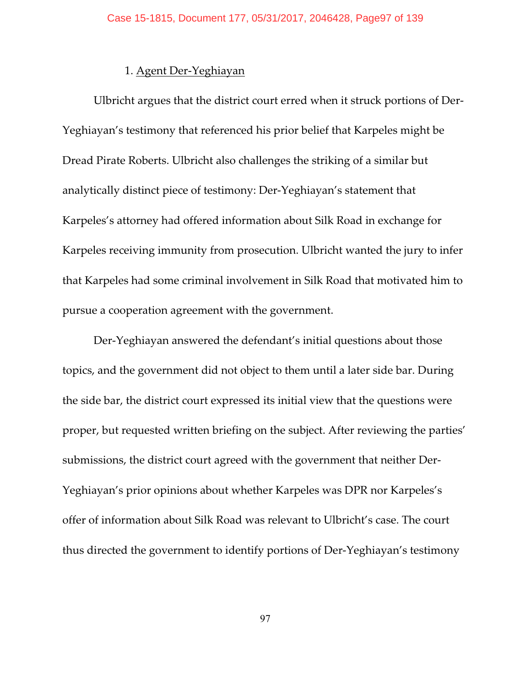# 1. Agent Der-Yeghiayan

Ulbricht argues that the district court erred when it struck portions of Der-Yeghiayan's testimony that referenced his prior belief that Karpeles might be Dread Pirate Roberts. Ulbricht also challenges the striking of a similar but analytically distinct piece of testimony: Der-Yeghiayan's statement that Karpeles's attorney had offered information about Silk Road in exchange for Karpeles receiving immunity from prosecution. Ulbricht wanted the jury to infer that Karpeles had some criminal involvement in Silk Road that motivated him to pursue a cooperation agreement with the government.

Der-Yeghiayan answered the defendant's initial questions about those topics, and the government did not object to them until a later side bar. During the side bar, the district court expressed its initial view that the questions were proper, but requested written briefing on the subject. After reviewing the parties' submissions, the district court agreed with the government that neither Der-Yeghiayan's prior opinions about whether Karpeles was DPR nor Karpeles's offer of information about Silk Road was relevant to Ulbricht's case. The court thus directed the government to identify portions of Der-Yeghiayan's testimony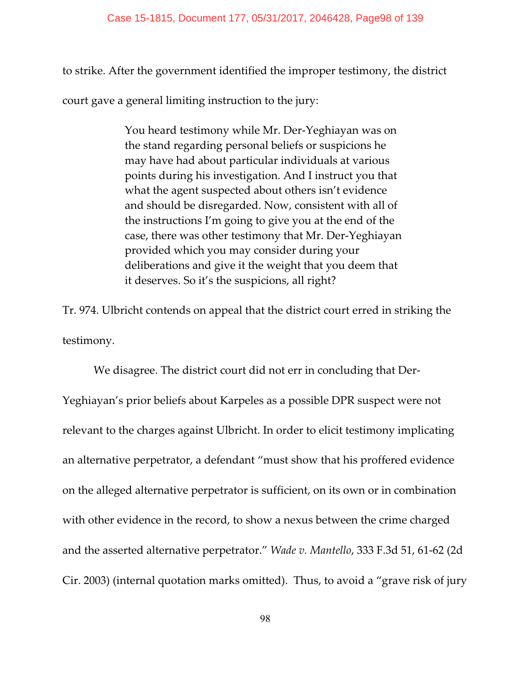to strike. After the government identified the improper testimony, the district

court gave a general limiting instruction to the jury:

You heard testimony while Mr. Der-Yeghiayan was on the stand regarding personal beliefs or suspicions he may have had about particular individuals at various points during his investigation. And I instruct you that what the agent suspected about others isn't evidence and should be disregarded. Now, consistent with all of the instructions I'm going to give you at the end of the case, there was other testimony that Mr. Der-Yeghiayan provided which you may consider during your deliberations and give it the weight that you deem that it deserves. So it's the suspicions, all right?

Tr. 974. Ulbricht contends on appeal that the district court erred in striking the testimony.

We disagree. The district court did not err in concluding that Der-Yeghiayan's prior beliefs about Karpeles as a possible DPR suspect were not relevant to the charges against Ulbricht. In order to elicit testimony implicating an alternative perpetrator, a defendant "must show that his proffered evidence on the alleged alternative perpetrator is sufficient, on its own or in combination with other evidence in the record, to show a nexus between the crime charged and the asserted alternative perpetrator." *Wade v. Mantello*, 333 F.3d 51, 61-62 (2d Cir. 2003) (internal quotation marks omitted). Thus, to avoid a "grave risk of jury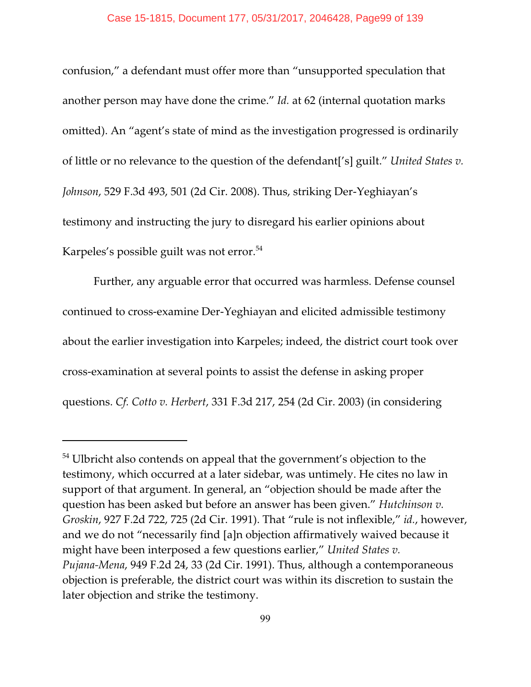confusion," a defendant must offer more than "unsupported speculation that another person may have done the crime." *Id.* at 62 (internal quotation marks omitted). An "agent's state of mind as the investigation progressed is ordinarily of little or no relevance to the question of the defendant['s] guilt." *United States v. Johnson*, 529 F.3d 493, 501 (2d Cir. 2008). Thus, striking Der-Yeghiayan's testimony and instructing the jury to disregard his earlier opinions about Karpeles's possible guilt was not error.<sup>54</sup>

Further, any arguable error that occurred was harmless. Defense counsel continued to cross-examine Der-Yeghiayan and elicited admissible testimony about the earlier investigation into Karpeles; indeed, the district court took over cross-examination at several points to assist the defense in asking proper questions. *Cf. Cotto v. Herbert*, 331 F.3d 217, 254 (2d Cir. 2003) (in considering

 $54$  Ulbricht also contends on appeal that the government's objection to the testimony, which occurred at a later sidebar, was untimely. He cites no law in support of that argument. In general, an "objection should be made after the question has been asked but before an answer has been given." *Hutchinson v. Groskin*, 927 F.2d 722, 725 (2d Cir. 1991). That "rule is not inflexible," *id.*, however, and we do not "necessarily find [a]n objection affirmatively waived because it might have been interposed a few questions earlier," *United States v. Pujana-Mena*, 949 F.2d 24, 33 (2d Cir. 1991). Thus, although a contemporaneous objection is preferable, the district court was within its discretion to sustain the later objection and strike the testimony.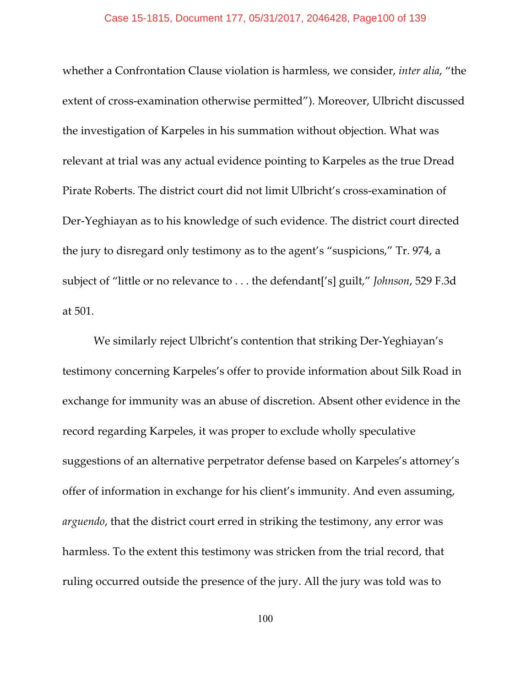### Case 15-1815, Document 177, 05/31/2017, 2046428, Page100 of 139

whether a Confrontation Clause violation is harmless, we consider, *inter alia*, "the extent of cross-examination otherwise permitted"). Moreover, Ulbricht discussed the investigation of Karpeles in his summation without objection. What was relevant at trial was any actual evidence pointing to Karpeles as the true Dread Pirate Roberts. The district court did not limit Ulbricht's cross-examination of Der-Yeghiayan as to his knowledge of such evidence. The district court directed the jury to disregard only testimony as to the agent's "suspicions," Tr. 974, a subject of "little or no relevance to . . . the defendant['s] guilt," *Johnson*, 529 F.3d at 501.

We similarly reject Ulbricht's contention that striking Der-Yeghiayan's testimony concerning Karpeles's offer to provide information about Silk Road in exchange for immunity was an abuse of discretion. Absent other evidence in the record regarding Karpeles, it was proper to exclude wholly speculative suggestions of an alternative perpetrator defense based on Karpeles's attorney's offer of information in exchange for his client's immunity. And even assuming, *arguendo*, that the district court erred in striking the testimony, any error was harmless. To the extent this testimony was stricken from the trial record, that ruling occurred outside the presence of the jury. All the jury was told was to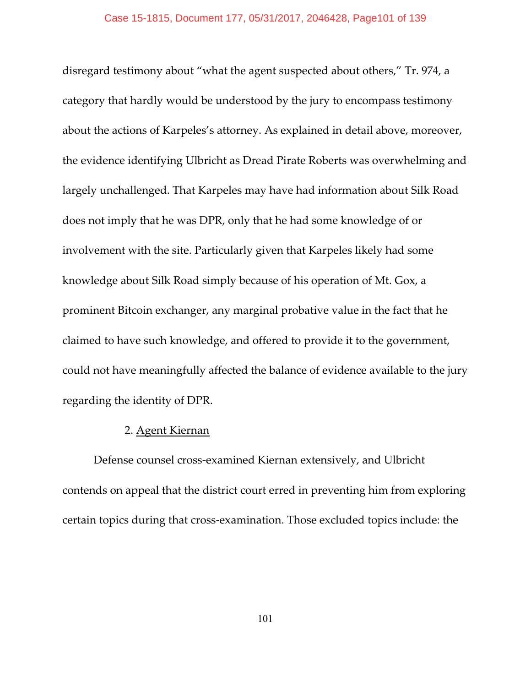disregard testimony about "what the agent suspected about others," Tr. 974, a category that hardly would be understood by the jury to encompass testimony about the actions of Karpeles's attorney. As explained in detail above, moreover, the evidence identifying Ulbricht as Dread Pirate Roberts was overwhelming and largely unchallenged. That Karpeles may have had information about Silk Road does not imply that he was DPR, only that he had some knowledge of or involvement with the site. Particularly given that Karpeles likely had some knowledge about Silk Road simply because of his operation of Mt. Gox, a prominent Bitcoin exchanger, any marginal probative value in the fact that he claimed to have such knowledge, and offered to provide it to the government, could not have meaningfully affected the balance of evidence available to the jury regarding the identity of DPR.

## 2. Agent Kiernan

Defense counsel cross-examined Kiernan extensively, and Ulbricht contends on appeal that the district court erred in preventing him from exploring certain topics during that cross-examination. Those excluded topics include: the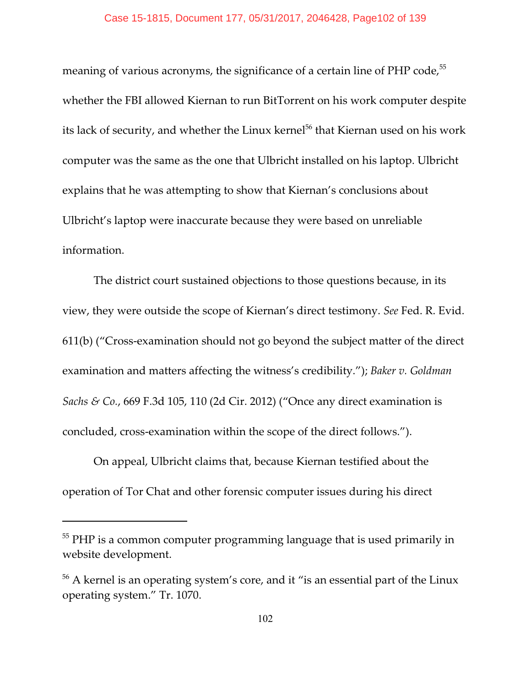meaning of various acronyms, the significance of a certain line of PHP code,<sup>55</sup> whether the FBI allowed Kiernan to run BitTorrent on his work computer despite its lack of security, and whether the Linux kernel<sup>56</sup> that Kiernan used on his work computer was the same as the one that Ulbricht installed on his laptop. Ulbricht explains that he was attempting to show that Kiernan's conclusions about Ulbricht's laptop were inaccurate because they were based on unreliable information.

The district court sustained objections to those questions because, in its view, they were outside the scope of Kiernan's direct testimony. *See* Fed. R. Evid. 611(b) ("Cross-examination should not go beyond the subject matter of the direct examination and matters affecting the witness's credibility."); *Baker v. Goldman Sachs & Co.*, 669 F.3d 105, 110 (2d Cir. 2012) ("Once any direct examination is concluded, cross-examination within the scope of the direct follows.").

On appeal, Ulbricht claims that, because Kiernan testified about the operation of Tor Chat and other forensic computer issues during his direct

 $^{55}$  PHP is a common computer programming language that is used primarily in website development.

 $56$  A kernel is an operating system's core, and it "is an essential part of the Linux operating system." Tr. 1070.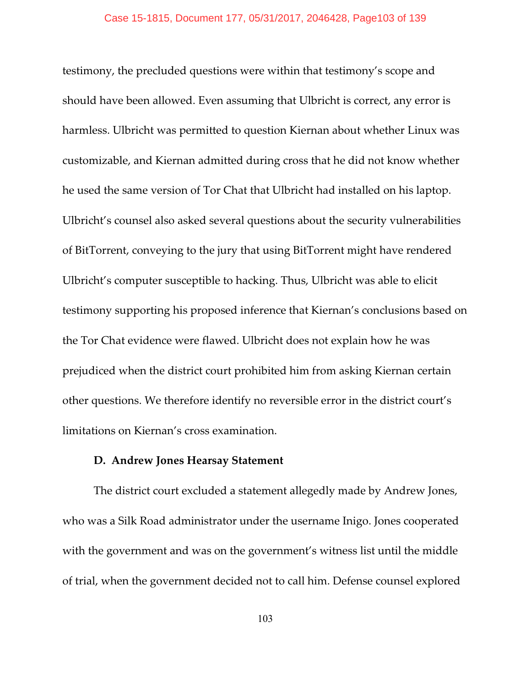testimony, the precluded questions were within that testimony's scope and should have been allowed. Even assuming that Ulbricht is correct, any error is harmless. Ulbricht was permitted to question Kiernan about whether Linux was customizable, and Kiernan admitted during cross that he did not know whether he used the same version of Tor Chat that Ulbricht had installed on his laptop. Ulbricht's counsel also asked several questions about the security vulnerabilities of BitTorrent, conveying to the jury that using BitTorrent might have rendered Ulbricht's computer susceptible to hacking. Thus, Ulbricht was able to elicit testimony supporting his proposed inference that Kiernan's conclusions based on the Tor Chat evidence were flawed. Ulbricht does not explain how he was prejudiced when the district court prohibited him from asking Kiernan certain other questions. We therefore identify no reversible error in the district court's limitations on Kiernan's cross examination.

## **D. Andrew Jones Hearsay Statement**

The district court excluded a statement allegedly made by Andrew Jones, who was a Silk Road administrator under the username Inigo. Jones cooperated with the government and was on the government's witness list until the middle of trial, when the government decided not to call him. Defense counsel explored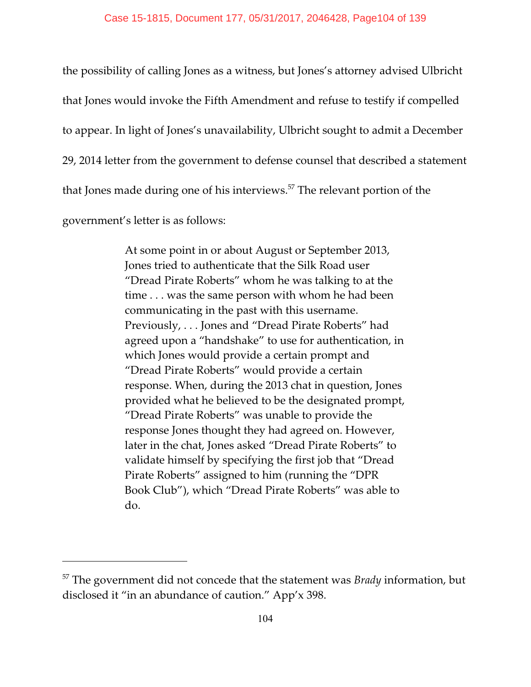the possibility of calling Jones as a witness, but Jones's attorney advised Ulbricht that Jones would invoke the Fifth Amendment and refuse to testify if compelled to appear. In light of Jones's unavailability, Ulbricht sought to admit a December 29, 2014 letter from the government to defense counsel that described a statement that Jones made during one of his interviews.<sup>57</sup> The relevant portion of the government's letter is as follows:

> At some point in or about August or September 2013, Jones tried to authenticate that the Silk Road user "Dread Pirate Roberts" whom he was talking to at the time . . . was the same person with whom he had been communicating in the past with this username. Previously, . . . Jones and "Dread Pirate Roberts" had agreed upon a "handshake" to use for authentication, in which Jones would provide a certain prompt and "Dread Pirate Roberts" would provide a certain response. When, during the 2013 chat in question, Jones provided what he believed to be the designated prompt, "Dread Pirate Roberts" was unable to provide the response Jones thought they had agreed on. However, later in the chat, Jones asked "Dread Pirate Roberts" to validate himself by specifying the first job that "Dread Pirate Roberts" assigned to him (running the "DPR Book Club"), which "Dread Pirate Roberts" was able to do.

<sup>&</sup>lt;sup>57</sup> The government did not concede that the statement was *Brady* information, but disclosed it "in an abundance of caution." App'x 398.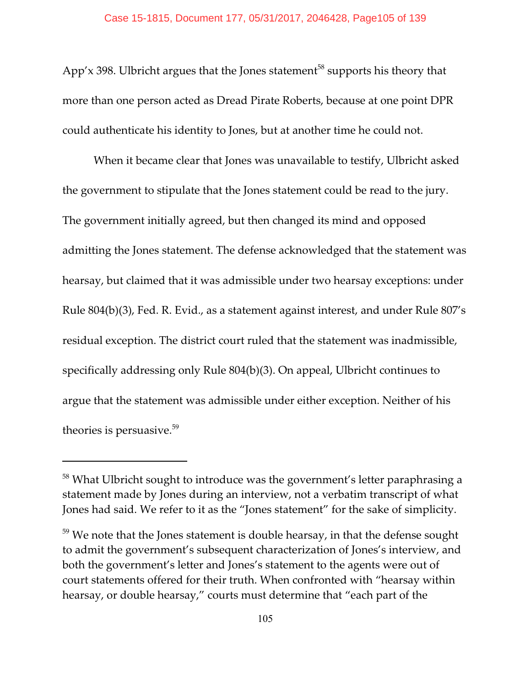App'x 398. Ulbricht argues that the Jones statement<sup>58</sup> supports his theory that more than one person acted as Dread Pirate Roberts, because at one point DPR could authenticate his identity to Jones, but at another time he could not.

When it became clear that Jones was unavailable to testify, Ulbricht asked the government to stipulate that the Jones statement could be read to the jury. The government initially agreed, but then changed its mind and opposed admitting the Jones statement. The defense acknowledged that the statement was hearsay, but claimed that it was admissible under two hearsay exceptions: under Rule 804(b)(3), Fed. R. Evid., as a statement against interest, and under Rule 807's residual exception. The district court ruled that the statement was inadmissible, specifically addressing only Rule 804(b)(3). On appeal, Ulbricht continues to argue that the statement was admissible under either exception. Neither of his theories is persuasive.<sup>59</sup>

 $58$  What Ulbricht sought to introduce was the government's letter paraphrasing a statement made by Jones during an interview, not a verbatim transcript of what Jones had said. We refer to it as the "Jones statement" for the sake of simplicity.

 $59$  We note that the Jones statement is double hearsay, in that the defense sought to admit the government's subsequent characterization of Jones's interview, and both the government's letter and Jones's statement to the agents were out of court statements offered for their truth. When confronted with "hearsay within hearsay, or double hearsay," courts must determine that "each part of the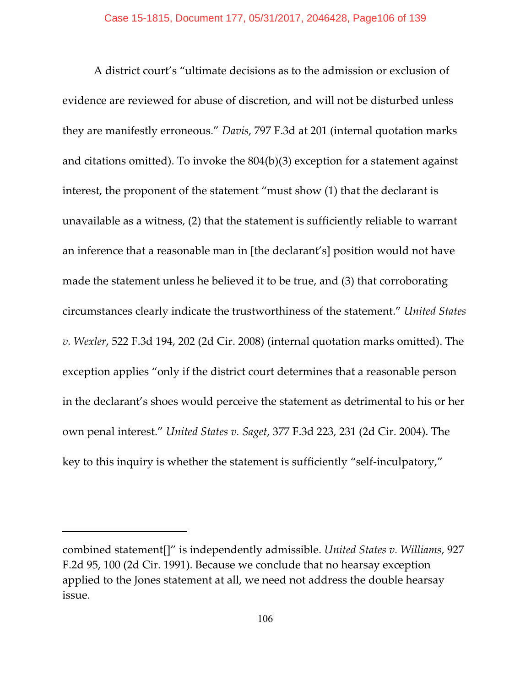A district court's "ultimate decisions as to the admission or exclusion of evidence are reviewed for abuse of discretion, and will not be disturbed unless they are manifestly erroneous." *Davis*, 797 F.3d at 201 (internal quotation marks and citations omitted). To invoke the 804(b)(3) exception for a statement against interest, the proponent of the statement "must show (1) that the declarant is unavailable as a witness, (2) that the statement is sufficiently reliable to warrant an inference that a reasonable man in [the declarant's] position would not have made the statement unless he believed it to be true, and (3) that corroborating circumstances clearly indicate the trustworthiness of the statement." *United States v. Wexler*, 522 F.3d 194, 202 (2d Cir. 2008) (internal quotation marks omitted). The exception applies "only if the district court determines that a reasonable person in the declarant's shoes would perceive the statement as detrimental to his or her own penal interest." *United States v. Saget*, 377 F.3d 223, 231 (2d Cir. 2004). The key to this inquiry is whether the statement is sufficiently "self-inculpatory,"

combined statement[]" is independently admissible. *United States v. Williams*, 927 F.2d 95, 100 (2d Cir. 1991). Because we conclude that no hearsay exception applied to the Jones statement at all, we need not address the double hearsay issue.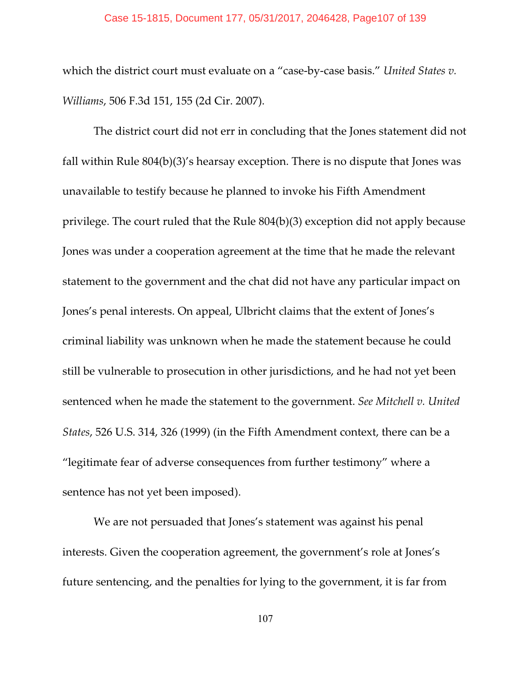### Case 15-1815, Document 177, 05/31/2017, 2046428, Page107 of 139

which the district court must evaluate on a "case-by-case basis." *United States v. Williams*, 506 F.3d 151, 155 (2d Cir. 2007).

The district court did not err in concluding that the Jones statement did not fall within Rule 804(b)(3)'s hearsay exception. There is no dispute that Jones was unavailable to testify because he planned to invoke his Fifth Amendment privilege. The court ruled that the Rule 804(b)(3) exception did not apply because Jones was under a cooperation agreement at the time that he made the relevant statement to the government and the chat did not have any particular impact on Jones's penal interests. On appeal, Ulbricht claims that the extent of Jones's criminal liability was unknown when he made the statement because he could still be vulnerable to prosecution in other jurisdictions, and he had not yet been sentenced when he made the statement to the government. *See Mitchell v. United States*, 526 U.S. 314, 326 (1999) (in the Fifth Amendment context, there can be a "legitimate fear of adverse consequences from further testimony" where a sentence has not yet been imposed).

We are not persuaded that Jones's statement was against his penal interests. Given the cooperation agreement, the government's role at Jones's future sentencing, and the penalties for lying to the government, it is far from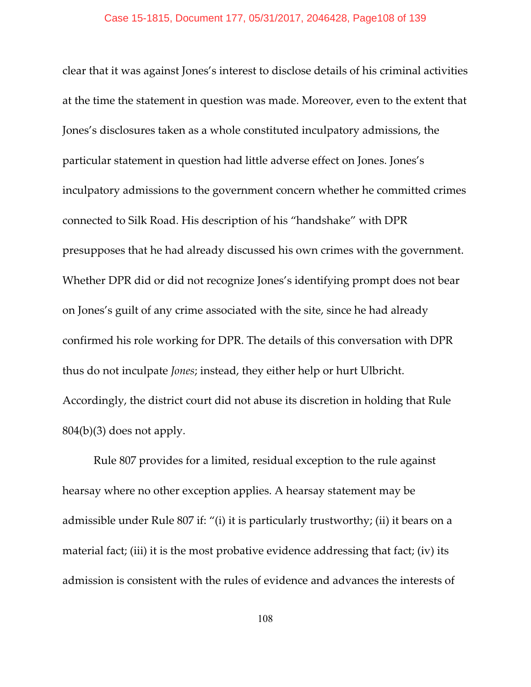clear that it was against Jones's interest to disclose details of his criminal activities at the time the statement in question was made. Moreover, even to the extent that Jones's disclosures taken as a whole constituted inculpatory admissions, the particular statement in question had little adverse effect on Jones. Jones's inculpatory admissions to the government concern whether he committed crimes connected to Silk Road. His description of his "handshake" with DPR presupposes that he had already discussed his own crimes with the government. Whether DPR did or did not recognize Jones's identifying prompt does not bear on Jones's guilt of any crime associated with the site, since he had already confirmed his role working for DPR. The details of this conversation with DPR thus do not inculpate *Jones*; instead, they either help or hurt Ulbricht. Accordingly, the district court did not abuse its discretion in holding that Rule  $804(b)(3)$  does not apply.

Rule 807 provides for a limited, residual exception to the rule against hearsay where no other exception applies. A hearsay statement may be admissible under Rule 807 if: "(i) it is particularly trustworthy; (ii) it bears on a material fact; (iii) it is the most probative evidence addressing that fact; (iv) its admission is consistent with the rules of evidence and advances the interests of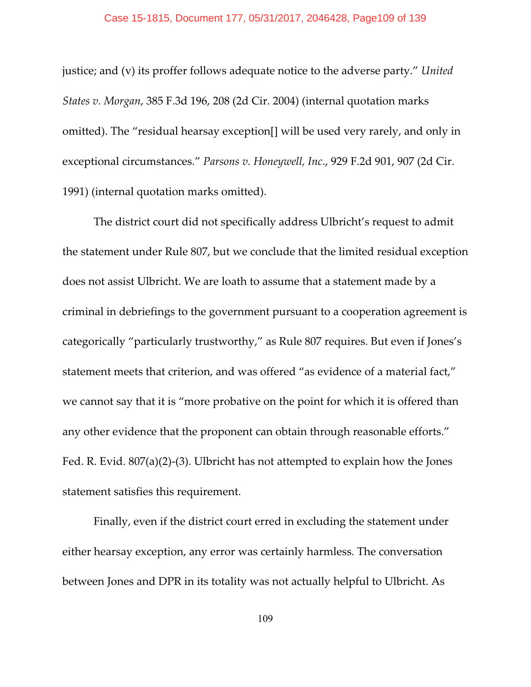justice; and (v) its proffer follows adequate notice to the adverse party." *United States v. Morgan*, 385 F.3d 196, 208 (2d Cir. 2004) (internal quotation marks omitted). The "residual hearsay exception[] will be used very rarely, and only in exceptional circumstances." *Parsons v. Honeywell, Inc*., 929 F.2d 901, 907 (2d Cir. 1991) (internal quotation marks omitted).

The district court did not specifically address Ulbricht's request to admit the statement under Rule 807, but we conclude that the limited residual exception does not assist Ulbricht. We are loath to assume that a statement made by a criminal in debriefings to the government pursuant to a cooperation agreement is categorically "particularly trustworthy," as Rule 807 requires. But even if Jones's statement meets that criterion, and was offered "as evidence of a material fact," we cannot say that it is "more probative on the point for which it is offered than any other evidence that the proponent can obtain through reasonable efforts." Fed. R. Evid. 807(a)(2)-(3). Ulbricht has not attempted to explain how the Jones statement satisfies this requirement.

Finally, even if the district court erred in excluding the statement under either hearsay exception, any error was certainly harmless. The conversation between Jones and DPR in its totality was not actually helpful to Ulbricht. As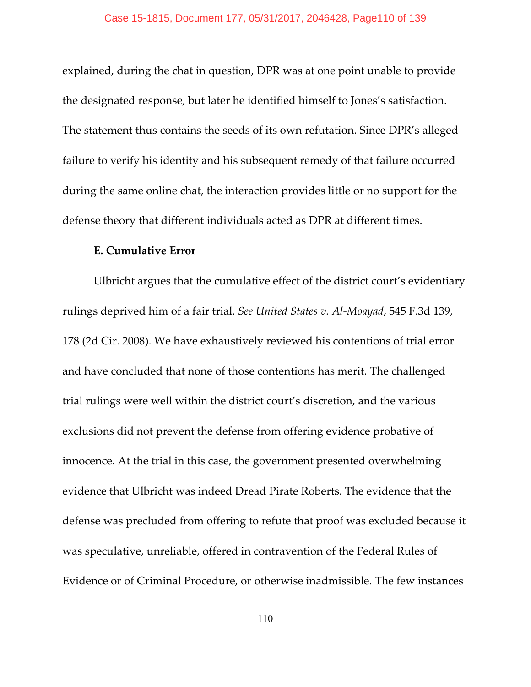explained, during the chat in question, DPR was at one point unable to provide the designated response, but later he identified himself to Jones's satisfaction. The statement thus contains the seeds of its own refutation. Since DPR's alleged failure to verify his identity and his subsequent remedy of that failure occurred during the same online chat, the interaction provides little or no support for the defense theory that different individuals acted as DPR at different times.

## **E. Cumulative Error**

Ulbricht argues that the cumulative effect of the district court's evidentiary rulings deprived him of a fair trial. *See United States v. Al-Moayad*, 545 F.3d 139, 178 (2d Cir. 2008). We have exhaustively reviewed his contentions of trial error and have concluded that none of those contentions has merit. The challenged trial rulings were well within the district court's discretion, and the various exclusions did not prevent the defense from offering evidence probative of innocence. At the trial in this case, the government presented overwhelming evidence that Ulbricht was indeed Dread Pirate Roberts. The evidence that the defense was precluded from offering to refute that proof was excluded because it was speculative, unreliable, offered in contravention of the Federal Rules of Evidence or of Criminal Procedure, or otherwise inadmissible. The few instances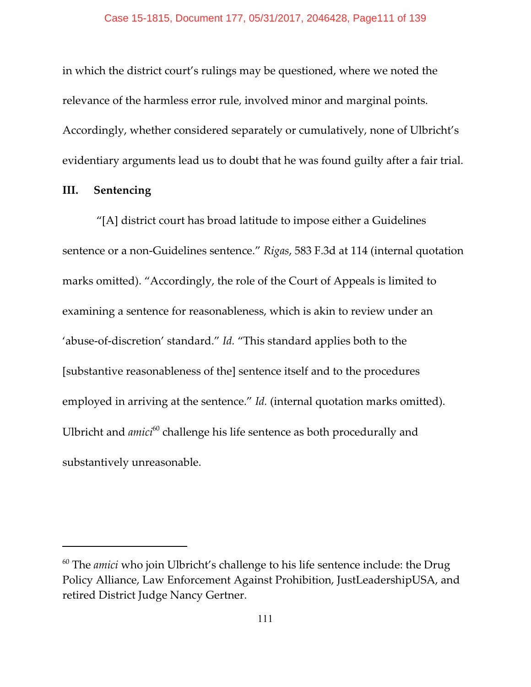in which the district court's rulings may be questioned, where we noted the relevance of the harmless error rule, involved minor and marginal points. Accordingly, whether considered separately or cumulatively, none of Ulbricht's evidentiary arguments lead us to doubt that he was found guilty after a fair trial.

## **III. Sentencing**

 "[A] district court has broad latitude to impose either a Guidelines sentence or a non-Guidelines sentence." *Rigas*, 583 F.3d at 114 (internal quotation marks omitted). "Accordingly, the role of the Court of Appeals is limited to examining a sentence for reasonableness, which is akin to review under an 'abuse-of-discretion' standard." *Id.* "This standard applies both to the [substantive reasonableness of the] sentence itself and to the procedures employed in arriving at the sentence." *Id.* (internal quotation marks omitted). Ulbricht and *amici*<sup>60</sup> challenge his life sentence as both procedurally and substantively unreasonable.

 $60$  The *amici* who join Ulbricht's challenge to his life sentence include: the Drug Policy Alliance, Law Enforcement Against Prohibition, JustLeadershipUSA, and retired District Judge Nancy Gertner.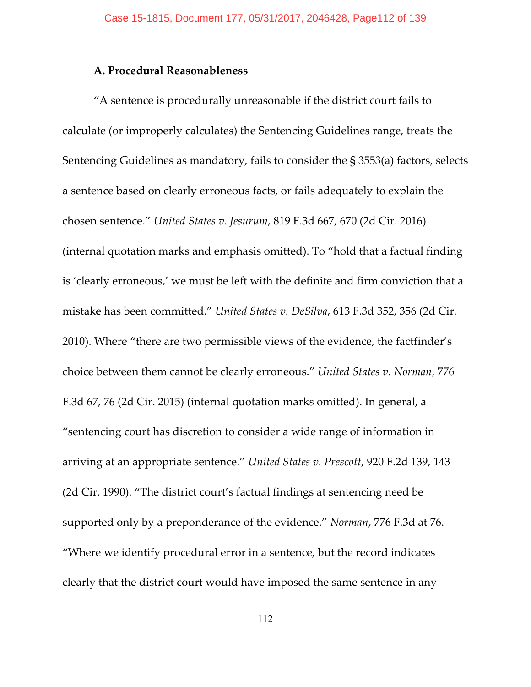## **A. Procedural Reasonableness**

"A sentence is procedurally unreasonable if the district court fails to calculate (or improperly calculates) the Sentencing Guidelines range, treats the Sentencing Guidelines as mandatory, fails to consider the § 3553(a) factors, selects a sentence based on clearly erroneous facts, or fails adequately to explain the chosen sentence." *United States v. Jesurum*, 819 F.3d 667, 670 (2d Cir. 2016) (internal quotation marks and emphasis omitted). To "hold that a factual finding is 'clearly erroneous,' we must be left with the definite and firm conviction that a mistake has been committed." *United States v. DeSilva*, 613 F.3d 352, 356 (2d Cir. 2010). Where "there are two permissible views of the evidence, the factfinder's choice between them cannot be clearly erroneous." *United States v. Norman*, 776 F.3d 67, 76 (2d Cir. 2015) (internal quotation marks omitted). In general, a "sentencing court has discretion to consider a wide range of information in arriving at an appropriate sentence." *United States v. Prescott*, 920 F.2d 139, 143 (2d Cir. 1990). "The district court's factual findings at sentencing need be supported only by a preponderance of the evidence." *Norman*, 776 F.3d at 76. "Where we identify procedural error in a sentence, but the record indicates clearly that the district court would have imposed the same sentence in any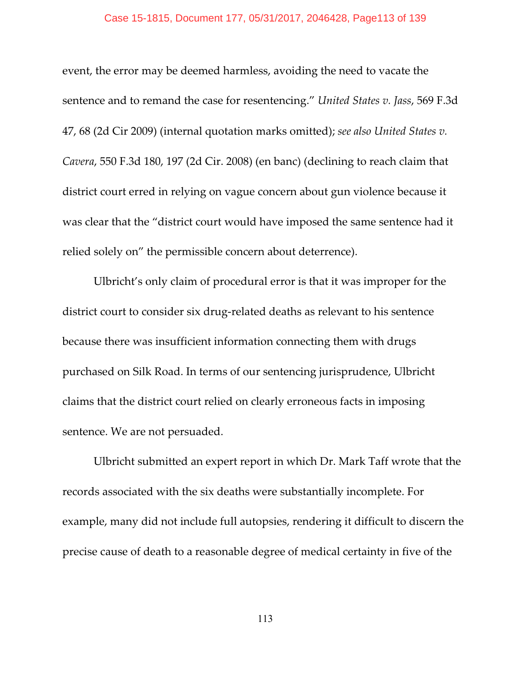#### Case 15-1815, Document 177, 05/31/2017, 2046428, Page113 of 139

event, the error may be deemed harmless, avoiding the need to vacate the sentence and to remand the case for resentencing." *United States v. Jass*, 569 F.3d 47, 68 (2d Cir 2009) (internal quotation marks omitted); *see also United States v. Cavera*, 550 F.3d 180, 197 (2d Cir. 2008) (en banc) (declining to reach claim that district court erred in relying on vague concern about gun violence because it was clear that the "district court would have imposed the same sentence had it relied solely on" the permissible concern about deterrence).

Ulbricht's only claim of procedural error is that it was improper for the district court to consider six drug-related deaths as relevant to his sentence because there was insufficient information connecting them with drugs purchased on Silk Road. In terms of our sentencing jurisprudence, Ulbricht claims that the district court relied on clearly erroneous facts in imposing sentence. We are not persuaded.

Ulbricht submitted an expert report in which Dr. Mark Taff wrote that the records associated with the six deaths were substantially incomplete. For example, many did not include full autopsies, rendering it difficult to discern the precise cause of death to a reasonable degree of medical certainty in five of the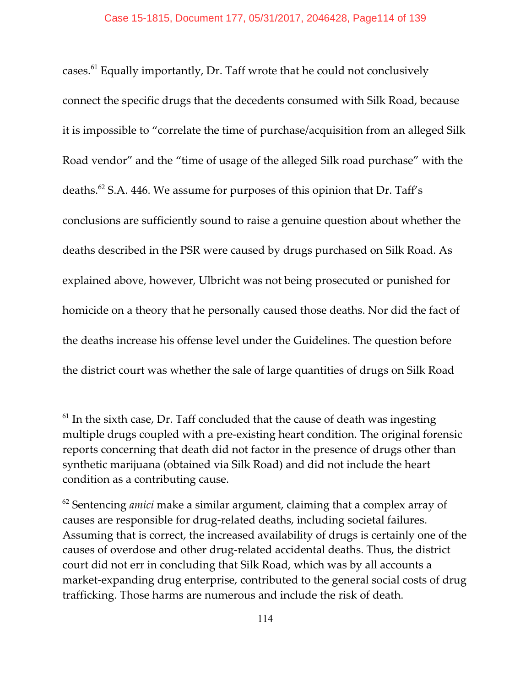cases. $61$  Equally importantly, Dr. Taff wrote that he could not conclusively connect the specific drugs that the decedents consumed with Silk Road, because it is impossible to "correlate the time of purchase/acquisition from an alleged Silk Road vendor" and the "time of usage of the alleged Silk road purchase" with the deaths.<sup>62</sup> S.A. 446. We assume for purposes of this opinion that Dr. Taff's conclusions are sufficiently sound to raise a genuine question about whether the deaths described in the PSR were caused by drugs purchased on Silk Road. As explained above, however, Ulbricht was not being prosecuted or punished for homicide on a theory that he personally caused those deaths. Nor did the fact of the deaths increase his offense level under the Guidelines. The question before the district court was whether the sale of large quantities of drugs on Silk Road

 $<sup>61</sup>$  In the sixth case, Dr. Taff concluded that the cause of death was ingesting</sup> multiple drugs coupled with a pre-existing heart condition. The original forensic reports concerning that death did not factor in the presence of drugs other than synthetic marijuana (obtained via Silk Road) and did not include the heart condition as a contributing cause.

<sup>&</sup>lt;sup>62</sup> Sentencing *amici* make a similar argument, claiming that a complex array of causes are responsible for drug-related deaths, including societal failures. Assuming that is correct, the increased availability of drugs is certainly one of the causes of overdose and other drug-related accidental deaths. Thus, the district court did not err in concluding that Silk Road, which was by all accounts a market-expanding drug enterprise, contributed to the general social costs of drug trafficking. Those harms are numerous and include the risk of death.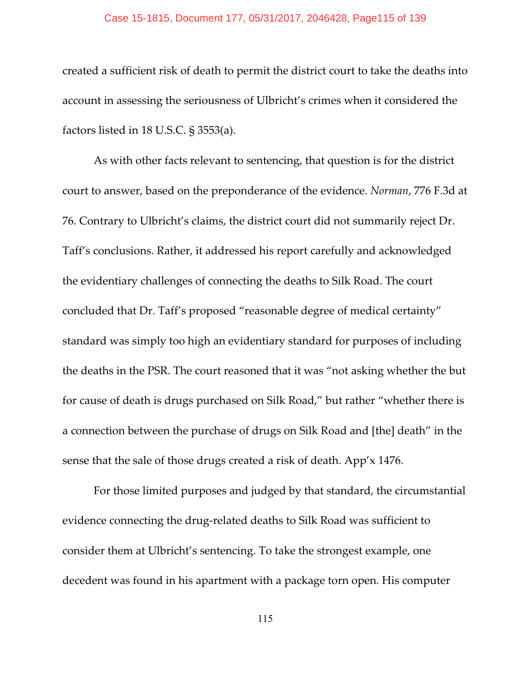#### Case 15-1815, Document 177, 05/31/2017, 2046428, Page115 of 139

created a sufficient risk of death to permit the district court to take the deaths into account in assessing the seriousness of Ulbricht's crimes when it considered the factors listed in 18 U.S.C. § 3553(a).

As with other facts relevant to sentencing, that question is for the district court to answer, based on the preponderance of the evidence. *Norman*, 776 F.3d at 76. Contrary to Ulbricht's claims, the district court did not summarily reject Dr. Taff's conclusions. Rather, it addressed his report carefully and acknowledged the evidentiary challenges of connecting the deaths to Silk Road. The court concluded that Dr. Taff's proposed "reasonable degree of medical certainty" standard was simply too high an evidentiary standard for purposes of including the deaths in the PSR. The court reasoned that it was "not asking whether the but for cause of death is drugs purchased on Silk Road," but rather "whether there is a connection between the purchase of drugs on Silk Road and [the] death" in the sense that the sale of those drugs created a risk of death. App'x 1476.

For those limited purposes and judged by that standard, the circumstantial evidence connecting the drug-related deaths to Silk Road was sufficient to consider them at Ulbricht's sentencing. To take the strongest example, one decedent was found in his apartment with a package torn open. His computer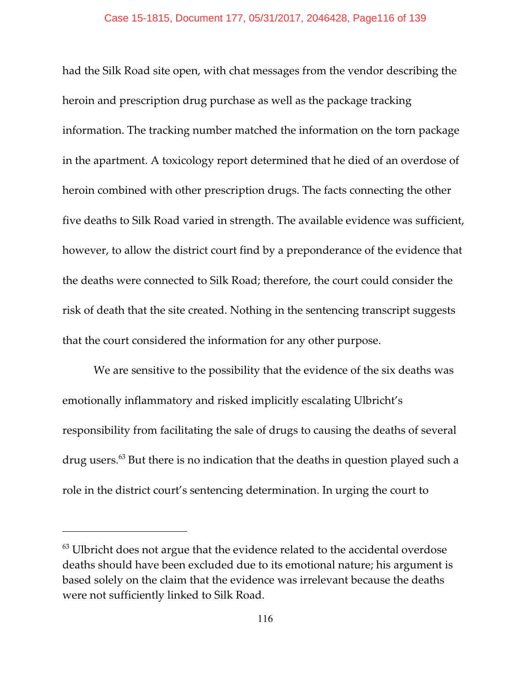had the Silk Road site open, with chat messages from the vendor describing the heroin and prescription drug purchase as well as the package tracking information. The tracking number matched the information on the torn package in the apartment. A toxicology report determined that he died of an overdose of heroin combined with other prescription drugs. The facts connecting the other five deaths to Silk Road varied in strength. The available evidence was sufficient, however, to allow the district court find by a preponderance of the evidence that the deaths were connected to Silk Road; therefore, the court could consider the risk of death that the site created. Nothing in the sentencing transcript suggests that the court considered the information for any other purpose.

We are sensitive to the possibility that the evidence of the six deaths was emotionally inflammatory and risked implicitly escalating Ulbricht's responsibility from facilitating the sale of drugs to causing the deaths of several drug users.<sup>63</sup> But there is no indication that the deaths in question played such a role in the district court's sentencing determination. In urging the court to

 $^{63}$  Ulbricht does not argue that the evidence related to the accidental overdose deaths should have been excluded due to its emotional nature; his argument is based solely on the claim that the evidence was irrelevant because the deaths were not sufficiently linked to Silk Road.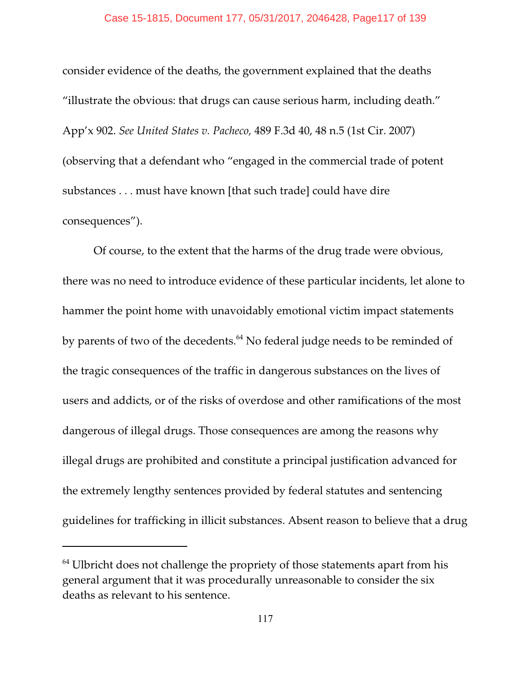### Case 15-1815, Document 177, 05/31/2017, 2046428, Page117 of 139

consider evidence of the deaths, the government explained that the deaths "illustrate the obvious: that drugs can cause serious harm, including death." App'x 902. *See United States v. Pacheco,* 489 F.3d 40, 48 n.5 (1st Cir. 2007) (observing that a defendant who "engaged in the commercial trade of potent substances . . . must have known [that such trade] could have dire consequences").

Of course, to the extent that the harms of the drug trade were obvious, there was no need to introduce evidence of these particular incidents, let alone to hammer the point home with unavoidably emotional victim impact statements by parents of two of the decedents. $^{64}$  No federal judge needs to be reminded of the tragic consequences of the traffic in dangerous substances on the lives of users and addicts, or of the risks of overdose and other ramifications of the most dangerous of illegal drugs. Those consequences are among the reasons why illegal drugs are prohibited and constitute a principal justification advanced for the extremely lengthy sentences provided by federal statutes and sentencing guidelines for trafficking in illicit substances. Absent reason to believe that a drug

 $64$  Ulbricht does not challenge the propriety of those statements apart from his general argument that it was procedurally unreasonable to consider the six deaths as relevant to his sentence.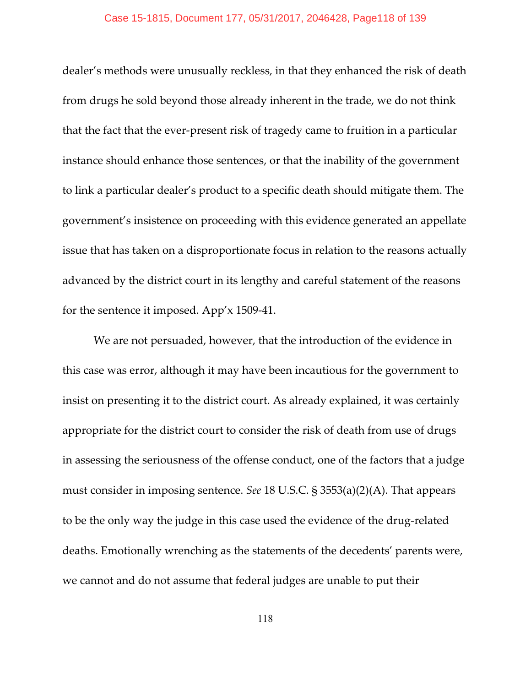#### Case 15-1815, Document 177, 05/31/2017, 2046428, Page118 of 139

dealer's methods were unusually reckless, in that they enhanced the risk of death from drugs he sold beyond those already inherent in the trade, we do not think that the fact that the ever-present risk of tragedy came to fruition in a particular instance should enhance those sentences, or that the inability of the government to link a particular dealer's product to a specific death should mitigate them. The government's insistence on proceeding with this evidence generated an appellate issue that has taken on a disproportionate focus in relation to the reasons actually advanced by the district court in its lengthy and careful statement of the reasons for the sentence it imposed. App'x 1509-41.

We are not persuaded, however, that the introduction of the evidence in this case was error, although it may have been incautious for the government to insist on presenting it to the district court. As already explained, it was certainly appropriate for the district court to consider the risk of death from use of drugs in assessing the seriousness of the offense conduct, one of the factors that a judge must consider in imposing sentence. *See* 18 U.S.C. § 3553(a)(2)(A). That appears to be the only way the judge in this case used the evidence of the drug-related deaths. Emotionally wrenching as the statements of the decedents' parents were, we cannot and do not assume that federal judges are unable to put their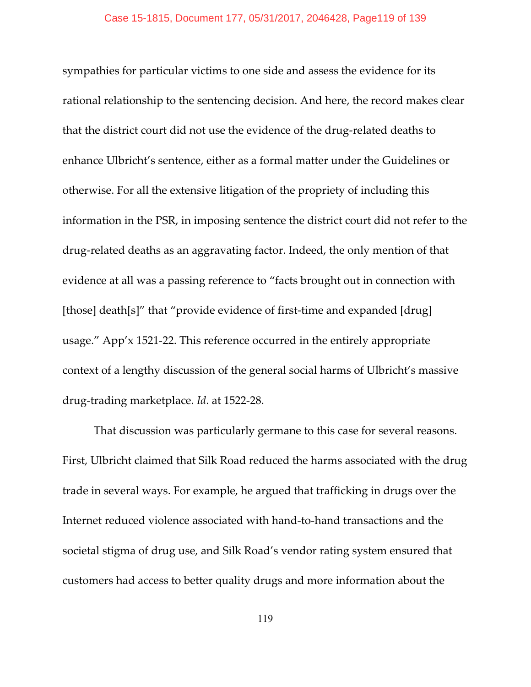sympathies for particular victims to one side and assess the evidence for its rational relationship to the sentencing decision. And here, the record makes clear that the district court did not use the evidence of the drug-related deaths to enhance Ulbricht's sentence, either as a formal matter under the Guidelines or otherwise. For all the extensive litigation of the propriety of including this information in the PSR, in imposing sentence the district court did not refer to the drug-related deaths as an aggravating factor. Indeed, the only mention of that evidence at all was a passing reference to "facts brought out in connection with [those] death[s]" that "provide evidence of first-time and expanded [drug] usage." App'x 1521-22. This reference occurred in the entirely appropriate context of a lengthy discussion of the general social harms of Ulbricht's massive drug-trading marketplace. *Id*. at 1522-28.

That discussion was particularly germane to this case for several reasons. First, Ulbricht claimed that Silk Road reduced the harms associated with the drug trade in several ways. For example, he argued that trafficking in drugs over the Internet reduced violence associated with hand-to-hand transactions and the societal stigma of drug use, and Silk Road's vendor rating system ensured that customers had access to better quality drugs and more information about the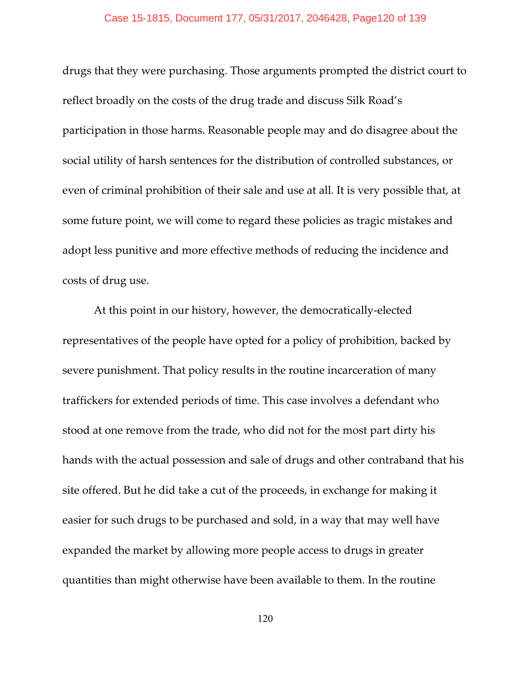#### Case 15-1815, Document 177, 05/31/2017, 2046428, Page120 of 139

drugs that they were purchasing. Those arguments prompted the district court to reflect broadly on the costs of the drug trade and discuss Silk Road's participation in those harms. Reasonable people may and do disagree about the social utility of harsh sentences for the distribution of controlled substances, or even of criminal prohibition of their sale and use at all. It is very possible that, at some future point, we will come to regard these policies as tragic mistakes and adopt less punitive and more effective methods of reducing the incidence and costs of drug use.

At this point in our history, however, the democratically-elected representatives of the people have opted for a policy of prohibition, backed by severe punishment. That policy results in the routine incarceration of many traffickers for extended periods of time. This case involves a defendant who stood at one remove from the trade, who did not for the most part dirty his hands with the actual possession and sale of drugs and other contraband that his site offered. But he did take a cut of the proceeds, in exchange for making it easier for such drugs to be purchased and sold, in a way that may well have expanded the market by allowing more people access to drugs in greater quantities than might otherwise have been available to them. In the routine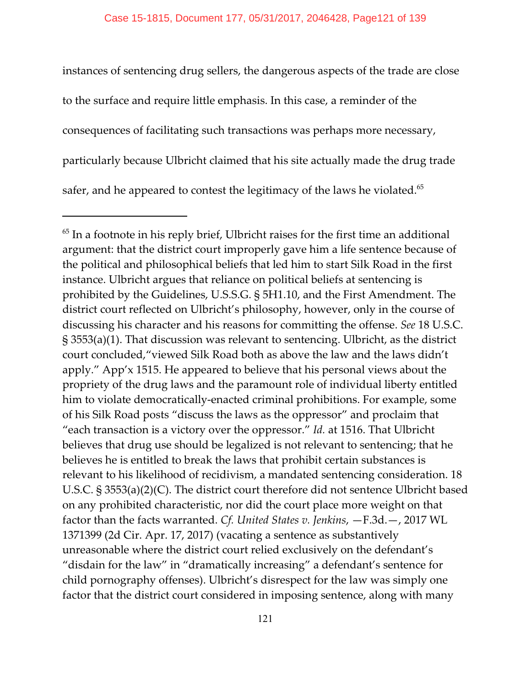instances of sentencing drug sellers, the dangerous aspects of the trade are close to the surface and require little emphasis. In this case, a reminder of the consequences of facilitating such transactions was perhaps more necessary, particularly because Ulbricht claimed that his site actually made the drug trade safer, and he appeared to contest the legitimacy of the laws he violated.<sup>65</sup>

 $<sup>65</sup>$  In a footnote in his reply brief, Ulbricht raises for the first time an additional</sup> argument: that the district court improperly gave him a life sentence because of the political and philosophical beliefs that led him to start Silk Road in the first instance. Ulbricht argues that reliance on political beliefs at sentencing is prohibited by the Guidelines, U.S.S.G. § 5H1.10, and the First Amendment. The district court reflected on Ulbricht's philosophy, however, only in the course of discussing his character and his reasons for committing the offense. *See* 18 U.S.C. § 3553(a)(1). That discussion was relevant to sentencing. Ulbricht, as the district court concluded,"viewed Silk Road both as above the law and the laws didn't apply." App'x 1515. He appeared to believe that his personal views about the propriety of the drug laws and the paramount role of individual liberty entitled him to violate democratically-enacted criminal prohibitions. For example, some of his Silk Road posts "discuss the laws as the oppressor" and proclaim that "each transaction is a victory over the oppressor." *Id.* at 1516. That Ulbricht believes that drug use should be legalized is not relevant to sentencing; that he believes he is entitled to break the laws that prohibit certain substances is relevant to his likelihood of recidivism, a mandated sentencing consideration. 18 U.S.C. § 3553(a)(2)(C). The district court therefore did not sentence Ulbricht based on any prohibited characteristic, nor did the court place more weight on that factor than the facts warranted. *Cf. United States v. Jenkins*, —F.3d.—, 2017 WL 1371399 (2d Cir. Apr. 17, 2017) (vacating a sentence as substantively unreasonable where the district court relied exclusively on the defendant's "disdain for the law" in "dramatically increasing" a defendant's sentence for child pornography offenses). Ulbricht's disrespect for the law was simply one factor that the district court considered in imposing sentence, along with many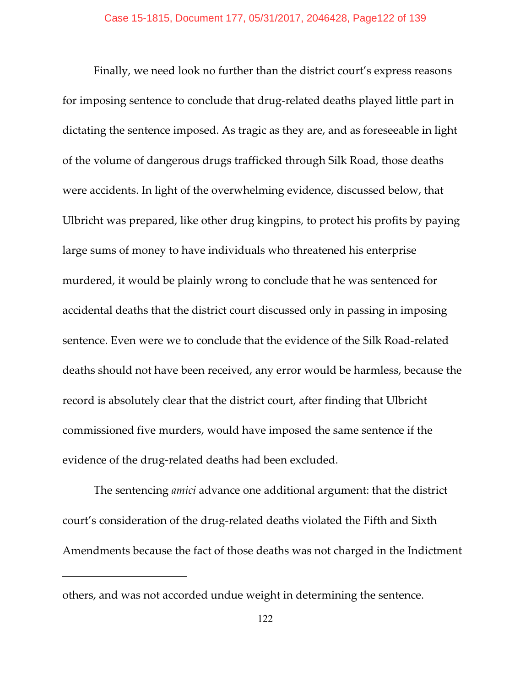Finally, we need look no further than the district court's express reasons for imposing sentence to conclude that drug-related deaths played little part in dictating the sentence imposed. As tragic as they are, and as foreseeable in light of the volume of dangerous drugs trafficked through Silk Road, those deaths were accidents. In light of the overwhelming evidence, discussed below, that Ulbricht was prepared, like other drug kingpins, to protect his profits by paying large sums of money to have individuals who threatened his enterprise murdered, it would be plainly wrong to conclude that he was sentenced for accidental deaths that the district court discussed only in passing in imposing sentence. Even were we to conclude that the evidence of the Silk Road-related deaths should not have been received, any error would be harmless, because the record is absolutely clear that the district court, after finding that Ulbricht commissioned five murders, would have imposed the same sentence if the evidence of the drug-related deaths had been excluded.

The sentencing *amici* advance one additional argument: that the district court's consideration of the drug-related deaths violated the Fifth and Sixth Amendments because the fact of those deaths was not charged in the Indictment

others, and was not accorded undue weight in determining the sentence.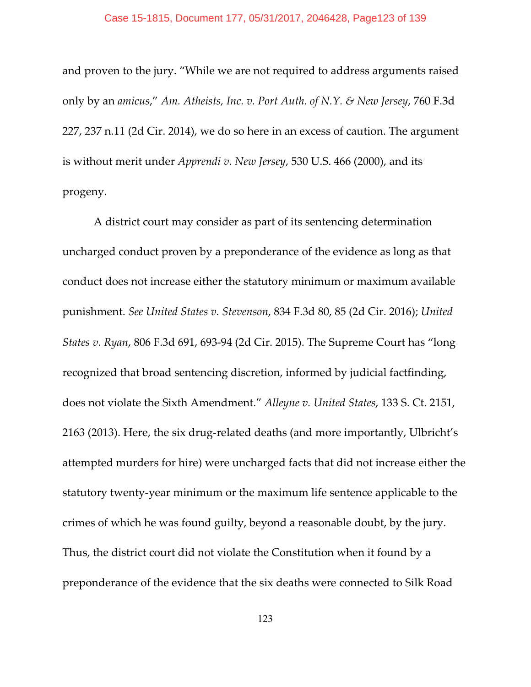#### Case 15-1815, Document 177, 05/31/2017, 2046428, Page123 of 139

and proven to the jury. "While we are not required to address arguments raised only by an *amicus*," *Am. Atheists, Inc. v. Port Auth. of N.Y. & New Jersey*, 760 F.3d 227, 237 n.11 (2d Cir. 2014), we do so here in an excess of caution. The argument is without merit under *Apprendi v. New Jersey*, 530 U.S. 466 (2000), and its progeny.

A district court may consider as part of its sentencing determination uncharged conduct proven by a preponderance of the evidence as long as that conduct does not increase either the statutory minimum or maximum available punishment. *See United States v. Stevenson*, 834 F.3d 80, 85 (2d Cir. 2016); *United States v. Ryan*, 806 F.3d 691, 693-94 (2d Cir. 2015). The Supreme Court has "long recognized that broad sentencing discretion, informed by judicial factfinding, does not violate the Sixth Amendment." *Alleyne v. United States*, 133 S. Ct. 2151, 2163 (2013). Here, the six drug-related deaths (and more importantly, Ulbricht's attempted murders for hire) were uncharged facts that did not increase either the statutory twenty-year minimum or the maximum life sentence applicable to the crimes of which he was found guilty, beyond a reasonable doubt, by the jury. Thus, the district court did not violate the Constitution when it found by a preponderance of the evidence that the six deaths were connected to Silk Road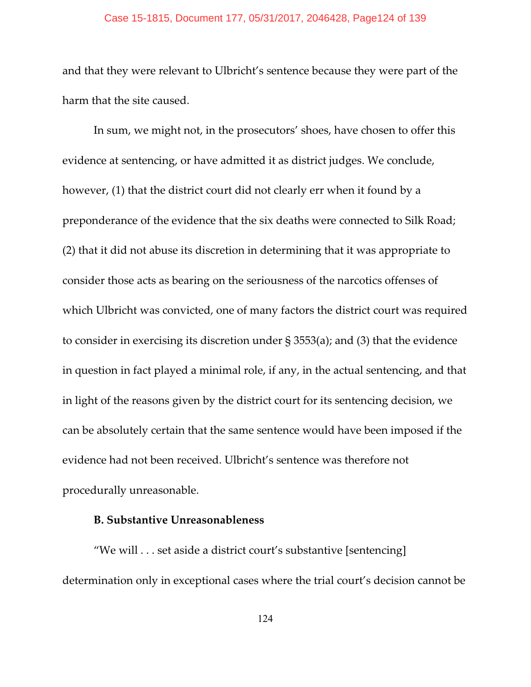## Case 15-1815, Document 177, 05/31/2017, 2046428, Page124 of 139

and that they were relevant to Ulbricht's sentence because they were part of the harm that the site caused.

In sum, we might not, in the prosecutors' shoes, have chosen to offer this evidence at sentencing, or have admitted it as district judges. We conclude, however, (1) that the district court did not clearly err when it found by a preponderance of the evidence that the six deaths were connected to Silk Road; (2) that it did not abuse its discretion in determining that it was appropriate to consider those acts as bearing on the seriousness of the narcotics offenses of which Ulbricht was convicted, one of many factors the district court was required to consider in exercising its discretion under § 3553(a); and (3) that the evidence in question in fact played a minimal role, if any, in the actual sentencing, and that in light of the reasons given by the district court for its sentencing decision, we can be absolutely certain that the same sentence would have been imposed if the evidence had not been received. Ulbricht's sentence was therefore not procedurally unreasonable.

## **B. Substantive Unreasonableness**

"We will . . . set aside a district court's substantive [sentencing] determination only in exceptional cases where the trial court's decision cannot be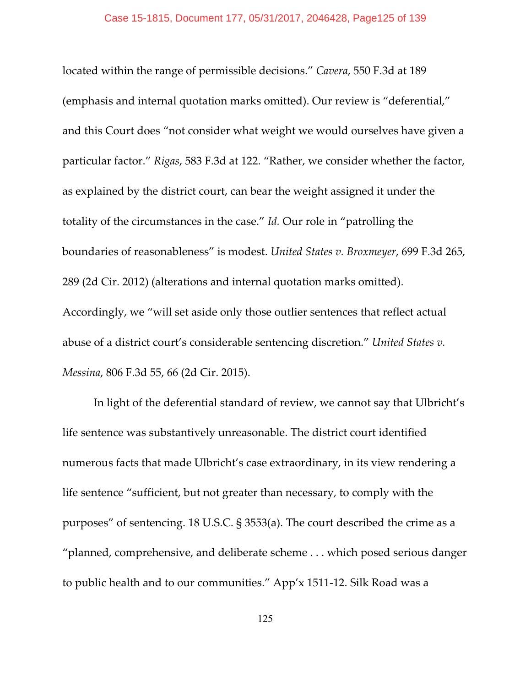#### Case 15-1815, Document 177, 05/31/2017, 2046428, Page125 of 139

located within the range of permissible decisions." *Cavera*, 550 F.3d at 189 (emphasis and internal quotation marks omitted). Our review is "deferential," and this Court does "not consider what weight we would ourselves have given a particular factor." *Rigas*, 583 F.3d at 122. "Rather, we consider whether the factor, as explained by the district court, can bear the weight assigned it under the totality of the circumstances in the case." *Id.* Our role in "patrolling the boundaries of reasonableness" is modest. *United States v. Broxmeyer*, 699 F.3d 265, 289 (2d Cir. 2012) (alterations and internal quotation marks omitted). Accordingly, we "will set aside only those outlier sentences that reflect actual abuse of a district court's considerable sentencing discretion." *United States v. Messina*, 806 F.3d 55, 66 (2d Cir. 2015).

In light of the deferential standard of review, we cannot say that Ulbricht's life sentence was substantively unreasonable. The district court identified numerous facts that made Ulbricht's case extraordinary, in its view rendering a life sentence "sufficient, but not greater than necessary, to comply with the purposes" of sentencing. 18 U.S.C. § 3553(a). The court described the crime as a "planned, comprehensive, and deliberate scheme . . . which posed serious danger to public health and to our communities." App'x 1511-12. Silk Road was a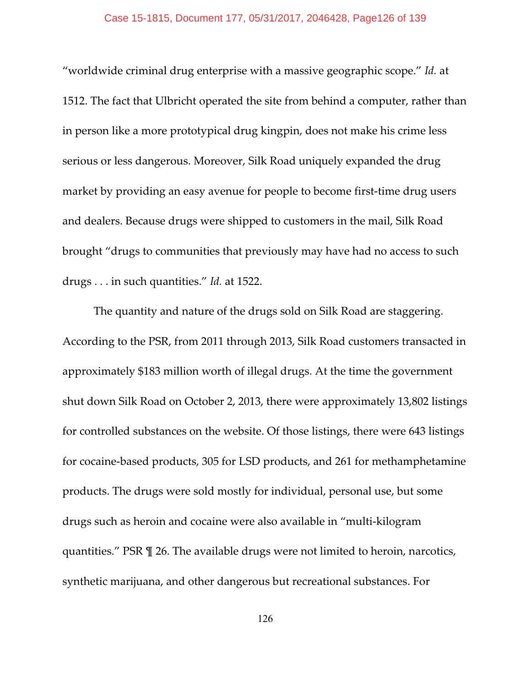"worldwide criminal drug enterprise with a massive geographic scope." *Id.* at 1512. The fact that Ulbricht operated the site from behind a computer, rather than in person like a more prototypical drug kingpin, does not make his crime less serious or less dangerous. Moreover, Silk Road uniquely expanded the drug market by providing an easy avenue for people to become first-time drug users and dealers. Because drugs were shipped to customers in the mail, Silk Road brought "drugs to communities that previously may have had no access to such drugs . . . in such quantities." *Id.* at 1522.

The quantity and nature of the drugs sold on Silk Road are staggering. According to the PSR, from 2011 through 2013, Silk Road customers transacted in approximately \$183 million worth of illegal drugs. At the time the government shut down Silk Road on October 2, 2013, there were approximately 13,802 listings for controlled substances on the website. Of those listings, there were 643 listings for cocaine-based products, 305 for LSD products, and 261 for methamphetamine products. The drugs were sold mostly for individual, personal use, but some drugs such as heroin and cocaine were also available in "multi-kilogram quantities." PSR ¶ 26. The available drugs were not limited to heroin, narcotics, synthetic marijuana, and other dangerous but recreational substances. For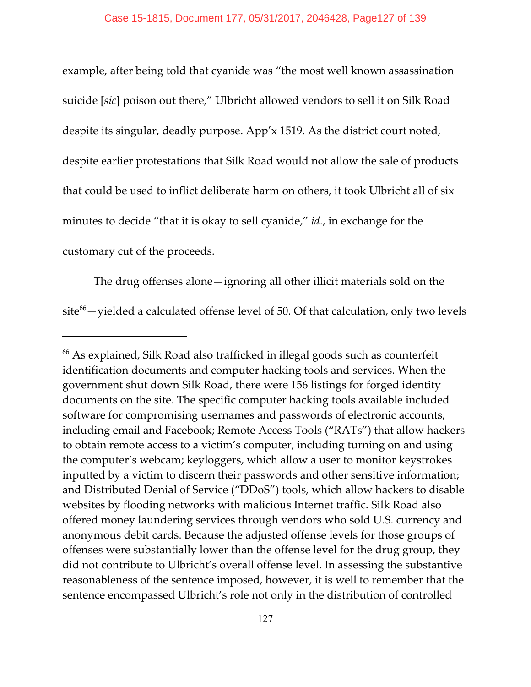example, after being told that cyanide was "the most well known assassination suicide [*sic*] poison out there," Ulbricht allowed vendors to sell it on Silk Road despite its singular, deadly purpose. App'x 1519. As the district court noted, despite earlier protestations that Silk Road would not allow the sale of products that could be used to inflict deliberate harm on others, it took Ulbricht all of six minutes to decide "that it is okay to sell cyanide," *id*., in exchange for the customary cut of the proceeds.

The drug offenses alone—ignoring all other illicit materials sold on the  $site<sup>66</sup>$  -yielded a calculated offense level of 50. Of that calculation, only two levels

 $^{66}$  As explained, Silk Road also trafficked in illegal goods such as counterfeit identification documents and computer hacking tools and services. When the government shut down Silk Road, there were 156 listings for forged identity documents on the site. The specific computer hacking tools available included software for compromising usernames and passwords of electronic accounts, including email and Facebook; Remote Access Tools ("RATs") that allow hackers to obtain remote access to a victim's computer, including turning on and using the computer's webcam; keyloggers, which allow a user to monitor keystrokes inputted by a victim to discern their passwords and other sensitive information; and Distributed Denial of Service ("DDoS") tools, which allow hackers to disable websites by flooding networks with malicious Internet traffic. Silk Road also offered money laundering services through vendors who sold U.S. currency and anonymous debit cards. Because the adjusted offense levels for those groups of offenses were substantially lower than the offense level for the drug group, they did not contribute to Ulbricht's overall offense level. In assessing the substantive reasonableness of the sentence imposed, however, it is well to remember that the sentence encompassed Ulbricht's role not only in the distribution of controlled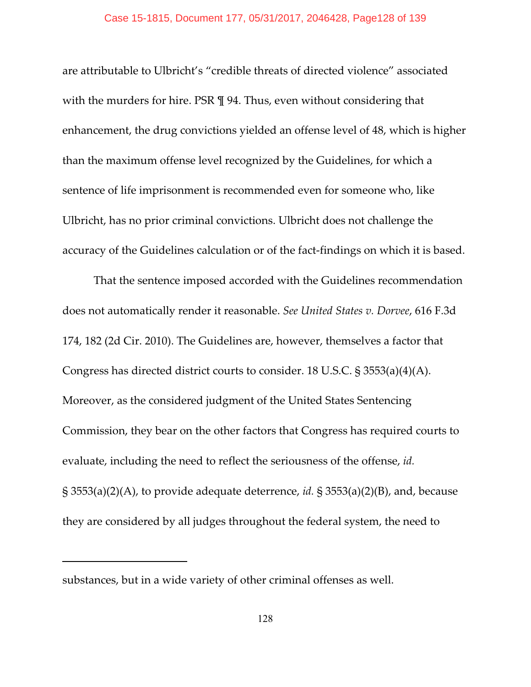## Case 15-1815, Document 177, 05/31/2017, 2046428, Page128 of 139

are attributable to Ulbricht's "credible threats of directed violence" associated with the murders for hire. PSR  $\parallel$  94. Thus, even without considering that enhancement, the drug convictions yielded an offense level of 48, which is higher than the maximum offense level recognized by the Guidelines, for which a sentence of life imprisonment is recommended even for someone who, like Ulbricht, has no prior criminal convictions. Ulbricht does not challenge the accuracy of the Guidelines calculation or of the fact-findings on which it is based.

That the sentence imposed accorded with the Guidelines recommendation does not automatically render it reasonable. *See United States v. Dorvee*, 616 F.3d 174, 182 (2d Cir. 2010). The Guidelines are, however, themselves a factor that Congress has directed district courts to consider. 18 U.S.C. § 3553(a)(4)(A). Moreover, as the considered judgment of the United States Sentencing Commission, they bear on the other factors that Congress has required courts to evaluate, including the need to reflect the seriousness of the offense, *id.* § 3553(a)(2)(A), to provide adequate deterrence, *id.* § 3553(a)(2)(B), and, because they are considered by all judges throughout the federal system, the need to

substances, but in a wide variety of other criminal offenses as well.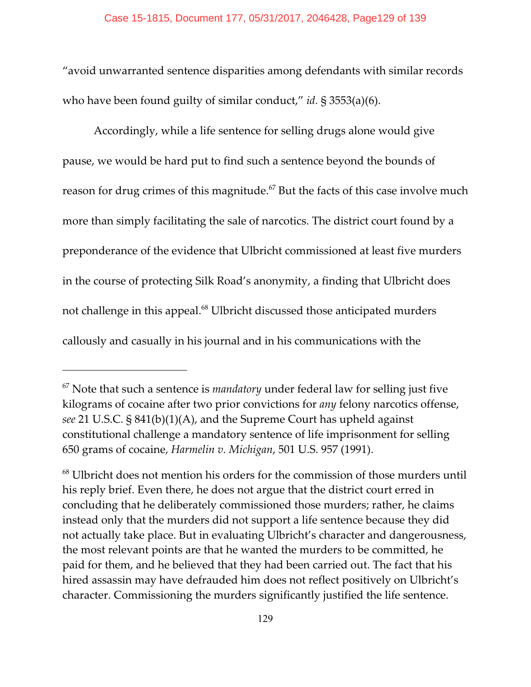"avoid unwarranted sentence disparities among defendants with similar records who have been found guilty of similar conduct," *id.* § 3553(a)(6).

Accordingly, while a life sentence for selling drugs alone would give pause, we would be hard put to find such a sentence beyond the bounds of reason for drug crimes of this magnitude.<sup> $67$ </sup> But the facts of this case involve much more than simply facilitating the sale of narcotics. The district court found by a preponderance of the evidence that Ulbricht commissioned at least five murders in the course of protecting Silk Road's anonymity, a finding that Ulbricht does not challenge in this appeal.<sup>68</sup> Ulbricht discussed those anticipated murders callously and casually in his journal and in his communications with the

<sup>&</sup>lt;sup>67</sup> Note that such a sentence is *mandatory* under federal law for selling just five kilograms of cocaine after two prior convictions for *any* felony narcotics offense, *see* 21 U.S.C. § 841(b)(1)(A), and the Supreme Court has upheld against constitutional challenge a mandatory sentence of life imprisonment for selling 650 grams of cocaine, *Harmelin v. Michigan*, 501 U.S. 957 (1991).

 $68$  Ulbricht does not mention his orders for the commission of those murders until his reply brief. Even there, he does not argue that the district court erred in concluding that he deliberately commissioned those murders; rather, he claims instead only that the murders did not support a life sentence because they did not actually take place. But in evaluating Ulbricht's character and dangerousness, the most relevant points are that he wanted the murders to be committed, he paid for them, and he believed that they had been carried out. The fact that his hired assassin may have defrauded him does not reflect positively on Ulbricht's character. Commissioning the murders significantly justified the life sentence.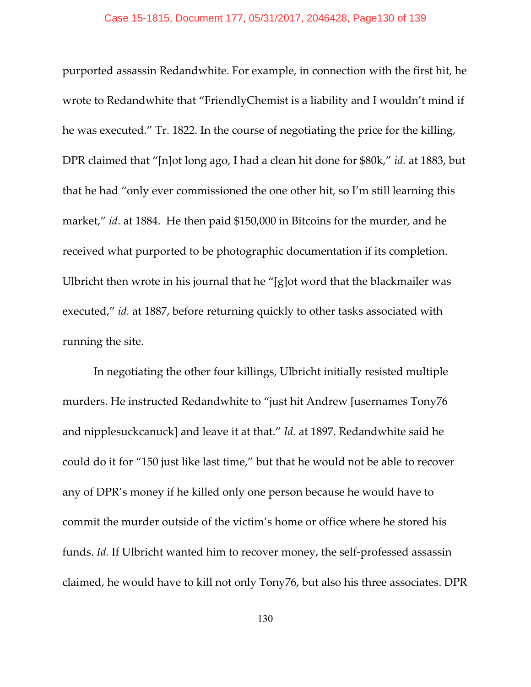purported assassin Redandwhite. For example, in connection with the first hit, he wrote to Redandwhite that "FriendlyChemist is a liability and I wouldn't mind if he was executed." Tr. 1822. In the course of negotiating the price for the killing, DPR claimed that "[n]ot long ago, I had a clean hit done for \$80k," *id.* at 1883, but that he had "only ever commissioned the one other hit, so I'm still learning this market," *id*. at 1884. He then paid \$150,000 in Bitcoins for the murder, and he received what purported to be photographic documentation if its completion. Ulbricht then wrote in his journal that he "[g]ot word that the blackmailer was executed," *id.* at 1887, before returning quickly to other tasks associated with running the site.

In negotiating the other four killings, Ulbricht initially resisted multiple murders. He instructed Redandwhite to "just hit Andrew [usernames Tony76 and nipplesuckcanuck] and leave it at that." *Id.* at 1897. Redandwhite said he could do it for "150 just like last time," but that he would not be able to recover any of DPR's money if he killed only one person because he would have to commit the murder outside of the victim's home or office where he stored his funds. *Id.* If Ulbricht wanted him to recover money, the self-professed assassin claimed, he would have to kill not only Tony76, but also his three associates. DPR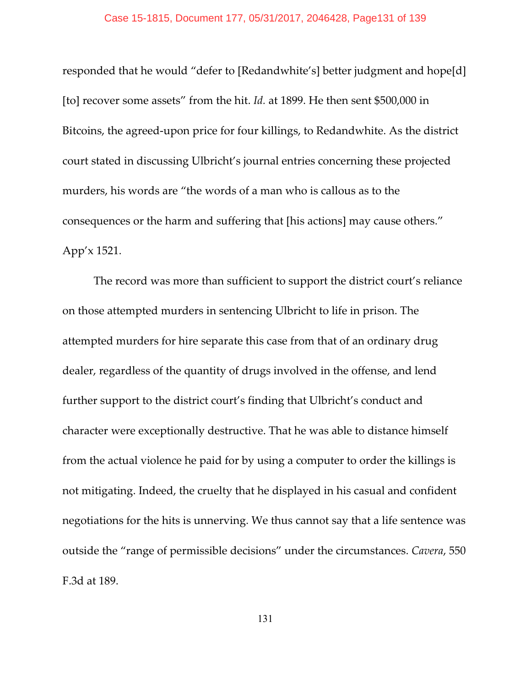## Case 15-1815, Document 177, 05/31/2017, 2046428, Page131 of 139

responded that he would "defer to [Redandwhite's] better judgment and hope[d] [to] recover some assets" from the hit. *Id.* at 1899. He then sent \$500,000 in Bitcoins, the agreed-upon price for four killings, to Redandwhite. As the district court stated in discussing Ulbricht's journal entries concerning these projected murders, his words are "the words of a man who is callous as to the consequences or the harm and suffering that [his actions] may cause others." App'x 1521.

The record was more than sufficient to support the district court's reliance on those attempted murders in sentencing Ulbricht to life in prison. The attempted murders for hire separate this case from that of an ordinary drug dealer, regardless of the quantity of drugs involved in the offense, and lend further support to the district court's finding that Ulbricht's conduct and character were exceptionally destructive. That he was able to distance himself from the actual violence he paid for by using a computer to order the killings is not mitigating. Indeed, the cruelty that he displayed in his casual and confident negotiations for the hits is unnerving. We thus cannot say that a life sentence was outside the "range of permissible decisions" under the circumstances. *Cavera*, 550 F.3d at 189.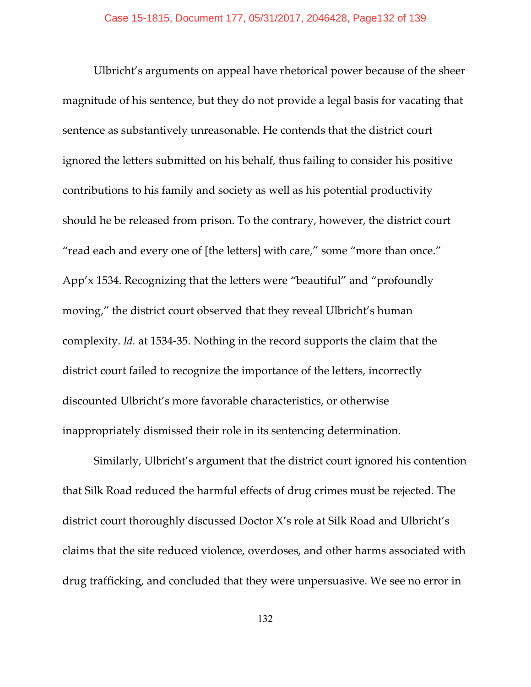Ulbricht's arguments on appeal have rhetorical power because of the sheer magnitude of his sentence, but they do not provide a legal basis for vacating that sentence as substantively unreasonable. He contends that the district court ignored the letters submitted on his behalf, thus failing to consider his positive contributions to his family and society as well as his potential productivity should he be released from prison. To the contrary, however, the district court "read each and every one of [the letters] with care," some "more than once." App'x 1534. Recognizing that the letters were "beautiful" and "profoundly moving," the district court observed that they reveal Ulbricht's human complexity. *Id.* at 1534-35. Nothing in the record supports the claim that the district court failed to recognize the importance of the letters, incorrectly discounted Ulbricht's more favorable characteristics, or otherwise inappropriately dismissed their role in its sentencing determination.

Similarly, Ulbricht's argument that the district court ignored his contention that Silk Road reduced the harmful effects of drug crimes must be rejected. The district court thoroughly discussed Doctor X's role at Silk Road and Ulbricht's claims that the site reduced violence, overdoses, and other harms associated with drug trafficking, and concluded that they were unpersuasive. We see no error in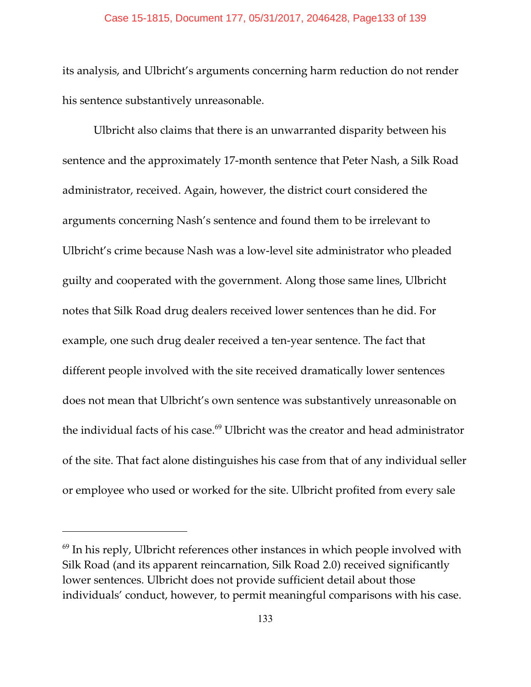### Case 15-1815, Document 177, 05/31/2017, 2046428, Page133 of 139

its analysis, and Ulbricht's arguments concerning harm reduction do not render his sentence substantively unreasonable.

Ulbricht also claims that there is an unwarranted disparity between his sentence and the approximately 17-month sentence that Peter Nash, a Silk Road administrator, received. Again, however, the district court considered the arguments concerning Nash's sentence and found them to be irrelevant to Ulbricht's crime because Nash was a low-level site administrator who pleaded guilty and cooperated with the government. Along those same lines, Ulbricht notes that Silk Road drug dealers received lower sentences than he did. For example, one such drug dealer received a ten-year sentence. The fact that different people involved with the site received dramatically lower sentences does not mean that Ulbricht's own sentence was substantively unreasonable on the individual facts of his case. $69$  Ulbricht was the creator and head administrator of the site. That fact alone distinguishes his case from that of any individual seller or employee who used or worked for the site. Ulbricht profited from every sale

 $<sup>69</sup>$  In his reply, Ulbricht references other instances in which people involved with</sup> Silk Road (and its apparent reincarnation, Silk Road 2.0) received significantly lower sentences. Ulbricht does not provide sufficient detail about those individuals' conduct, however, to permit meaningful comparisons with his case.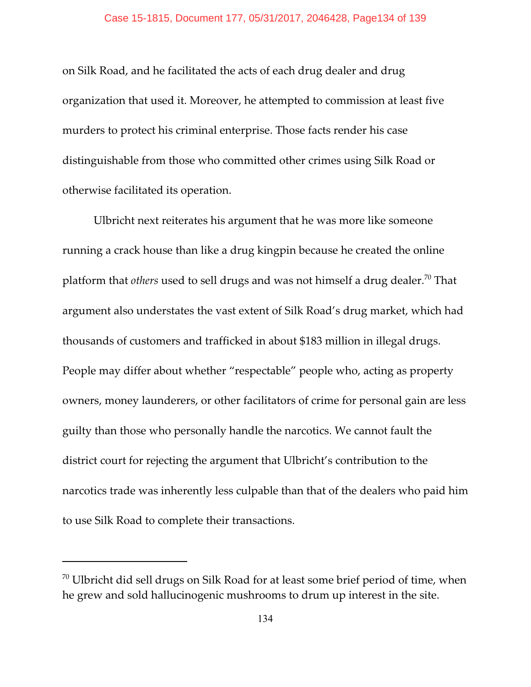on Silk Road, and he facilitated the acts of each drug dealer and drug organization that used it. Moreover, he attempted to commission at least five murders to protect his criminal enterprise. Those facts render his case distinguishable from those who committed other crimes using Silk Road or otherwise facilitated its operation.

Ulbricht next reiterates his argument that he was more like someone running a crack house than like a drug kingpin because he created the online platform that *others* used to sell drugs and was not himself a drug dealer.<sup>70</sup> That argument also understates the vast extent of Silk Road's drug market, which had thousands of customers and trafficked in about \$183 million in illegal drugs. People may differ about whether "respectable" people who, acting as property owners, money launderers, or other facilitators of crime for personal gain are less guilty than those who personally handle the narcotics. We cannot fault the district court for rejecting the argument that Ulbricht's contribution to the narcotics trade was inherently less culpable than that of the dealers who paid him to use Silk Road to complete their transactions.

 $\frac{70}{10}$  Ulbricht did sell drugs on Silk Road for at least some brief period of time, when he grew and sold hallucinogenic mushrooms to drum up interest in the site.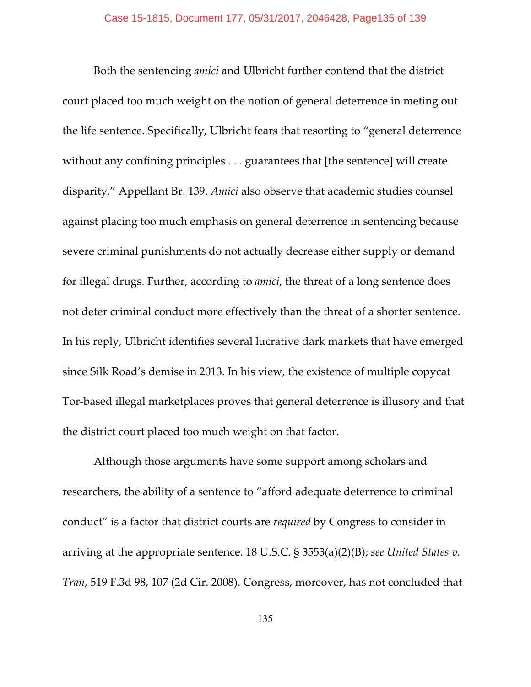Both the sentencing *amici* and Ulbricht further contend that the district court placed too much weight on the notion of general deterrence in meting out the life sentence. Specifically, Ulbricht fears that resorting to "general deterrence without any confining principles . . . guarantees that [the sentence] will create disparity." Appellant Br. 139. *Amici* also observe that academic studies counsel against placing too much emphasis on general deterrence in sentencing because severe criminal punishments do not actually decrease either supply or demand for illegal drugs. Further, according to *amici*, the threat of a long sentence does not deter criminal conduct more effectively than the threat of a shorter sentence. In his reply, Ulbricht identifies several lucrative dark markets that have emerged since Silk Road's demise in 2013. In his view, the existence of multiple copycat Tor-based illegal marketplaces proves that general deterrence is illusory and that the district court placed too much weight on that factor.

Although those arguments have some support among scholars and researchers, the ability of a sentence to "afford adequate deterrence to criminal conduct" is a factor that district courts are *required* by Congress to consider in arriving at the appropriate sentence. 18 U.S.C. § 3553(a)(2)(B); *see United States v. Tran*, 519 F.3d 98, 107 (2d Cir. 2008). Congress, moreover, has not concluded that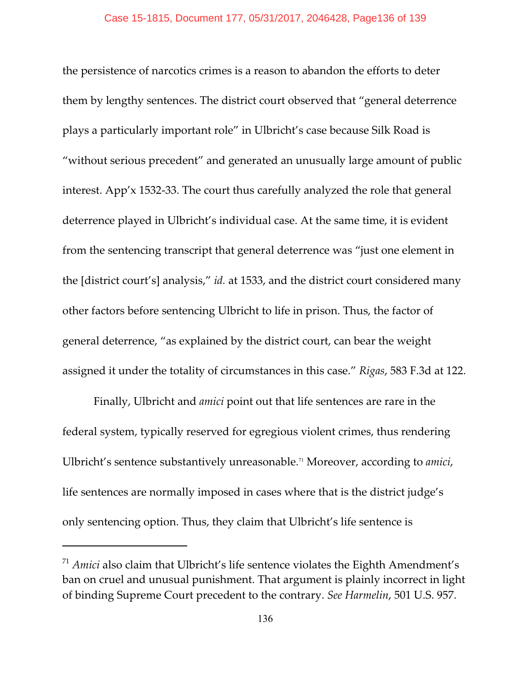the persistence of narcotics crimes is a reason to abandon the efforts to deter them by lengthy sentences. The district court observed that "general deterrence plays a particularly important role" in Ulbricht's case because Silk Road is "without serious precedent" and generated an unusually large amount of public interest. App'x 1532-33. The court thus carefully analyzed the role that general deterrence played in Ulbricht's individual case. At the same time, it is evident from the sentencing transcript that general deterrence was "just one element in the [district court's] analysis," *id.* at 1533, and the district court considered many other factors before sentencing Ulbricht to life in prison. Thus, the factor of general deterrence, "as explained by the district court, can bear the weight assigned it under the totality of circumstances in this case." *Rigas*, 583 F.3d at 122.

Finally, Ulbricht and *amici* point out that life sentences are rare in the federal system, typically reserved for egregious violent crimes, thus rendering Ulbricht's sentence substantively unreasonable.<sup>71</sup> Moreover, according to *amici,* life sentences are normally imposed in cases where that is the district judge's only sentencing option. Thus, they claim that Ulbricht's life sentence is

 $\frac{71}{1}$  *Amici* also claim that Ulbricht's life sentence violates the Eighth Amendment's ban on cruel and unusual punishment. That argument is plainly incorrect in light of binding Supreme Court precedent to the contrary. *See Harmelin*, 501 U.S. 957.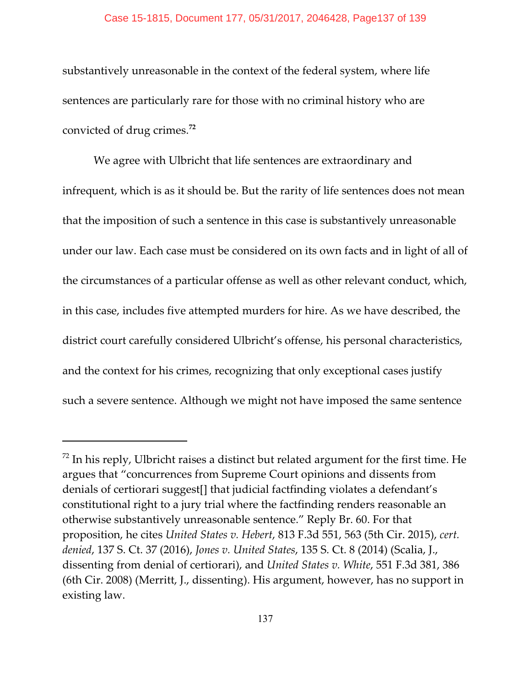## Case 15-1815, Document 177, 05/31/2017, 2046428, Page137 of 139

substantively unreasonable in the context of the federal system, where life sentences are particularly rare for those with no criminal history who are convicted of drug crimes.**<sup>72</sup>**

We agree with Ulbricht that life sentences are extraordinary and infrequent, which is as it should be. But the rarity of life sentences does not mean that the imposition of such a sentence in this case is substantively unreasonable under our law. Each case must be considered on its own facts and in light of all of the circumstances of a particular offense as well as other relevant conduct, which, in this case, includes five attempted murders for hire. As we have described, the district court carefully considered Ulbricht's offense, his personal characteristics, and the context for his crimes, recognizing that only exceptional cases justify such a severe sentence. Although we might not have imposed the same sentence

 $172$  In his reply, Ulbricht raises a distinct but related argument for the first time. He argues that "concurrences from Supreme Court opinions and dissents from denials of certiorari suggest[] that judicial factfinding violates a defendant's constitutional right to a jury trial where the factfinding renders reasonable an otherwise substantively unreasonable sentence." Reply Br. 60. For that proposition, he cites *United States v. Hebert*, 813 F.3d 551, 563 (5th Cir. 2015), *cert. denied*, 137 S. Ct. 37 (2016), *Jones v. United States*, 135 S. Ct. 8 (2014) (Scalia, J., dissenting from denial of certiorari), and *United States v. White*, 551 F.3d 381, 386 (6th Cir. 2008) (Merritt, J., dissenting). His argument, however, has no support in existing law.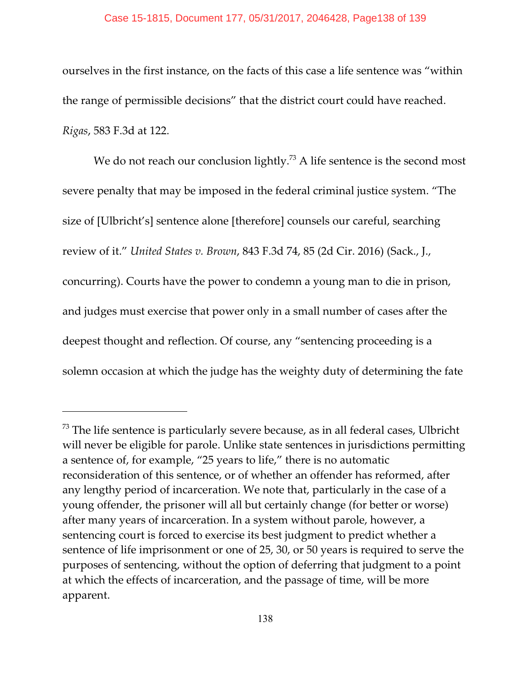## Case 15-1815, Document 177, 05/31/2017, 2046428, Page138 of 139

ourselves in the first instance, on the facts of this case a life sentence was "within the range of permissible decisions" that the district court could have reached. *Rigas*, 583 F.3d at 122.

We do not reach our conclusion lightly.<sup>73</sup> A life sentence is the second most severe penalty that may be imposed in the federal criminal justice system. "The size of [Ulbricht's] sentence alone [therefore] counsels our careful, searching review of it." *United States v. Brown*, 843 F.3d 74, 85 (2d Cir. 2016) (Sack., J., concurring). Courts have the power to condemn a young man to die in prison, and judges must exercise that power only in a small number of cases after the deepest thought and reflection. Of course, any "sentencing proceeding is a solemn occasion at which the judge has the weighty duty of determining the fate

 $73$  The life sentence is particularly severe because, as in all federal cases, Ulbricht will never be eligible for parole. Unlike state sentences in jurisdictions permitting a sentence of, for example, "25 years to life," there is no automatic reconsideration of this sentence, or of whether an offender has reformed, after any lengthy period of incarceration. We note that, particularly in the case of a young offender, the prisoner will all but certainly change (for better or worse) after many years of incarceration. In a system without parole, however, a sentencing court is forced to exercise its best judgment to predict whether a sentence of life imprisonment or one of 25, 30, or 50 years is required to serve the purposes of sentencing, without the option of deferring that judgment to a point at which the effects of incarceration, and the passage of time, will be more apparent.